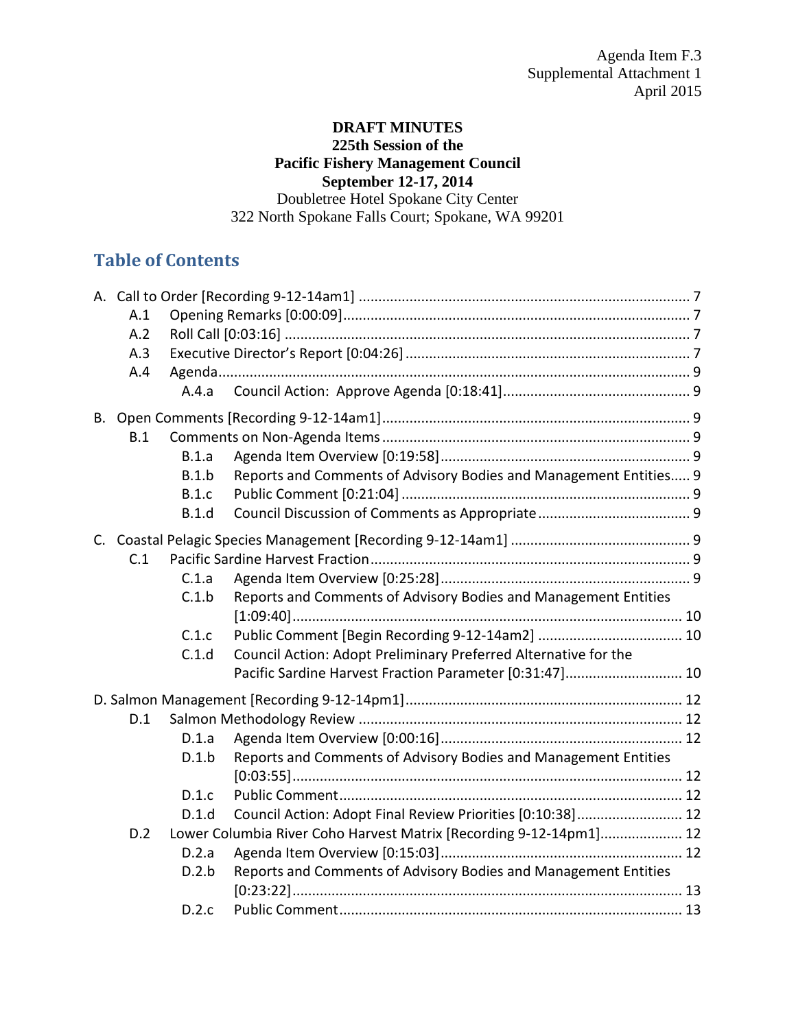# **DRAFT MINUTES 225th Session of the Pacific Fishery Management Council September 12-17, 2014**

Doubletree Hotel Spokane City Center 322 North Spokane Falls Court; Spokane, WA 99201

# **Table of Contents**

| A.1<br>A.2<br>A.3<br>A.4 | A.4.a                                              |                                                                                                                                                                                                                                                                        |  |
|--------------------------|----------------------------------------------------|------------------------------------------------------------------------------------------------------------------------------------------------------------------------------------------------------------------------------------------------------------------------|--|
| B.1                      | B.1.a<br>B.1.b<br>B.1.c<br>B.1.d                   | Reports and Comments of Advisory Bodies and Management Entities 9                                                                                                                                                                                                      |  |
| C.1                      | C.1.a<br>C.1.b<br>C.1.c<br>C.1.d                   | Reports and Comments of Advisory Bodies and Management Entities<br>Council Action: Adopt Preliminary Preferred Alternative for the<br>Pacific Sardine Harvest Fraction Parameter [0:31:47] 10                                                                          |  |
| D.1<br>D.2               | D.1.a<br>D.1.b<br>D.1.c<br>D.1.d<br>D.2.a<br>D.2.b | Reports and Comments of Advisory Bodies and Management Entities<br>Council Action: Adopt Final Review Priorities [0:10:38] 12<br>Lower Columbia River Coho Harvest Matrix [Recording 9-12-14pm1] 12<br>Reports and Comments of Advisory Bodies and Management Entities |  |
|                          | D.2.c                                              |                                                                                                                                                                                                                                                                        |  |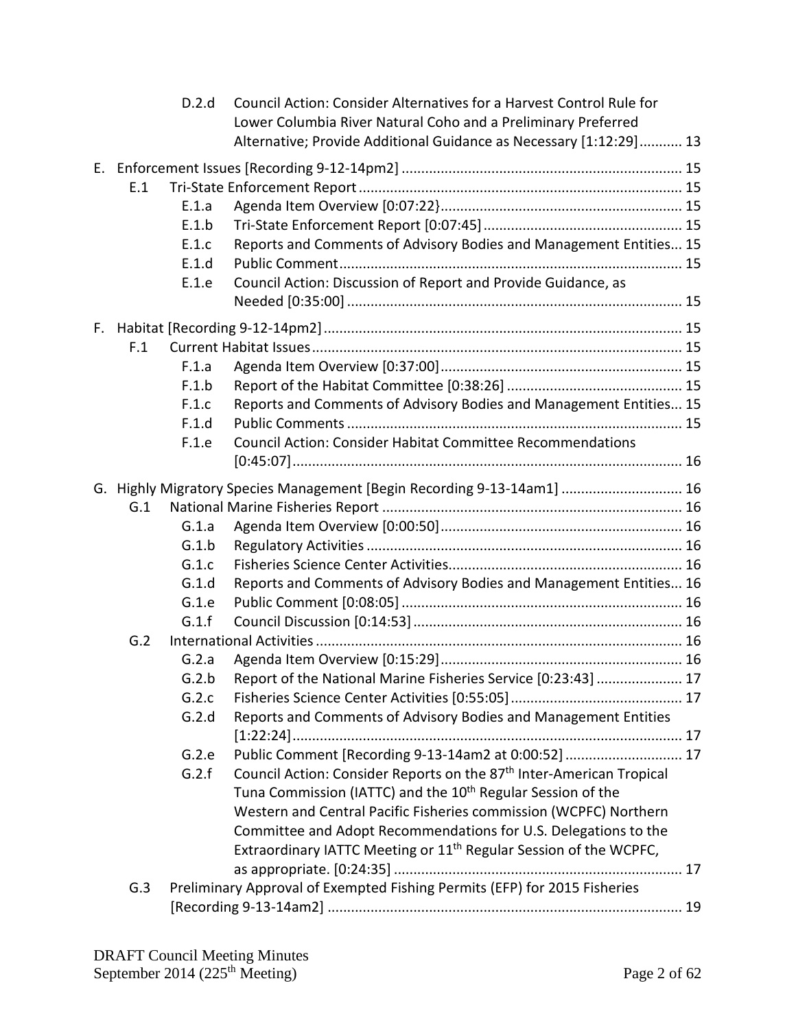|     | D.2.d | Council Action: Consider Alternatives for a Harvest Control Rule for<br>Lower Columbia River Natural Coho and a Preliminary Preferred<br>Alternative; Provide Additional Guidance as Necessary [1:12:29] 13 |  |
|-----|-------|-------------------------------------------------------------------------------------------------------------------------------------------------------------------------------------------------------------|--|
|     |       |                                                                                                                                                                                                             |  |
| E.1 |       |                                                                                                                                                                                                             |  |
|     | E.1.a |                                                                                                                                                                                                             |  |
|     | E.1.b |                                                                                                                                                                                                             |  |
|     | E.1.c | Reports and Comments of Advisory Bodies and Management Entities 15                                                                                                                                          |  |
|     | E.1.d |                                                                                                                                                                                                             |  |
|     | E.1.e | Council Action: Discussion of Report and Provide Guidance, as                                                                                                                                               |  |
|     |       |                                                                                                                                                                                                             |  |
|     |       |                                                                                                                                                                                                             |  |
| F.1 |       |                                                                                                                                                                                                             |  |
|     | F.1.a |                                                                                                                                                                                                             |  |
|     | F.1.b |                                                                                                                                                                                                             |  |
|     | F.1.c | Reports and Comments of Advisory Bodies and Management Entities 15                                                                                                                                          |  |
|     | F.1.d |                                                                                                                                                                                                             |  |
|     | F.1.e | Council Action: Consider Habitat Committee Recommendations                                                                                                                                                  |  |
|     |       |                                                                                                                                                                                                             |  |
|     |       | G. Highly Migratory Species Management [Begin Recording 9-13-14am1]  16                                                                                                                                     |  |
| G.1 |       |                                                                                                                                                                                                             |  |
|     | G.1.a |                                                                                                                                                                                                             |  |
|     | G.1.b |                                                                                                                                                                                                             |  |
|     | G.1.c |                                                                                                                                                                                                             |  |
|     | G.1.d | Reports and Comments of Advisory Bodies and Management Entities 16                                                                                                                                          |  |
|     | G.1.e |                                                                                                                                                                                                             |  |
|     | G.1.f |                                                                                                                                                                                                             |  |
| G.2 |       |                                                                                                                                                                                                             |  |
|     | G.2.a |                                                                                                                                                                                                             |  |
|     |       | G.2.b Report of the National Marine Fisheries Service [0:23:43]  17                                                                                                                                         |  |
|     | G.2.c |                                                                                                                                                                                                             |  |
|     | G.2.d | Reports and Comments of Advisory Bodies and Management Entities                                                                                                                                             |  |
|     |       |                                                                                                                                                                                                             |  |
|     | G.2.e | Public Comment [Recording 9-13-14am2 at 0:00:52]  17                                                                                                                                                        |  |
|     | G.2.f | Council Action: Consider Reports on the 87 <sup>th</sup> Inter-American Tropical                                                                                                                            |  |
|     |       | Tuna Commission (IATTC) and the 10 <sup>th</sup> Regular Session of the                                                                                                                                     |  |
|     |       | Western and Central Pacific Fisheries commission (WCPFC) Northern                                                                                                                                           |  |
|     |       | Committee and Adopt Recommendations for U.S. Delegations to the                                                                                                                                             |  |
|     |       | Extraordinary IATTC Meeting or 11 <sup>th</sup> Regular Session of the WCPFC,                                                                                                                               |  |
|     |       |                                                                                                                                                                                                             |  |
| G.3 |       | Preliminary Approval of Exempted Fishing Permits (EFP) for 2015 Fisheries                                                                                                                                   |  |
|     |       |                                                                                                                                                                                                             |  |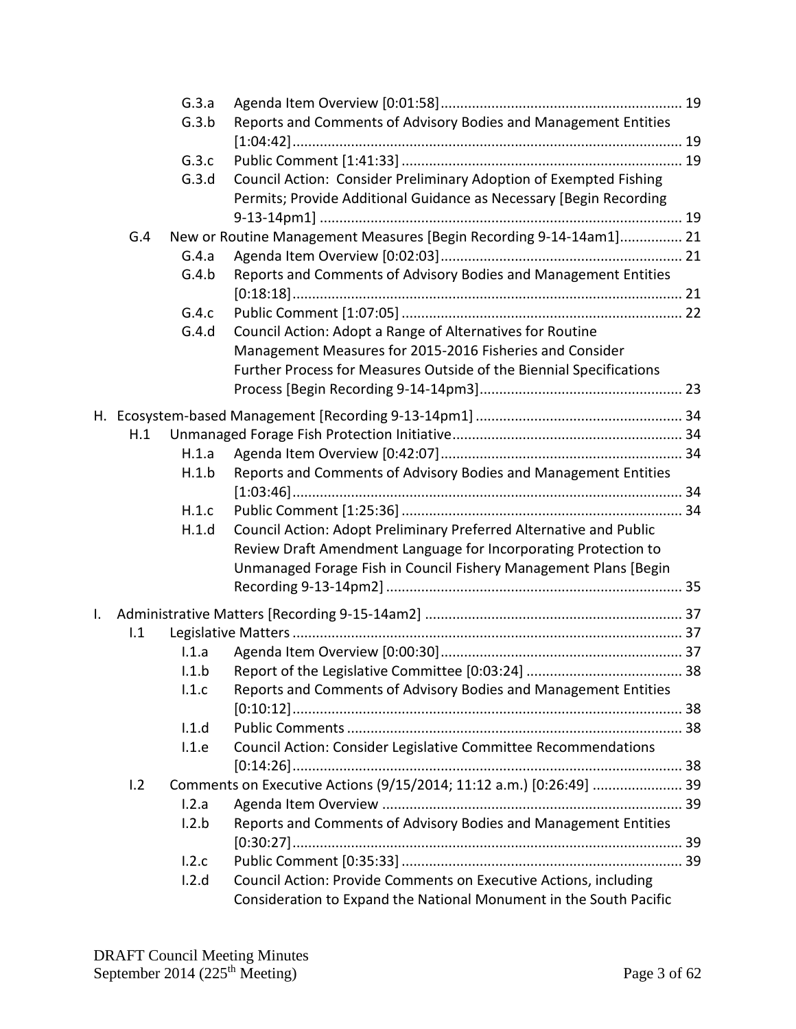|    |     | G.3.a |                                                                     |  |
|----|-----|-------|---------------------------------------------------------------------|--|
|    |     | G.3.b | Reports and Comments of Advisory Bodies and Management Entities     |  |
|    |     |       |                                                                     |  |
|    |     | G.3.c |                                                                     |  |
|    |     | G.3.d | Council Action: Consider Preliminary Adoption of Exempted Fishing   |  |
|    |     |       | Permits; Provide Additional Guidance as Necessary [Begin Recording  |  |
|    |     |       |                                                                     |  |
|    | G.4 |       | New or Routine Management Measures [Begin Recording 9-14-14am1] 21  |  |
|    |     | G.4.a |                                                                     |  |
|    |     | G.4.b | Reports and Comments of Advisory Bodies and Management Entities     |  |
|    |     |       |                                                                     |  |
|    |     | G.4.c |                                                                     |  |
|    |     | G.4.d | Council Action: Adopt a Range of Alternatives for Routine           |  |
|    |     |       | Management Measures for 2015-2016 Fisheries and Consider            |  |
|    |     |       | Further Process for Measures Outside of the Biennial Specifications |  |
|    |     |       |                                                                     |  |
|    |     |       |                                                                     |  |
|    | H.1 |       |                                                                     |  |
|    |     | H.1.a |                                                                     |  |
|    |     | H.1.b | Reports and Comments of Advisory Bodies and Management Entities     |  |
|    |     |       |                                                                     |  |
|    |     | H.1.c |                                                                     |  |
|    |     | H.1.d | Council Action: Adopt Preliminary Preferred Alternative and Public  |  |
|    |     |       | Review Draft Amendment Language for Incorporating Protection to     |  |
|    |     |       | Unmanaged Forage Fish in Council Fishery Management Plans [Begin    |  |
|    |     |       |                                                                     |  |
| I. |     |       |                                                                     |  |
|    | 1.1 |       |                                                                     |  |
|    |     | 1.1.a |                                                                     |  |
|    |     | 1.1.b |                                                                     |  |
|    |     | 1.1.c | Reports and Comments of Advisory Bodies and Management Entities     |  |
|    |     |       |                                                                     |  |
|    |     | 1.1.d |                                                                     |  |
|    |     | 1.1.e | Council Action: Consider Legislative Committee Recommendations      |  |
|    |     |       |                                                                     |  |
|    | 1.2 |       | Comments on Executive Actions (9/15/2014; 11:12 a.m.) [0:26:49]  39 |  |
|    |     | 1.2.a |                                                                     |  |
|    |     | 1.2.b | Reports and Comments of Advisory Bodies and Management Entities     |  |
|    |     |       |                                                                     |  |
|    |     | 1.2.c |                                                                     |  |
|    |     | 1.2.d | Council Action: Provide Comments on Executive Actions, including    |  |
|    |     |       | Consideration to Expand the National Monument in the South Pacific  |  |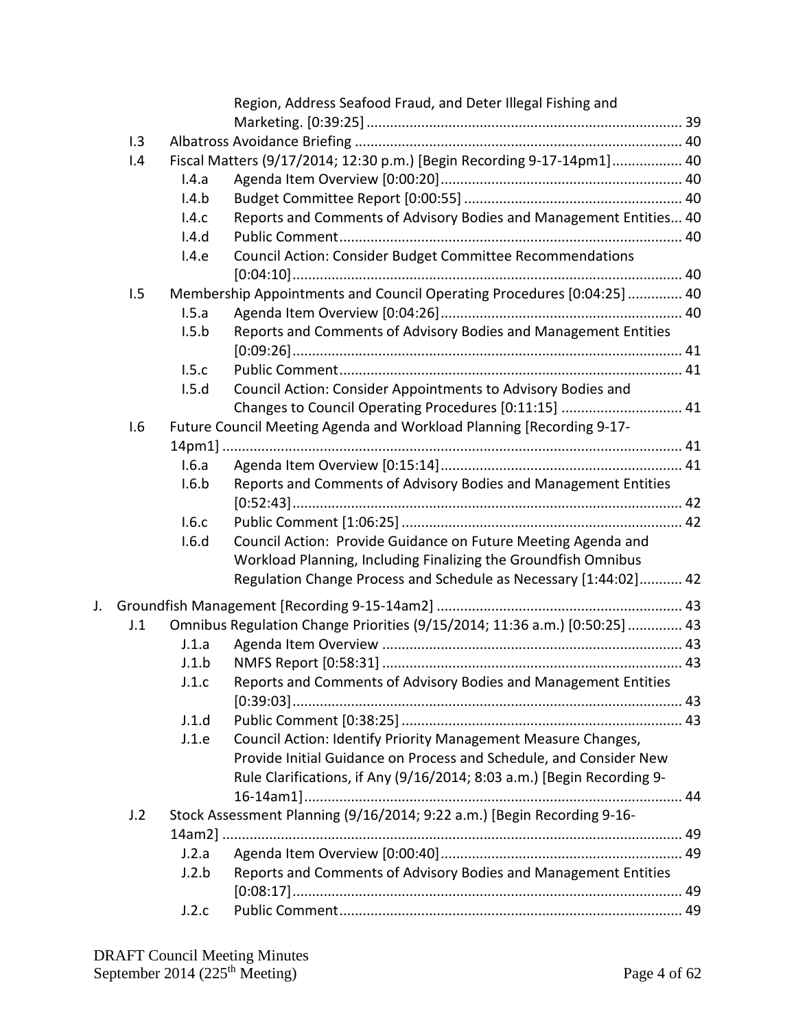|    |     |       | Region, Address Seafood Fraud, and Deter Illegal Fishing and               |  |
|----|-----|-------|----------------------------------------------------------------------------|--|
|    |     |       |                                                                            |  |
|    | 1.3 |       |                                                                            |  |
|    | 1.4 |       | Fiscal Matters (9/17/2014; 12:30 p.m.) [Begin Recording 9-17-14pm1] 40     |  |
|    |     | I.4.a |                                                                            |  |
|    |     | 1.4.b |                                                                            |  |
|    |     | 1.4.c | Reports and Comments of Advisory Bodies and Management Entities 40         |  |
|    |     | I.4.d |                                                                            |  |
|    |     | I.4.e | Council Action: Consider Budget Committee Recommendations                  |  |
|    |     |       |                                                                            |  |
|    | 1.5 |       | Membership Appointments and Council Operating Procedures [0:04:25]  40     |  |
|    |     | 1.5.a |                                                                            |  |
|    |     | 1.5.b | Reports and Comments of Advisory Bodies and Management Entities            |  |
|    |     |       |                                                                            |  |
|    |     | 1.5.c |                                                                            |  |
|    |     | 1.5.d | Council Action: Consider Appointments to Advisory Bodies and               |  |
|    |     |       | Changes to Council Operating Procedures [0:11:15]  41                      |  |
|    | 1.6 |       | Future Council Meeting Agenda and Workload Planning [Recording 9-17-       |  |
|    |     |       |                                                                            |  |
|    |     | I.6.a |                                                                            |  |
|    |     | 1.6.b | Reports and Comments of Advisory Bodies and Management Entities            |  |
|    |     |       |                                                                            |  |
|    |     | 1.6.c |                                                                            |  |
|    |     | I.6.d | Council Action: Provide Guidance on Future Meeting Agenda and              |  |
|    |     |       | Workload Planning, Including Finalizing the Groundfish Omnibus             |  |
|    |     |       | Regulation Change Process and Schedule as Necessary [1:44:02] 42           |  |
| J. |     |       |                                                                            |  |
|    | J.1 |       | Omnibus Regulation Change Priorities (9/15/2014; 11:36 a.m.) [0:50:25]  43 |  |
|    |     | J.1.a |                                                                            |  |
|    |     | J.1.b |                                                                            |  |
|    |     | J.1.c | Reports and Comments of Advisory Bodies and Management Entities            |  |
|    |     |       |                                                                            |  |
|    |     | J.1.d |                                                                            |  |
|    |     | J.1.e | Council Action: Identify Priority Management Measure Changes,              |  |
|    |     |       | Provide Initial Guidance on Process and Schedule, and Consider New         |  |
|    |     |       | Rule Clarifications, if Any (9/16/2014; 8:03 a.m.) [Begin Recording 9-     |  |
|    |     |       |                                                                            |  |
|    | J.2 |       | Stock Assessment Planning (9/16/2014; 9:22 a.m.) [Begin Recording 9-16-    |  |
|    |     |       |                                                                            |  |
|    |     | J.2.a |                                                                            |  |
|    |     | J.2.b | Reports and Comments of Advisory Bodies and Management Entities            |  |
|    |     |       |                                                                            |  |
|    |     | J.2.c |                                                                            |  |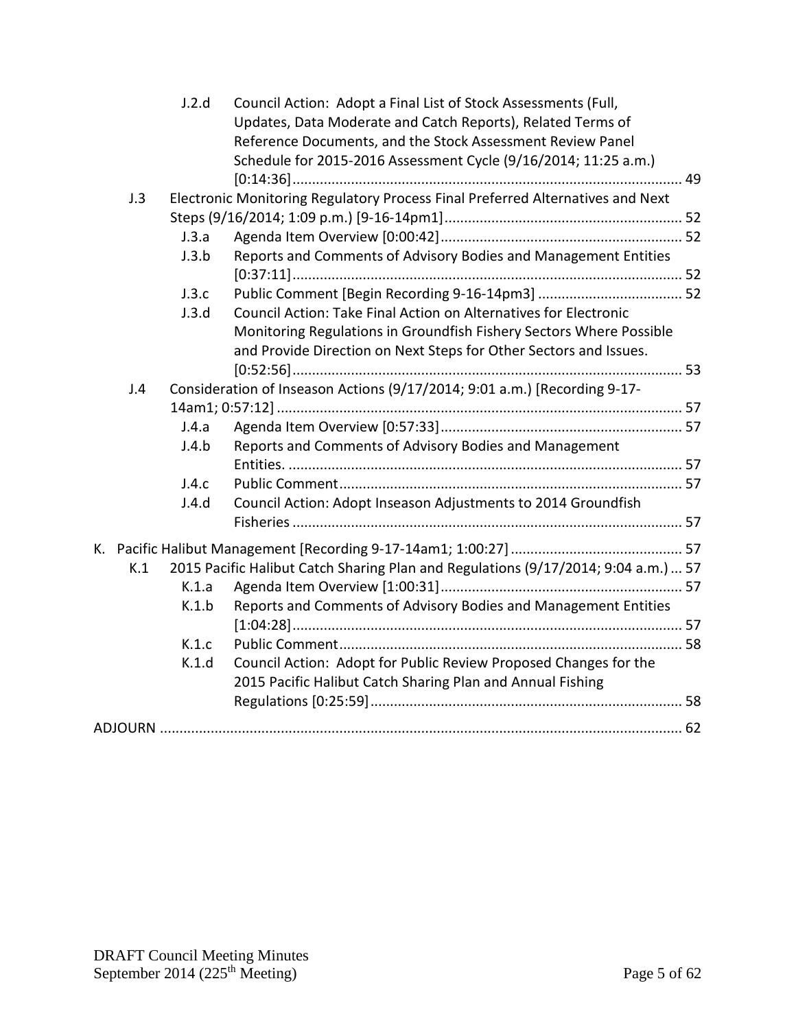|     | J.2.d | Council Action: Adopt a Final List of Stock Assessments (Full,                     |  |
|-----|-------|------------------------------------------------------------------------------------|--|
|     |       | Updates, Data Moderate and Catch Reports), Related Terms of                        |  |
|     |       | Reference Documents, and the Stock Assessment Review Panel                         |  |
|     |       | Schedule for 2015-2016 Assessment Cycle (9/16/2014; 11:25 a.m.)                    |  |
|     |       |                                                                                    |  |
| J.3 |       | Electronic Monitoring Regulatory Process Final Preferred Alternatives and Next     |  |
|     |       |                                                                                    |  |
|     | J.3.a |                                                                                    |  |
|     | J.3.b | Reports and Comments of Advisory Bodies and Management Entities                    |  |
|     |       |                                                                                    |  |
|     | J.3.c |                                                                                    |  |
|     | J.3.d | Council Action: Take Final Action on Alternatives for Electronic                   |  |
|     |       | Monitoring Regulations in Groundfish Fishery Sectors Where Possible                |  |
|     |       | and Provide Direction on Next Steps for Other Sectors and Issues.                  |  |
|     |       |                                                                                    |  |
| J.4 |       | Consideration of Inseason Actions (9/17/2014; 9:01 a.m.) [Recording 9-17-          |  |
|     |       |                                                                                    |  |
|     | J.4.a |                                                                                    |  |
|     | J.4.b | Reports and Comments of Advisory Bodies and Management                             |  |
|     |       |                                                                                    |  |
|     | J.4.c |                                                                                    |  |
|     | J.4.d | Council Action: Adopt Inseason Adjustments to 2014 Groundfish                      |  |
|     |       |                                                                                    |  |
|     |       |                                                                                    |  |
| K.1 |       | 2015 Pacific Halibut Catch Sharing Plan and Regulations (9/17/2014; 9:04 a.m.)  57 |  |
|     | K.1.a |                                                                                    |  |
|     | K.1.b | Reports and Comments of Advisory Bodies and Management Entities                    |  |
|     |       |                                                                                    |  |
|     | K.1.c |                                                                                    |  |
|     | K.1.d | Council Action: Adopt for Public Review Proposed Changes for the                   |  |
|     |       | 2015 Pacific Halibut Catch Sharing Plan and Annual Fishing                         |  |
|     |       |                                                                                    |  |
|     |       |                                                                                    |  |
|     |       |                                                                                    |  |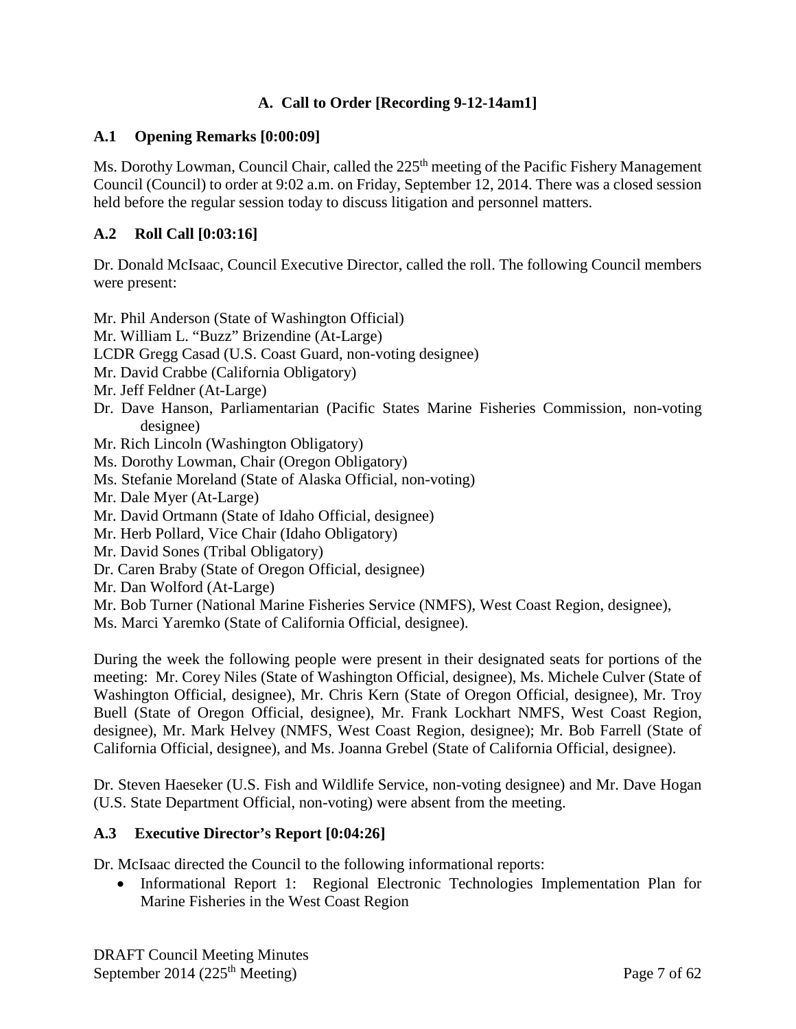# **A. Call to Order [Recording 9-12-14am1]**

## <span id="page-6-1"></span><span id="page-6-0"></span>**A.1 Opening Remarks [0:00:09]**

Ms. Dorothy Lowman, Council Chair, called the 225<sup>th</sup> meeting of the Pacific Fishery Management Council (Council) to order at 9:02 a.m. on Friday, September 12, 2014. There was a closed session held before the regular session today to discuss litigation and personnel matters.

## <span id="page-6-2"></span>**A.2 Roll Call [0:03:16]**

Dr. Donald McIsaac, Council Executive Director, called the roll. The following Council members were present:

Mr. Phil Anderson (State of Washington Official) Mr. William L. "Buzz" Brizendine (At-Large) LCDR Gregg Casad (U.S. Coast Guard, non-voting designee) Mr. David Crabbe (California Obligatory) Mr. Jeff Feldner (At-Large) Dr. Dave Hanson, Parliamentarian (Pacific States Marine Fisheries Commission, non-voting designee) Mr. Rich Lincoln (Washington Obligatory) Ms. Dorothy Lowman, Chair (Oregon Obligatory) Ms. Stefanie Moreland (State of Alaska Official, non-voting) Mr. Dale Myer (At-Large) Mr. David Ortmann (State of Idaho Official, designee) Mr. Herb Pollard, Vice Chair (Idaho Obligatory) Mr. David Sones (Tribal Obligatory) Dr. Caren Braby (State of Oregon Official, designee) Mr. Dan Wolford (At-Large) Mr. Bob Turner (National Marine Fisheries Service (NMFS), West Coast Region, designee),

Ms. Marci Yaremko (State of California Official, designee).

During the week the following people were present in their designated seats for portions of the meeting: Mr. Corey Niles (State of Washington Official, designee), Ms. Michele Culver (State of Washington Official, designee), Mr. Chris Kern (State of Oregon Official, designee), Mr. Troy Buell (State of Oregon Official, designee), Mr. Frank Lockhart NMFS, West Coast Region, designee), Mr. Mark Helvey (NMFS, West Coast Region, designee); Mr. Bob Farrell (State of California Official, designee), and Ms. Joanna Grebel (State of California Official, designee).

Dr. Steven Haeseker (U.S. Fish and Wildlife Service, non-voting designee) and Mr. Dave Hogan (U.S. State Department Official, non-voting) were absent from the meeting.

## <span id="page-6-3"></span>**A.3 Executive Director's Report [0:04:26]**

Dr. McIsaac directed the Council to the following informational reports:

• Informational Report 1: Regional Electronic Technologies Implementation Plan for Marine Fisheries in the West Coast Region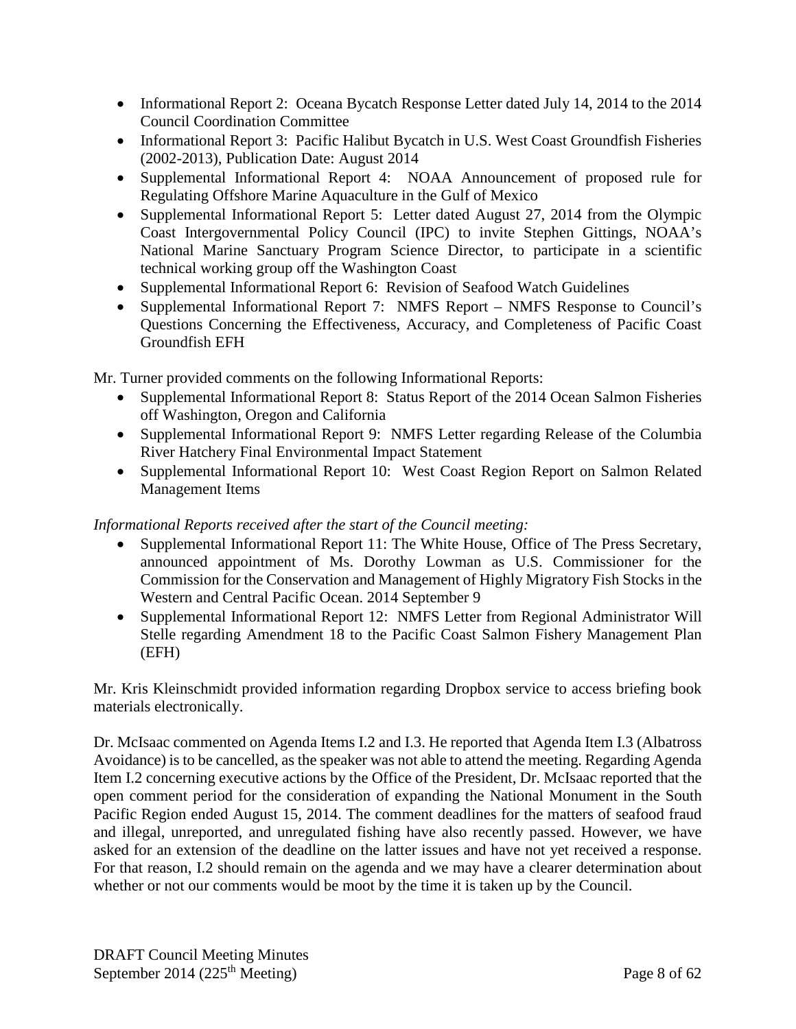- Informational Report 2: Oceana Bycatch Response Letter dated July 14, 2014 to the 2014 Council Coordination Committee
- Informational Report 3: Pacific Halibut Bycatch in U.S. West Coast Groundfish Fisheries (2002-2013), Publication Date: August 2014
- Supplemental Informational Report 4: NOAA Announcement of proposed rule for Regulating Offshore Marine Aquaculture in the Gulf of Mexico
- Supplemental Informational Report 5: Letter dated August 27, 2014 from the Olympic Coast Intergovernmental Policy Council (IPC) to invite Stephen Gittings, NOAA's National Marine Sanctuary Program Science Director, to participate in a scientific technical working group off the Washington Coast
- Supplemental Informational Report 6: Revision of Seafood Watch Guidelines
- Supplemental Informational Report 7: NMFS Report NMFS Response to Council's Questions Concerning the Effectiveness, Accuracy, and Completeness of Pacific Coast Groundfish EFH

Mr. Turner provided comments on the following Informational Reports:

- Supplemental Informational Report 8: Status Report of the 2014 Ocean Salmon Fisheries off Washington, Oregon and California
- Supplemental Informational Report 9: NMFS Letter regarding Release of the Columbia River Hatchery Final Environmental Impact Statement
- Supplemental Informational Report 10: West Coast Region Report on Salmon Related Management Items

# *Informational Reports received after the start of the Council meeting:*

- Supplemental Informational Report 11: The White House, Office of The Press Secretary, announced appointment of Ms. Dorothy Lowman as U.S. Commissioner for the Commission for the Conservation and Management of Highly Migratory Fish Stocks in the Western and Central Pacific Ocean. 2014 September 9
- Supplemental Informational Report 12: NMFS Letter from Regional Administrator Will Stelle regarding Amendment 18 to the Pacific Coast Salmon Fishery Management Plan (EFH)

Mr. Kris Kleinschmidt provided information regarding Dropbox service to access briefing book materials electronically.

Dr. McIsaac commented on Agenda Items I.2 and I.3. He reported that Agenda Item I.3 (Albatross Avoidance) is to be cancelled, as the speaker was not able to attend the meeting. Regarding Agenda Item I.2 concerning executive actions by the Office of the President, Dr. McIsaac reported that the open comment period for the consideration of expanding the National Monument in the South Pacific Region ended August 15, 2014. The comment deadlines for the matters of seafood fraud and illegal, unreported, and unregulated fishing have also recently passed. However, we have asked for an extension of the deadline on the latter issues and have not yet received a response. For that reason, I.2 should remain on the agenda and we may have a clearer determination about whether or not our comments would be moot by the time it is taken up by the Council.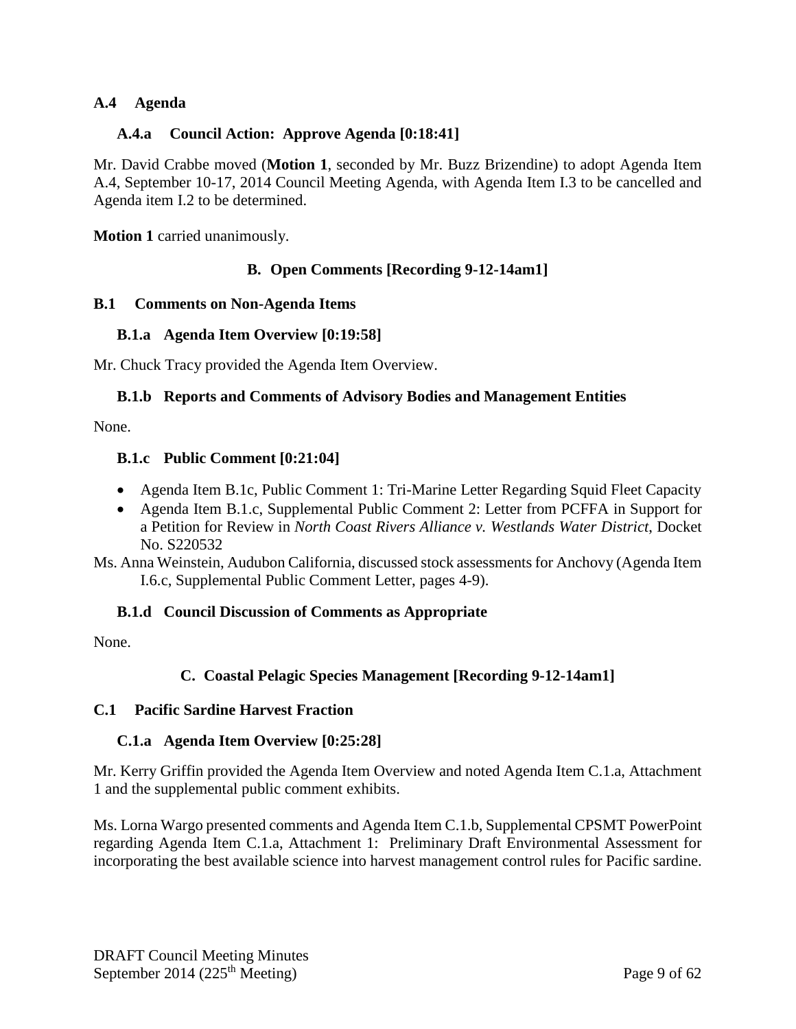## <span id="page-8-0"></span>**A.4 Agenda**

### <span id="page-8-1"></span>**A.4.a Council Action: Approve Agenda [0:18:41]**

Mr. David Crabbe moved (**Motion 1**, seconded by Mr. Buzz Brizendine) to adopt Agenda Item A.4, September 10-17, 2014 Council Meeting Agenda, with Agenda Item I.3 to be cancelled and Agenda item I.2 to be determined.

<span id="page-8-2"></span>**Motion 1** carried unanimously.

### **B. Open Comments [Recording 9-12-14am1]**

#### <span id="page-8-3"></span>**B.1 Comments on Non-Agenda Items**

#### <span id="page-8-4"></span>**B.1.a Agenda Item Overview [0:19:58]**

<span id="page-8-5"></span>Mr. Chuck Tracy provided the Agenda Item Overview.

#### **B.1.b Reports and Comments of Advisory Bodies and Management Entities**

<span id="page-8-6"></span>None.

#### **B.1.c Public Comment [0:21:04]**

- Agenda Item B.1c, Public Comment 1: Tri-Marine Letter Regarding Squid Fleet Capacity
- Agenda Item B.1.c, Supplemental Public Comment 2: Letter from PCFFA in Support for a Petition for Review in *North Coast Rivers Alliance v. Westlands Water District*, Docket No. S220532
- Ms. Anna Weinstein, Audubon California, discussed stock assessments for Anchovy (Agenda Item I.6.c, Supplemental Public Comment Letter, pages 4-9).

#### <span id="page-8-7"></span>**B.1.d Council Discussion of Comments as Appropriate**

<span id="page-8-8"></span>None.

## **C. Coastal Pelagic Species Management [Recording 9-12-14am1]**

#### <span id="page-8-9"></span>**C.1 Pacific Sardine Harvest Fraction**

#### <span id="page-8-10"></span>**C.1.a Agenda Item Overview [0:25:28]**

Mr. Kerry Griffin provided the Agenda Item Overview and noted Agenda Item C.1.a, Attachment 1 and the supplemental public comment exhibits.

Ms. Lorna Wargo presented comments and Agenda Item C.1.b, Supplemental CPSMT PowerPoint regarding Agenda Item C.1.a, Attachment 1: Preliminary Draft Environmental Assessment for incorporating the best available science into harvest management control rules for Pacific sardine.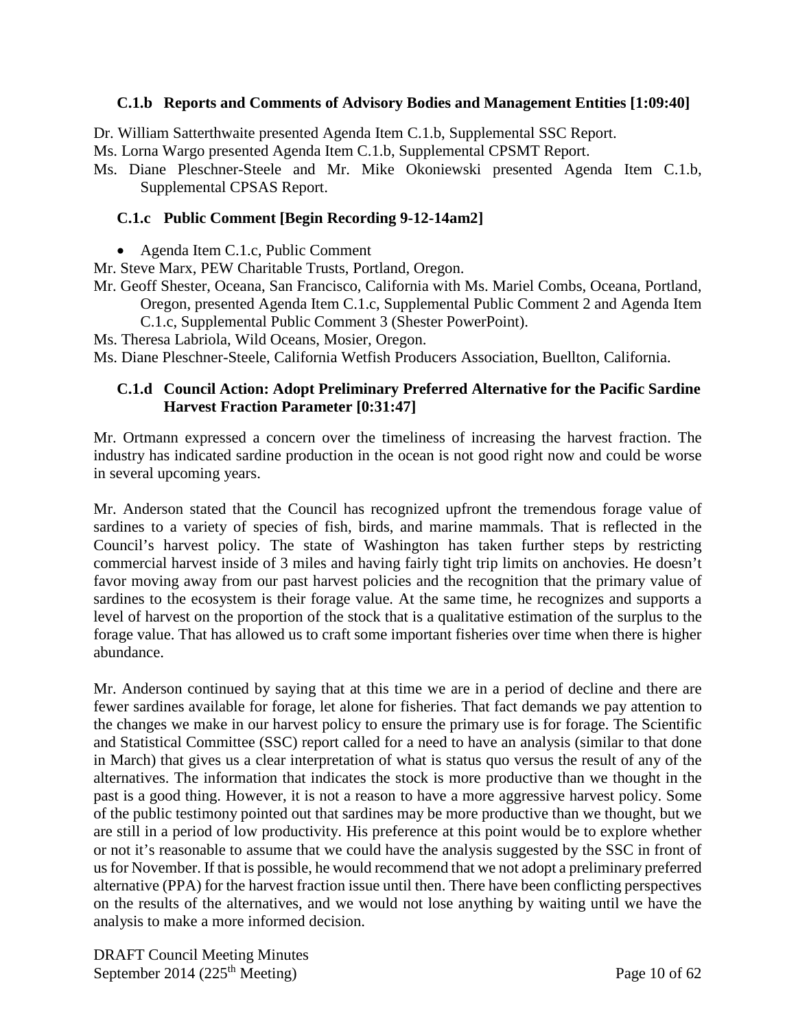## <span id="page-9-0"></span>**C.1.b Reports and Comments of Advisory Bodies and Management Entities [1:09:40]**

Dr. William Satterthwaite presented Agenda Item C.1.b, Supplemental SSC Report.

Ms. Lorna Wargo presented Agenda Item C.1.b, Supplemental CPSMT Report.

Ms. Diane Pleschner-Steele and Mr. Mike Okoniewski presented Agenda Item C.1.b, Supplemental CPSAS Report.

### <span id="page-9-1"></span>**C.1.c Public Comment [Begin Recording 9-12-14am2]**

- Agenda Item C.1.c, Public Comment
- Mr. Steve Marx, PEW Charitable Trusts, Portland, Oregon.
- Mr. Geoff Shester, Oceana, San Francisco, California with Ms. Mariel Combs, Oceana, Portland, Oregon, presented Agenda Item C.1.c, Supplemental Public Comment 2 and Agenda Item
	- C.1.c, Supplemental Public Comment 3 (Shester PowerPoint).
- Ms. Theresa Labriola, Wild Oceans, Mosier, Oregon.

<span id="page-9-2"></span>Ms. Diane Pleschner-Steele, California Wetfish Producers Association, Buellton, California.

## **C.1.d Council Action: Adopt Preliminary Preferred Alternative for the Pacific Sardine Harvest Fraction Parameter [0:31:47]**

Mr. Ortmann expressed a concern over the timeliness of increasing the harvest fraction. The industry has indicated sardine production in the ocean is not good right now and could be worse in several upcoming years.

Mr. Anderson stated that the Council has recognized upfront the tremendous forage value of sardines to a variety of species of fish, birds, and marine mammals. That is reflected in the Council's harvest policy. The state of Washington has taken further steps by restricting commercial harvest inside of 3 miles and having fairly tight trip limits on anchovies. He doesn't favor moving away from our past harvest policies and the recognition that the primary value of sardines to the ecosystem is their forage value. At the same time, he recognizes and supports a level of harvest on the proportion of the stock that is a qualitative estimation of the surplus to the forage value. That has allowed us to craft some important fisheries over time when there is higher abundance.

Mr. Anderson continued by saying that at this time we are in a period of decline and there are fewer sardines available for forage, let alone for fisheries. That fact demands we pay attention to the changes we make in our harvest policy to ensure the primary use is for forage. The Scientific and Statistical Committee (SSC) report called for a need to have an analysis (similar to that done in March) that gives us a clear interpretation of what is status quo versus the result of any of the alternatives. The information that indicates the stock is more productive than we thought in the past is a good thing. However, it is not a reason to have a more aggressive harvest policy. Some of the public testimony pointed out that sardines may be more productive than we thought, but we are still in a period of low productivity. His preference at this point would be to explore whether or not it's reasonable to assume that we could have the analysis suggested by the SSC in front of us for November. If that is possible, he would recommend that we not adopt a preliminary preferred alternative (PPA) for the harvest fraction issue until then. There have been conflicting perspectives on the results of the alternatives, and we would not lose anything by waiting until we have the analysis to make a more informed decision.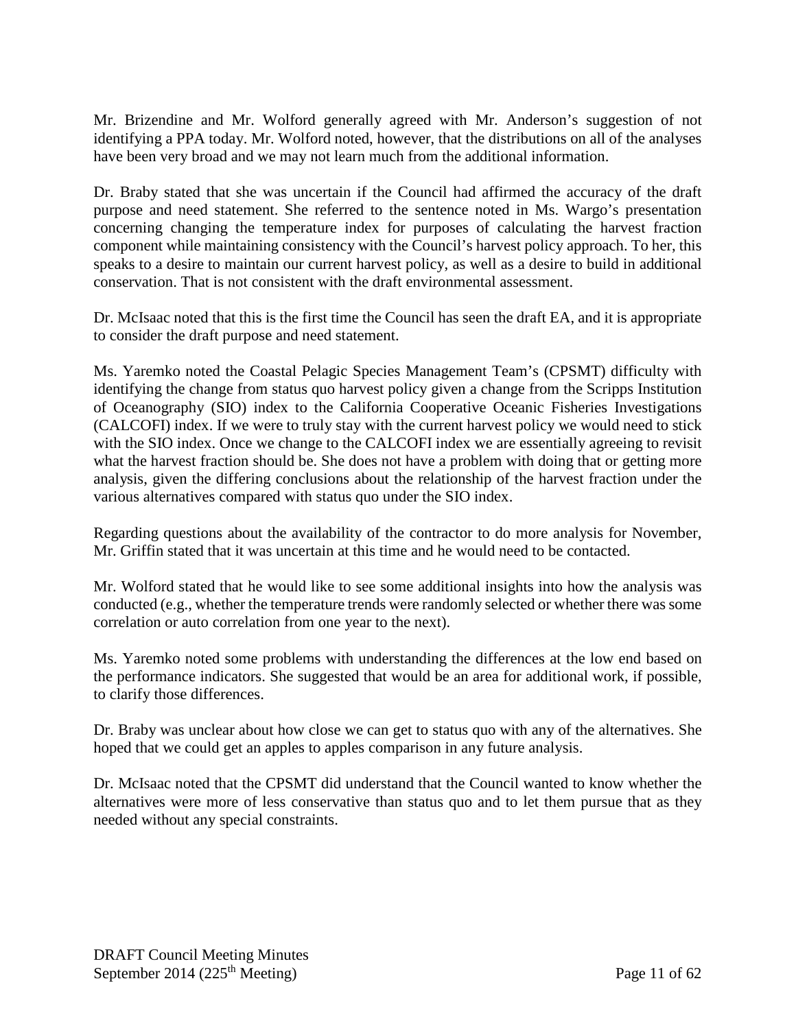Mr. Brizendine and Mr. Wolford generally agreed with Mr. Anderson's suggestion of not identifying a PPA today. Mr. Wolford noted, however, that the distributions on all of the analyses have been very broad and we may not learn much from the additional information.

Dr. Braby stated that she was uncertain if the Council had affirmed the accuracy of the draft purpose and need statement. She referred to the sentence noted in Ms. Wargo's presentation concerning changing the temperature index for purposes of calculating the harvest fraction component while maintaining consistency with the Council's harvest policy approach. To her, this speaks to a desire to maintain our current harvest policy, as well as a desire to build in additional conservation. That is not consistent with the draft environmental assessment.

Dr. McIsaac noted that this is the first time the Council has seen the draft EA, and it is appropriate to consider the draft purpose and need statement.

Ms. Yaremko noted the Coastal Pelagic Species Management Team's (CPSMT) difficulty with identifying the change from status quo harvest policy given a change from the Scripps Institution of Oceanography (SIO) index to the California Cooperative Oceanic Fisheries Investigations (CALCOFI) index. If we were to truly stay with the current harvest policy we would need to stick with the SIO index. Once we change to the CALCOFI index we are essentially agreeing to revisit what the harvest fraction should be. She does not have a problem with doing that or getting more analysis, given the differing conclusions about the relationship of the harvest fraction under the various alternatives compared with status quo under the SIO index.

Regarding questions about the availability of the contractor to do more analysis for November, Mr. Griffin stated that it was uncertain at this time and he would need to be contacted.

Mr. Wolford stated that he would like to see some additional insights into how the analysis was conducted (e.g., whether the temperature trends were randomly selected or whether there was some correlation or auto correlation from one year to the next).

Ms. Yaremko noted some problems with understanding the differences at the low end based on the performance indicators. She suggested that would be an area for additional work, if possible, to clarify those differences.

Dr. Braby was unclear about how close we can get to status quo with any of the alternatives. She hoped that we could get an apples to apples comparison in any future analysis.

Dr. McIsaac noted that the CPSMT did understand that the Council wanted to know whether the alternatives were more of less conservative than status quo and to let them pursue that as they needed without any special constraints.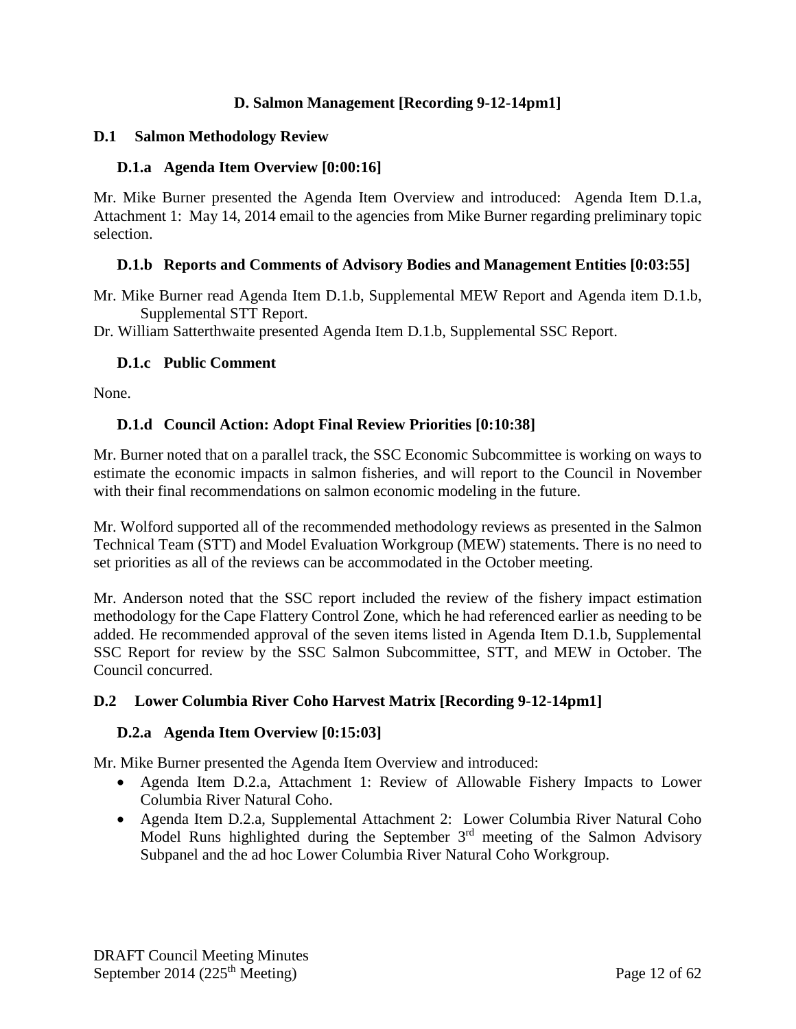### **D. Salmon Management [Recording 9-12-14pm1]**

#### <span id="page-11-1"></span><span id="page-11-0"></span>**D.1 Salmon Methodology Review**

### <span id="page-11-2"></span>**D.1.a Agenda Item Overview [0:00:16]**

Mr. Mike Burner presented the Agenda Item Overview and introduced: Agenda Item D.1.a, Attachment 1: May 14, 2014 email to the agencies from Mike Burner regarding preliminary topic selection.

### <span id="page-11-3"></span>**D.1.b Reports and Comments of Advisory Bodies and Management Entities [0:03:55]**

Mr. Mike Burner read Agenda Item D.1.b, Supplemental MEW Report and Agenda item D.1.b, Supplemental STT Report.

<span id="page-11-4"></span>Dr. William Satterthwaite presented Agenda Item D.1.b, Supplemental SSC Report.

### **D.1.c Public Comment**

<span id="page-11-5"></span>None.

### **D.1.d Council Action: Adopt Final Review Priorities [0:10:38]**

Mr. Burner noted that on a parallel track, the SSC Economic Subcommittee is working on ways to estimate the economic impacts in salmon fisheries, and will report to the Council in November with their final recommendations on salmon economic modeling in the future.

Mr. Wolford supported all of the recommended methodology reviews as presented in the Salmon Technical Team (STT) and Model Evaluation Workgroup (MEW) statements. There is no need to set priorities as all of the reviews can be accommodated in the October meeting.

Mr. Anderson noted that the SSC report included the review of the fishery impact estimation methodology for the Cape Flattery Control Zone, which he had referenced earlier as needing to be added. He recommended approval of the seven items listed in Agenda Item D.1.b, Supplemental SSC Report for review by the SSC Salmon Subcommittee, STT, and MEW in October. The Council concurred.

## <span id="page-11-6"></span>**D.2 Lower Columbia River Coho Harvest Matrix [Recording 9-12-14pm1]**

#### <span id="page-11-7"></span>**D.2.a Agenda Item Overview [0:15:03]**

Mr. Mike Burner presented the Agenda Item Overview and introduced:

- Agenda Item D.2.a, Attachment 1: Review of Allowable Fishery Impacts to Lower Columbia River Natural Coho.
- Agenda Item D.2.a, Supplemental Attachment 2: Lower Columbia River Natural Coho Model Runs highlighted during the September 3<sup>rd</sup> meeting of the Salmon Advisory Subpanel and the ad hoc Lower Columbia River Natural Coho Workgroup.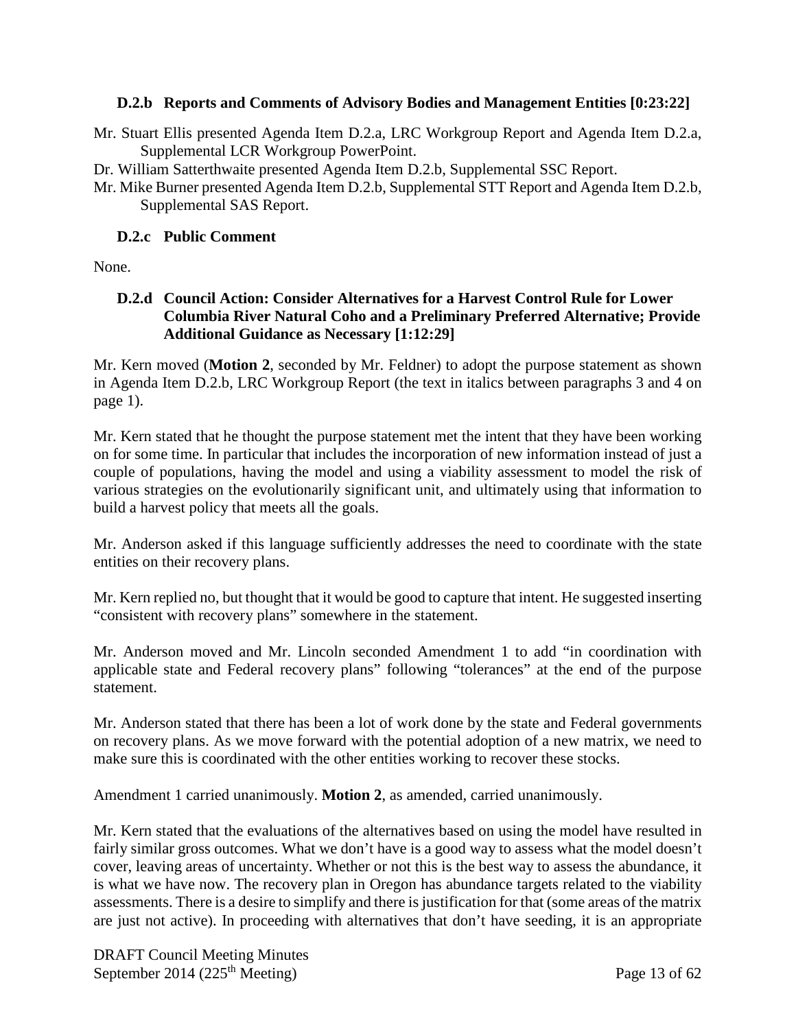## <span id="page-12-0"></span>**D.2.b Reports and Comments of Advisory Bodies and Management Entities [0:23:22]**

- Mr. Stuart Ellis presented Agenda Item D.2.a, LRC Workgroup Report and Agenda Item D.2.a, Supplemental LCR Workgroup PowerPoint.
- Dr. William Satterthwaite presented Agenda Item D.2.b, Supplemental SSC Report.
- Mr. Mike Burner presented Agenda Item D.2.b, Supplemental STT Report and Agenda Item D.2.b, Supplemental SAS Report.

### <span id="page-12-1"></span>**D.2.c Public Comment**

<span id="page-12-2"></span>None.

## **D.2.d Council Action: Consider Alternatives for a Harvest Control Rule for Lower Columbia River Natural Coho and a Preliminary Preferred Alternative; Provide Additional Guidance as Necessary [1:12:29]**

Mr. Kern moved (**Motion 2**, seconded by Mr. Feldner) to adopt the purpose statement as shown in Agenda Item D.2.b, LRC Workgroup Report (the text in italics between paragraphs 3 and 4 on page 1).

Mr. Kern stated that he thought the purpose statement met the intent that they have been working on for some time. In particular that includes the incorporation of new information instead of just a couple of populations, having the model and using a viability assessment to model the risk of various strategies on the evolutionarily significant unit, and ultimately using that information to build a harvest policy that meets all the goals.

Mr. Anderson asked if this language sufficiently addresses the need to coordinate with the state entities on their recovery plans.

Mr. Kern replied no, but thought that it would be good to capture that intent. He suggested inserting "consistent with recovery plans" somewhere in the statement.

Mr. Anderson moved and Mr. Lincoln seconded Amendment 1 to add "in coordination with applicable state and Federal recovery plans" following "tolerances" at the end of the purpose statement.

Mr. Anderson stated that there has been a lot of work done by the state and Federal governments on recovery plans. As we move forward with the potential adoption of a new matrix, we need to make sure this is coordinated with the other entities working to recover these stocks.

Amendment 1 carried unanimously. **Motion 2**, as amended, carried unanimously.

Mr. Kern stated that the evaluations of the alternatives based on using the model have resulted in fairly similar gross outcomes. What we don't have is a good way to assess what the model doesn't cover, leaving areas of uncertainty. Whether or not this is the best way to assess the abundance, it is what we have now. The recovery plan in Oregon has abundance targets related to the viability assessments. There is a desire to simplify and there is justification for that (some areas of the matrix are just not active). In proceeding with alternatives that don't have seeding, it is an appropriate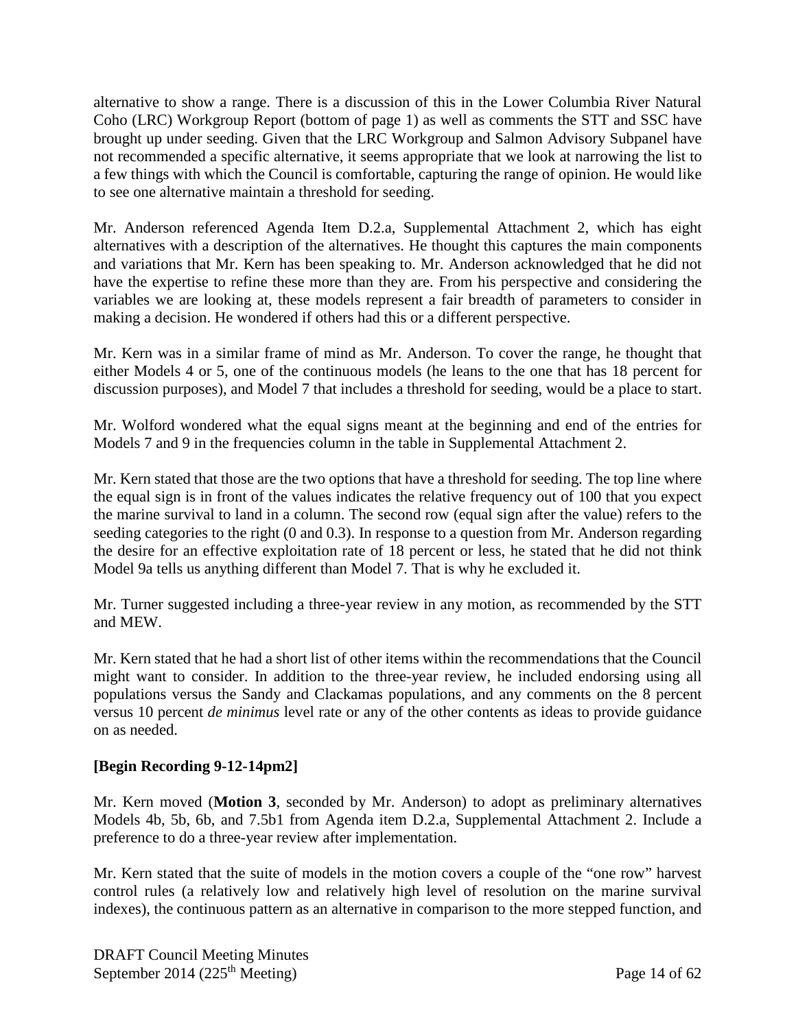alternative to show a range. There is a discussion of this in the Lower Columbia River Natural Coho (LRC) Workgroup Report (bottom of page 1) as well as comments the STT and SSC have brought up under seeding. Given that the LRC Workgroup and Salmon Advisory Subpanel have not recommended a specific alternative, it seems appropriate that we look at narrowing the list to a few things with which the Council is comfortable, capturing the range of opinion. He would like to see one alternative maintain a threshold for seeding.

Mr. Anderson referenced Agenda Item D.2.a, Supplemental Attachment 2, which has eight alternatives with a description of the alternatives. He thought this captures the main components and variations that Mr. Kern has been speaking to. Mr. Anderson acknowledged that he did not have the expertise to refine these more than they are. From his perspective and considering the variables we are looking at, these models represent a fair breadth of parameters to consider in making a decision. He wondered if others had this or a different perspective.

Mr. Kern was in a similar frame of mind as Mr. Anderson. To cover the range, he thought that either Models 4 or 5, one of the continuous models (he leans to the one that has 18 percent for discussion purposes), and Model 7 that includes a threshold for seeding, would be a place to start.

Mr. Wolford wondered what the equal signs meant at the beginning and end of the entries for Models 7 and 9 in the frequencies column in the table in Supplemental Attachment 2.

Mr. Kern stated that those are the two options that have a threshold for seeding. The top line where the equal sign is in front of the values indicates the relative frequency out of 100 that you expect the marine survival to land in a column. The second row (equal sign after the value) refers to the seeding categories to the right (0 and 0.3). In response to a question from Mr. Anderson regarding the desire for an effective exploitation rate of 18 percent or less, he stated that he did not think Model 9a tells us anything different than Model 7. That is why he excluded it.

Mr. Turner suggested including a three-year review in any motion, as recommended by the STT and MEW.

Mr. Kern stated that he had a short list of other items within the recommendations that the Council might want to consider. In addition to the three-year review, he included endorsing using all populations versus the Sandy and Clackamas populations, and any comments on the 8 percent versus 10 percent *de minimus* level rate or any of the other contents as ideas to provide guidance on as needed.

## **[Begin Recording 9-12-14pm2]**

Mr. Kern moved (**Motion 3**, seconded by Mr. Anderson) to adopt as preliminary alternatives Models 4b, 5b, 6b, and 7.5b1 from Agenda item D.2.a, Supplemental Attachment 2. Include a preference to do a three-year review after implementation.

Mr. Kern stated that the suite of models in the motion covers a couple of the "one row" harvest control rules (a relatively low and relatively high level of resolution on the marine survival indexes), the continuous pattern as an alternative in comparison to the more stepped function, and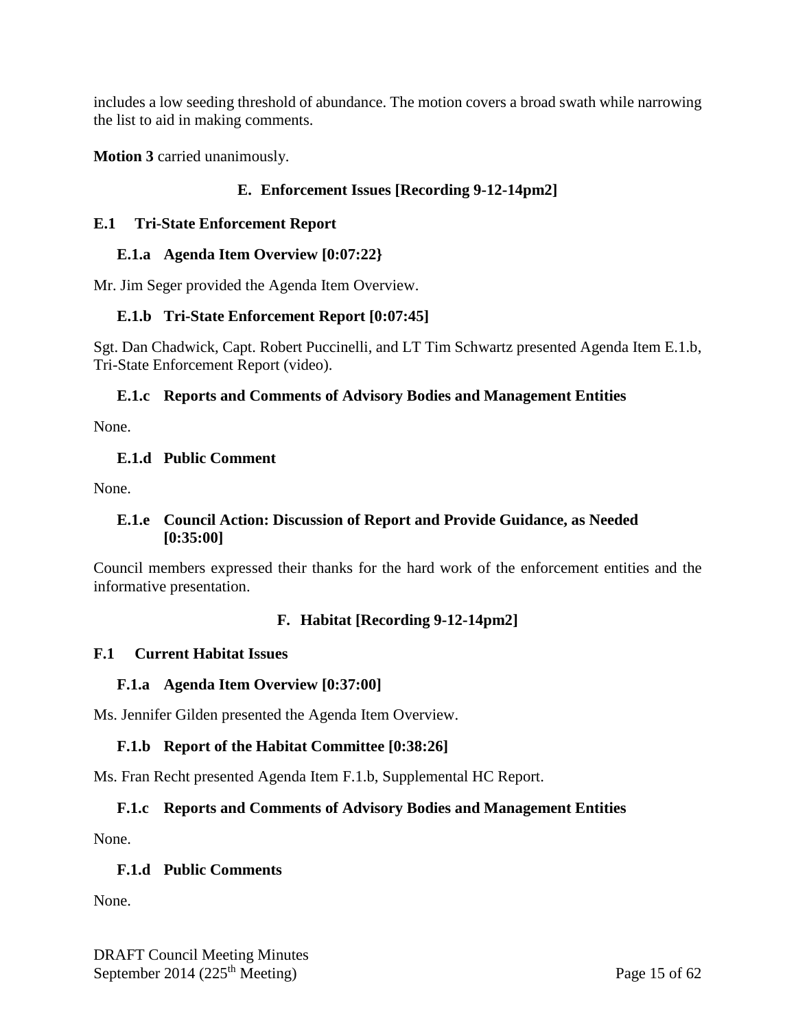includes a low seeding threshold of abundance. The motion covers a broad swath while narrowing the list to aid in making comments.

<span id="page-14-0"></span>**Motion 3** carried unanimously.

## **E. Enforcement Issues [Recording 9-12-14pm2]**

### <span id="page-14-1"></span>**E.1 Tri-State Enforcement Report**

#### <span id="page-14-2"></span>**E.1.a Agenda Item Overview [0:07:22}**

<span id="page-14-3"></span>Mr. Jim Seger provided the Agenda Item Overview.

## **E.1.b Tri-State Enforcement Report [0:07:45]**

Sgt. Dan Chadwick, Capt. Robert Puccinelli, and LT Tim Schwartz presented Agenda Item E.1.b, Tri-State Enforcement Report (video).

## <span id="page-14-4"></span>**E.1.c Reports and Comments of Advisory Bodies and Management Entities**

<span id="page-14-5"></span>None.

### **E.1.d Public Comment**

<span id="page-14-6"></span>None.

### **E.1.e Council Action: Discussion of Report and Provide Guidance, as Needed [0:35:00]**

<span id="page-14-7"></span>Council members expressed their thanks for the hard work of the enforcement entities and the informative presentation.

## **F. Habitat [Recording 9-12-14pm2]**

## <span id="page-14-8"></span>**F.1 Current Habitat Issues**

## <span id="page-14-9"></span>**F.1.a Agenda Item Overview [0:37:00]**

<span id="page-14-10"></span>Ms. Jennifer Gilden presented the Agenda Item Overview.

## **F.1.b Report of the Habitat Committee [0:38:26]**

<span id="page-14-11"></span>Ms. Fran Recht presented Agenda Item F.1.b, Supplemental HC Report.

## **F.1.c Reports and Comments of Advisory Bodies and Management Entities**

<span id="page-14-12"></span>None.

## **F.1.d Public Comments**

None.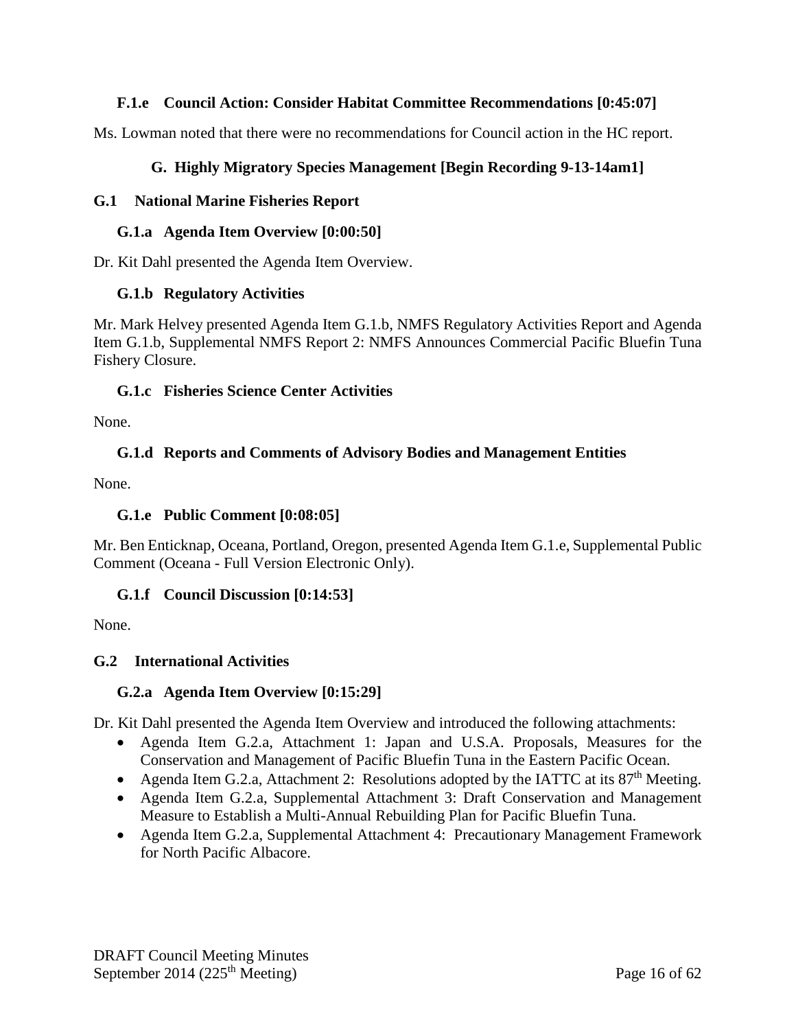## <span id="page-15-0"></span>**F.1.e Council Action: Consider Habitat Committee Recommendations [0:45:07]**

<span id="page-15-1"></span>Ms. Lowman noted that there were no recommendations for Council action in the HC report.

## **G. Highly Migratory Species Management [Begin Recording 9-13-14am1]**

### <span id="page-15-2"></span>**G.1 National Marine Fisheries Report**

#### <span id="page-15-3"></span>**G.1.a Agenda Item Overview [0:00:50]**

<span id="page-15-4"></span>Dr. Kit Dahl presented the Agenda Item Overview.

### **G.1.b Regulatory Activities**

Mr. Mark Helvey presented Agenda Item G.1.b, NMFS Regulatory Activities Report and Agenda Item G.1.b, Supplemental NMFS Report 2: NMFS Announces Commercial Pacific Bluefin Tuna Fishery Closure.

### <span id="page-15-5"></span>**G.1.c Fisheries Science Center Activities**

<span id="page-15-6"></span>None.

# **G.1.d Reports and Comments of Advisory Bodies and Management Entities**

<span id="page-15-7"></span>None.

## **G.1.e Public Comment [0:08:05]**

Mr. Ben Enticknap, Oceana, Portland, Oregon, presented Agenda Item G.1.e, Supplemental Public Comment (Oceana - Full Version Electronic Only).

## <span id="page-15-8"></span>**G.1.f Council Discussion [0:14:53]**

None.

## <span id="page-15-9"></span>**G.2 International Activities**

## <span id="page-15-10"></span>**G.2.a Agenda Item Overview [0:15:29]**

Dr. Kit Dahl presented the Agenda Item Overview and introduced the following attachments:

- Agenda Item G.2.a, Attachment 1: Japan and U.S.A. Proposals, Measures for the Conservation and Management of Pacific Bluefin Tuna in the Eastern Pacific Ocean.
- Agenda Item G.2.a, Attachment 2: Resolutions adopted by the IATTC at its  $87<sup>th</sup>$  Meeting.
- Agenda Item G.2.a, Supplemental Attachment 3: Draft Conservation and Management Measure to Establish a Multi-Annual Rebuilding Plan for Pacific Bluefin Tuna.
- Agenda Item G.2.a, Supplemental Attachment 4: Precautionary Management Framework for North Pacific Albacore.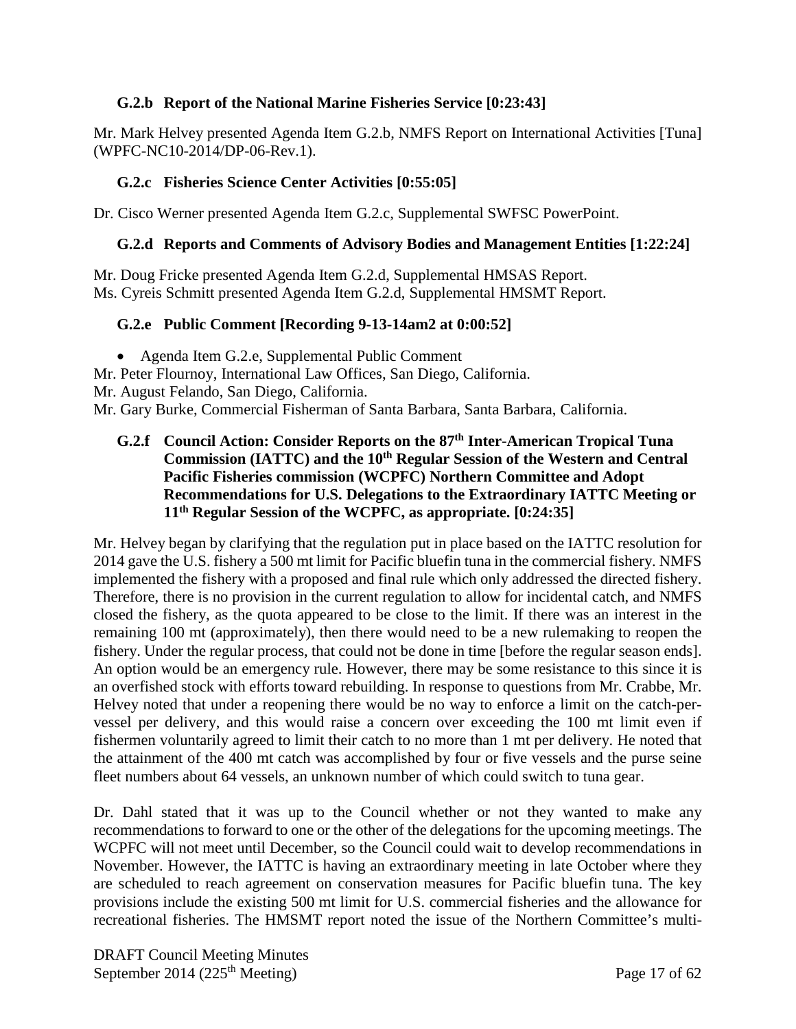## <span id="page-16-0"></span>**G.2.b Report of the National Marine Fisheries Service [0:23:43]**

Mr. Mark Helvey presented Agenda Item G.2.b, NMFS Report on International Activities [Tuna] (WPFC-NC10-2014/DP-06-Rev.1).

#### <span id="page-16-1"></span>**G.2.c Fisheries Science Center Activities [0:55:05]**

<span id="page-16-2"></span>Dr. Cisco Werner presented Agenda Item G.2.c, Supplemental SWFSC PowerPoint.

#### **G.2.d Reports and Comments of Advisory Bodies and Management Entities [1:22:24]**

Mr. Doug Fricke presented Agenda Item G.2.d, Supplemental HMSAS Report. Ms. Cyreis Schmitt presented Agenda Item G.2.d, Supplemental HMSMT Report.

### <span id="page-16-3"></span>**G.2.e Public Comment [Recording 9-13-14am2 at 0:00:52]**

• Agenda Item G.2.e, Supplemental Public Comment

Mr. Peter Flournoy, International Law Offices, San Diego, California.

Mr. August Felando, San Diego, California.

<span id="page-16-4"></span>Mr. Gary Burke, Commercial Fisherman of Santa Barbara, Santa Barbara, California.

**G.2.f Council Action: Consider Reports on the 87th Inter-American Tropical Tuna**  Commission (IATTC) and the 10<sup>th</sup> Regular Session of the Western and Central **Pacific Fisheries commission (WCPFC) Northern Committee and Adopt Recommendations for U.S. Delegations to the Extraordinary IATTC Meeting or 11th Regular Session of the WCPFC, as appropriate. [0:24:35]**

Mr. Helvey began by clarifying that the regulation put in place based on the IATTC resolution for 2014 gave the U.S. fishery a 500 mt limit for Pacific bluefin tuna in the commercial fishery. NMFS implemented the fishery with a proposed and final rule which only addressed the directed fishery. Therefore, there is no provision in the current regulation to allow for incidental catch, and NMFS closed the fishery, as the quota appeared to be close to the limit. If there was an interest in the remaining 100 mt (approximately), then there would need to be a new rulemaking to reopen the fishery. Under the regular process, that could not be done in time [before the regular season ends]. An option would be an emergency rule. However, there may be some resistance to this since it is an overfished stock with efforts toward rebuilding. In response to questions from Mr. Crabbe, Mr. Helvey noted that under a reopening there would be no way to enforce a limit on the catch-pervessel per delivery, and this would raise a concern over exceeding the 100 mt limit even if fishermen voluntarily agreed to limit their catch to no more than 1 mt per delivery. He noted that the attainment of the 400 mt catch was accomplished by four or five vessels and the purse seine fleet numbers about 64 vessels, an unknown number of which could switch to tuna gear.

Dr. Dahl stated that it was up to the Council whether or not they wanted to make any recommendations to forward to one or the other of the delegations for the upcoming meetings. The WCPFC will not meet until December, so the Council could wait to develop recommendations in November. However, the IATTC is having an extraordinary meeting in late October where they are scheduled to reach agreement on conservation measures for Pacific bluefin tuna. The key provisions include the existing 500 mt limit for U.S. commercial fisheries and the allowance for recreational fisheries. The HMSMT report noted the issue of the Northern Committee's multi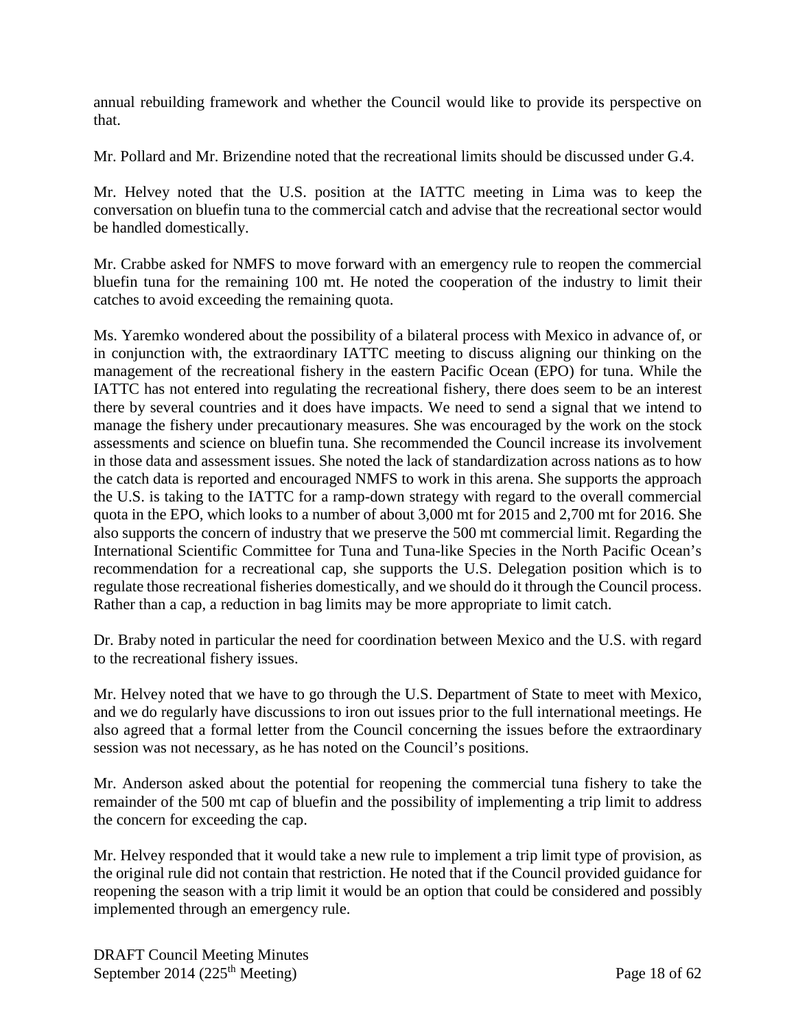annual rebuilding framework and whether the Council would like to provide its perspective on that.

Mr. Pollard and Mr. Brizendine noted that the recreational limits should be discussed under G.4.

Mr. Helvey noted that the U.S. position at the IATTC meeting in Lima was to keep the conversation on bluefin tuna to the commercial catch and advise that the recreational sector would be handled domestically.

Mr. Crabbe asked for NMFS to move forward with an emergency rule to reopen the commercial bluefin tuna for the remaining 100 mt. He noted the cooperation of the industry to limit their catches to avoid exceeding the remaining quota.

Ms. Yaremko wondered about the possibility of a bilateral process with Mexico in advance of, or in conjunction with, the extraordinary IATTC meeting to discuss aligning our thinking on the management of the recreational fishery in the eastern Pacific Ocean (EPO) for tuna. While the IATTC has not entered into regulating the recreational fishery, there does seem to be an interest there by several countries and it does have impacts. We need to send a signal that we intend to manage the fishery under precautionary measures. She was encouraged by the work on the stock assessments and science on bluefin tuna. She recommended the Council increase its involvement in those data and assessment issues. She noted the lack of standardization across nations as to how the catch data is reported and encouraged NMFS to work in this arena. She supports the approach the U.S. is taking to the IATTC for a ramp-down strategy with regard to the overall commercial quota in the EPO, which looks to a number of about 3,000 mt for 2015 and 2,700 mt for 2016. She also supports the concern of industry that we preserve the 500 mt commercial limit. Regarding the International Scientific Committee for Tuna and Tuna-like Species in the North Pacific Ocean's recommendation for a recreational cap, she supports the U.S. Delegation position which is to regulate those recreational fisheries domestically, and we should do it through the Council process. Rather than a cap, a reduction in bag limits may be more appropriate to limit catch.

Dr. Braby noted in particular the need for coordination between Mexico and the U.S. with regard to the recreational fishery issues.

Mr. Helvey noted that we have to go through the U.S. Department of State to meet with Mexico, and we do regularly have discussions to iron out issues prior to the full international meetings. He also agreed that a formal letter from the Council concerning the issues before the extraordinary session was not necessary, as he has noted on the Council's positions.

Mr. Anderson asked about the potential for reopening the commercial tuna fishery to take the remainder of the 500 mt cap of bluefin and the possibility of implementing a trip limit to address the concern for exceeding the cap.

Mr. Helvey responded that it would take a new rule to implement a trip limit type of provision, as the original rule did not contain that restriction. He noted that if the Council provided guidance for reopening the season with a trip limit it would be an option that could be considered and possibly implemented through an emergency rule.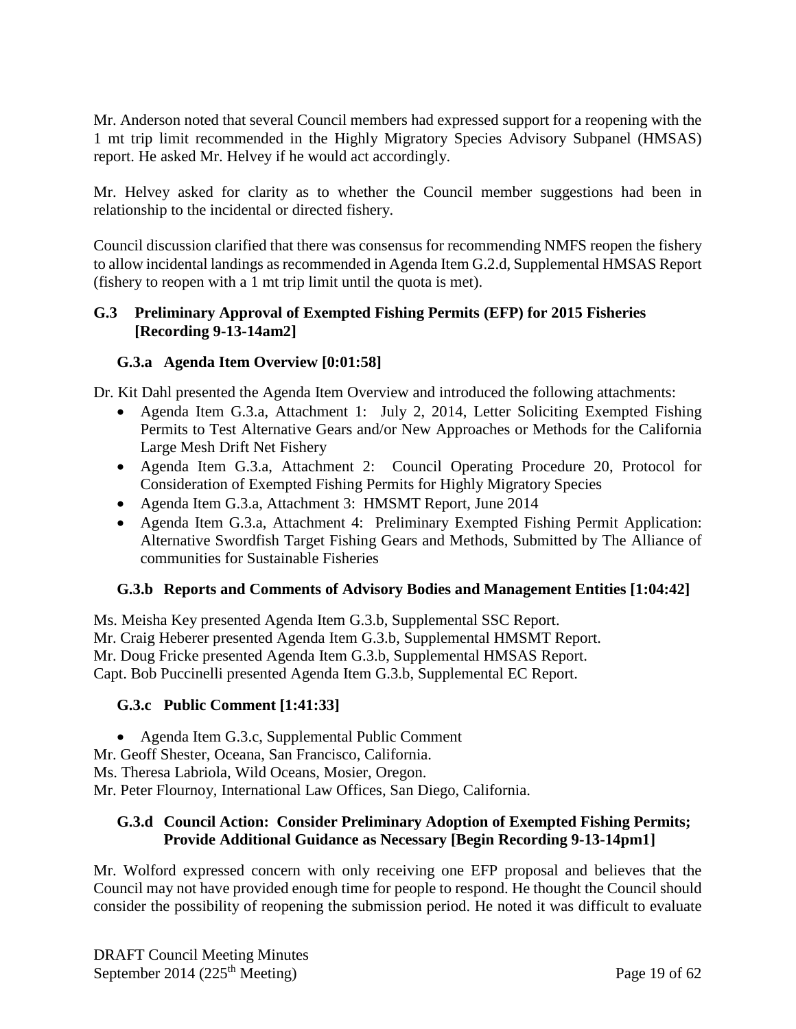Mr. Anderson noted that several Council members had expressed support for a reopening with the 1 mt trip limit recommended in the Highly Migratory Species Advisory Subpanel (HMSAS) report. He asked Mr. Helvey if he would act accordingly.

Mr. Helvey asked for clarity as to whether the Council member suggestions had been in relationship to the incidental or directed fishery.

Council discussion clarified that there was consensus for recommending NMFS reopen the fishery to allow incidental landings as recommended in Agenda Item G.2.d, Supplemental HMSAS Report (fishery to reopen with a 1 mt trip limit until the quota is met).

### <span id="page-18-0"></span>**G.3 Preliminary Approval of Exempted Fishing Permits (EFP) for 2015 Fisheries [Recording 9-13-14am2]**

### <span id="page-18-1"></span>**G.3.a Agenda Item Overview [0:01:58]**

Dr. Kit Dahl presented the Agenda Item Overview and introduced the following attachments:

- Agenda Item G.3.a, Attachment 1: July 2, 2014, Letter Soliciting Exempted Fishing Permits to Test Alternative Gears and/or New Approaches or Methods for the California Large Mesh Drift Net Fishery
- Agenda Item G.3.a, Attachment 2: Council Operating Procedure 20, Protocol for Consideration of Exempted Fishing Permits for Highly Migratory Species
- Agenda Item G.3.a, Attachment 3: HMSMT Report, June 2014
- Agenda Item G.3.a, Attachment 4: Preliminary Exempted Fishing Permit Application: Alternative Swordfish Target Fishing Gears and Methods, Submitted by The Alliance of communities for Sustainable Fisheries

## <span id="page-18-2"></span>**G.3.b Reports and Comments of Advisory Bodies and Management Entities [1:04:42]**

Ms. Meisha Key presented Agenda Item G.3.b, Supplemental SSC Report. Mr. Craig Heberer presented Agenda Item G.3.b, Supplemental HMSMT Report. Mr. Doug Fricke presented Agenda Item G.3.b, Supplemental HMSAS Report. Capt. Bob Puccinelli presented Agenda Item G.3.b, Supplemental EC Report.

## <span id="page-18-3"></span>**G.3.c Public Comment [1:41:33]**

- Agenda Item G.3.c, Supplemental Public Comment
- Mr. Geoff Shester, Oceana, San Francisco, California.
- Ms. Theresa Labriola, Wild Oceans, Mosier, Oregon.
- <span id="page-18-4"></span>Mr. Peter Flournoy, International Law Offices, San Diego, California.

### **G.3.d Council Action: Consider Preliminary Adoption of Exempted Fishing Permits; Provide Additional Guidance as Necessary [Begin Recording 9-13-14pm1]**

Mr. Wolford expressed concern with only receiving one EFP proposal and believes that the Council may not have provided enough time for people to respond. He thought the Council should consider the possibility of reopening the submission period. He noted it was difficult to evaluate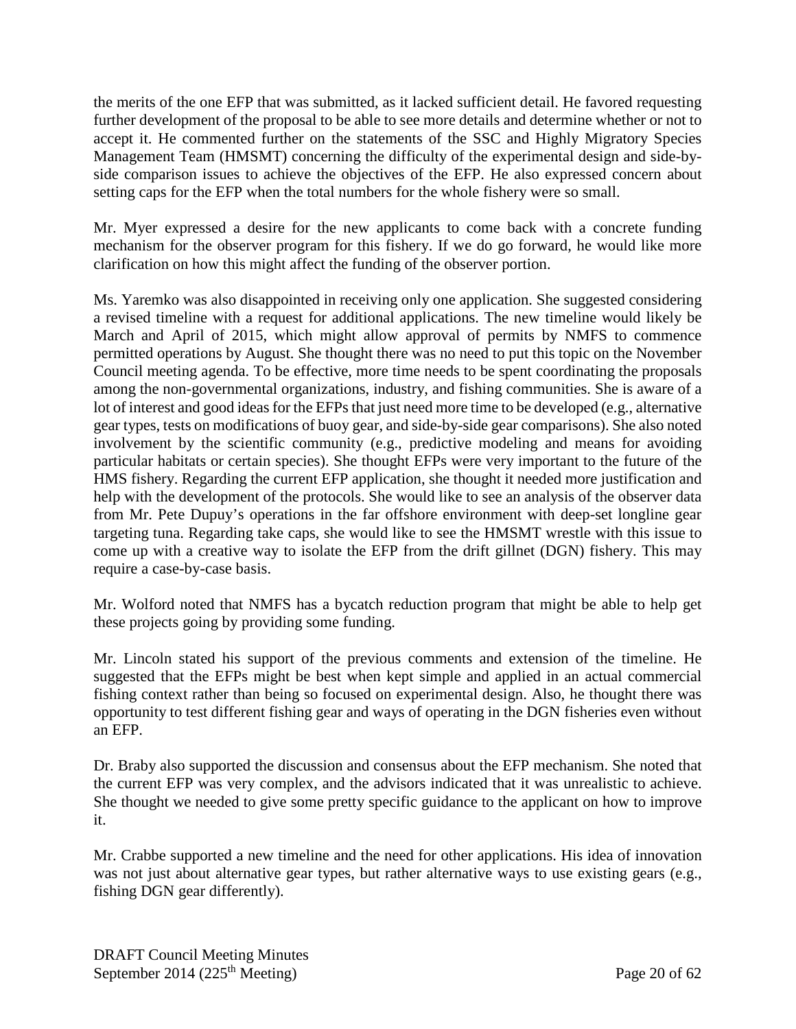the merits of the one EFP that was submitted, as it lacked sufficient detail. He favored requesting further development of the proposal to be able to see more details and determine whether or not to accept it. He commented further on the statements of the SSC and Highly Migratory Species Management Team (HMSMT) concerning the difficulty of the experimental design and side-byside comparison issues to achieve the objectives of the EFP. He also expressed concern about setting caps for the EFP when the total numbers for the whole fishery were so small.

Mr. Myer expressed a desire for the new applicants to come back with a concrete funding mechanism for the observer program for this fishery. If we do go forward, he would like more clarification on how this might affect the funding of the observer portion.

Ms. Yaremko was also disappointed in receiving only one application. She suggested considering a revised timeline with a request for additional applications. The new timeline would likely be March and April of 2015, which might allow approval of permits by NMFS to commence permitted operations by August. She thought there was no need to put this topic on the November Council meeting agenda. To be effective, more time needs to be spent coordinating the proposals among the non-governmental organizations, industry, and fishing communities. She is aware of a lot of interest and good ideas for the EFPs that just need more time to be developed (e.g., alternative gear types, tests on modifications of buoy gear, and side-by-side gear comparisons). She also noted involvement by the scientific community (e.g., predictive modeling and means for avoiding particular habitats or certain species). She thought EFPs were very important to the future of the HMS fishery. Regarding the current EFP application, she thought it needed more justification and help with the development of the protocols. She would like to see an analysis of the observer data from Mr. Pete Dupuy's operations in the far offshore environment with deep-set longline gear targeting tuna. Regarding take caps, she would like to see the HMSMT wrestle with this issue to come up with a creative way to isolate the EFP from the drift gillnet (DGN) fishery. This may require a case-by-case basis.

Mr. Wolford noted that NMFS has a bycatch reduction program that might be able to help get these projects going by providing some funding.

Mr. Lincoln stated his support of the previous comments and extension of the timeline. He suggested that the EFPs might be best when kept simple and applied in an actual commercial fishing context rather than being so focused on experimental design. Also, he thought there was opportunity to test different fishing gear and ways of operating in the DGN fisheries even without an EFP.

Dr. Braby also supported the discussion and consensus about the EFP mechanism. She noted that the current EFP was very complex, and the advisors indicated that it was unrealistic to achieve. She thought we needed to give some pretty specific guidance to the applicant on how to improve it.

Mr. Crabbe supported a new timeline and the need for other applications. His idea of innovation was not just about alternative gear types, but rather alternative ways to use existing gears (e.g., fishing DGN gear differently).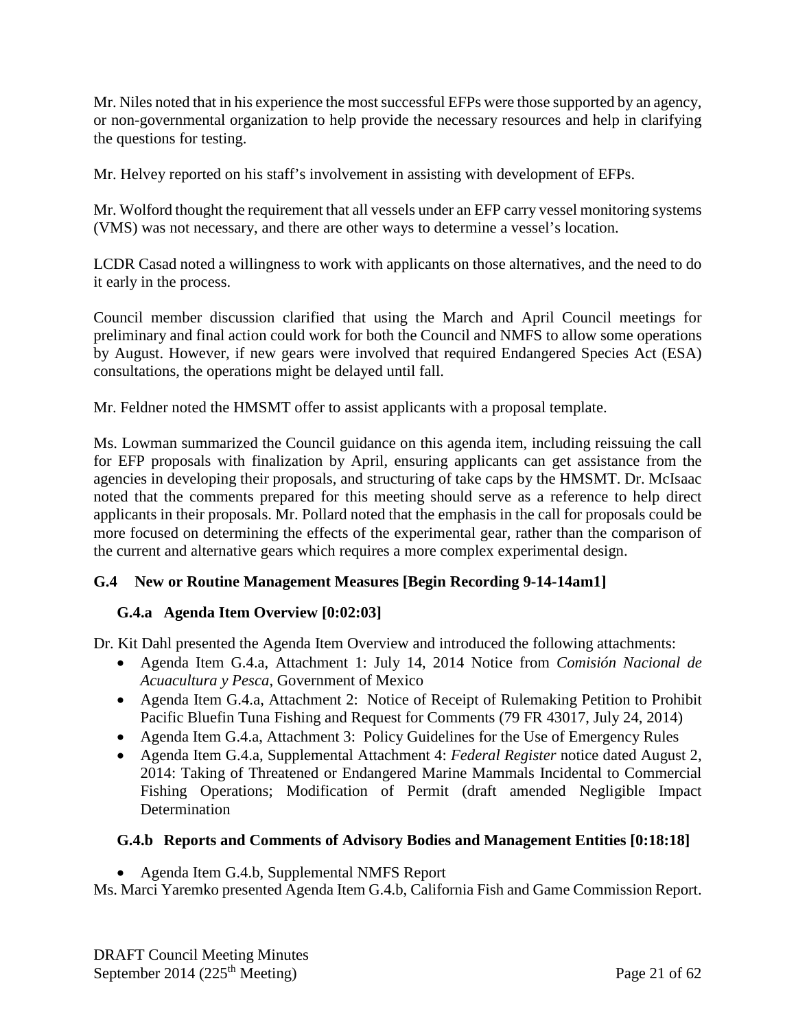Mr. Niles noted that in his experience the most successful EFPs were those supported by an agency, or non-governmental organization to help provide the necessary resources and help in clarifying the questions for testing.

Mr. Helvey reported on his staff's involvement in assisting with development of EFPs.

Mr. Wolford thought the requirement that all vessels under an EFP carry vessel monitoring systems (VMS) was not necessary, and there are other ways to determine a vessel's location.

LCDR Casad noted a willingness to work with applicants on those alternatives, and the need to do it early in the process.

Council member discussion clarified that using the March and April Council meetings for preliminary and final action could work for both the Council and NMFS to allow some operations by August. However, if new gears were involved that required Endangered Species Act (ESA) consultations, the operations might be delayed until fall.

Mr. Feldner noted the HMSMT offer to assist applicants with a proposal template.

Ms. Lowman summarized the Council guidance on this agenda item, including reissuing the call for EFP proposals with finalization by April, ensuring applicants can get assistance from the agencies in developing their proposals, and structuring of take caps by the HMSMT. Dr. McIsaac noted that the comments prepared for this meeting should serve as a reference to help direct applicants in their proposals. Mr. Pollard noted that the emphasis in the call for proposals could be more focused on determining the effects of the experimental gear, rather than the comparison of the current and alternative gears which requires a more complex experimental design.

# <span id="page-20-0"></span>**G.4 New or Routine Management Measures [Begin Recording 9-14-14am1]**

## <span id="page-20-1"></span>**G.4.a Agenda Item Overview [0:02:03]**

Dr. Kit Dahl presented the Agenda Item Overview and introduced the following attachments:

- Agenda Item G.4.a, Attachment 1: July 14, 2014 Notice from *Comisión Nacional de Acuacultura y Pesca*, Government of Mexico
- Agenda Item G.4.a, Attachment 2: Notice of Receipt of Rulemaking Petition to Prohibit Pacific Bluefin Tuna Fishing and Request for Comments (79 FR 43017, July 24, 2014)
- Agenda Item G.4.a, Attachment 3: Policy Guidelines for the Use of Emergency Rules
- Agenda Item G.4.a, Supplemental Attachment 4: *Federal Register* notice dated August 2, 2014: Taking of Threatened or Endangered Marine Mammals Incidental to Commercial Fishing Operations; Modification of Permit (draft amended Negligible Impact Determination

# <span id="page-20-2"></span>**G.4.b Reports and Comments of Advisory Bodies and Management Entities [0:18:18]**

• Agenda Item G.4.b, Supplemental NMFS Report

Ms. Marci Yaremko presented Agenda Item G.4.b, California Fish and Game Commission Report.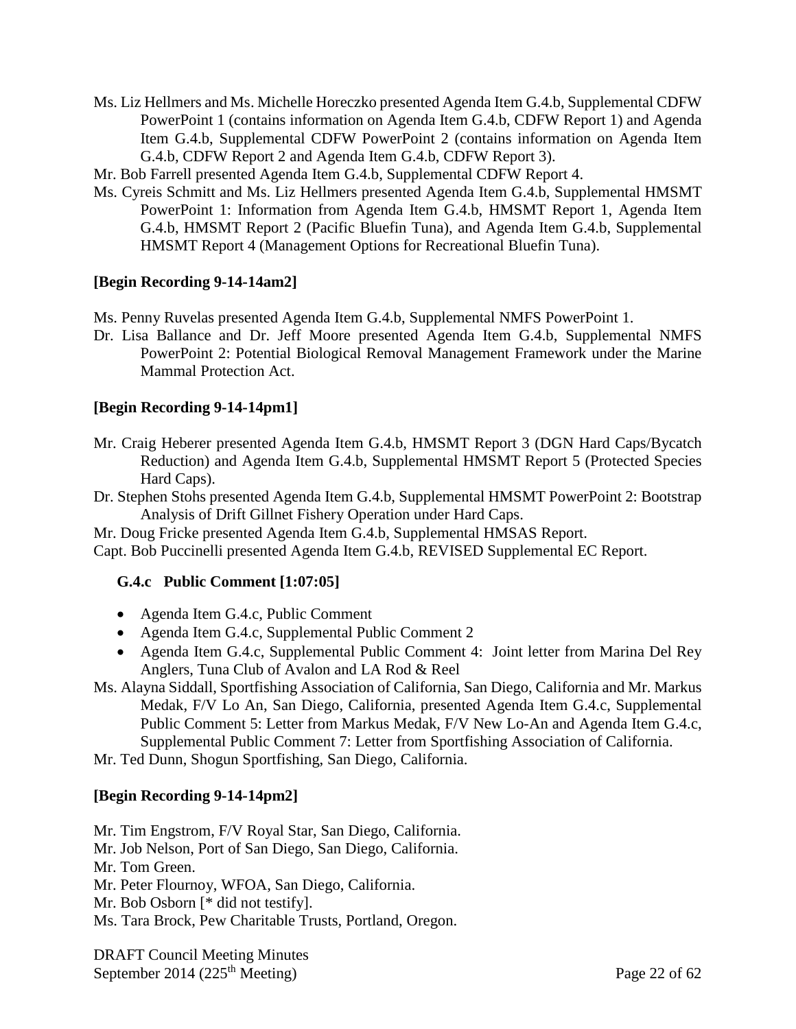Ms. Liz Hellmers and Ms. Michelle Horeczko presented Agenda Item G.4.b, Supplemental CDFW PowerPoint 1 (contains information on Agenda Item G.4.b, CDFW Report 1) and Agenda Item G.4.b, Supplemental CDFW PowerPoint 2 (contains information on Agenda Item G.4.b, CDFW Report 2 and Agenda Item G.4.b, CDFW Report 3).

Mr. Bob Farrell presented Agenda Item G.4.b, Supplemental CDFW Report 4.

Ms. Cyreis Schmitt and Ms. Liz Hellmers presented Agenda Item G.4.b, Supplemental HMSMT PowerPoint 1: Information from Agenda Item G.4.b, HMSMT Report 1, Agenda Item G.4.b, HMSMT Report 2 (Pacific Bluefin Tuna), and Agenda Item G.4.b, Supplemental HMSMT Report 4 (Management Options for Recreational Bluefin Tuna).

# **[Begin Recording 9-14-14am2]**

Ms. Penny Ruvelas presented Agenda Item G.4.b, Supplemental NMFS PowerPoint 1.

Dr. Lisa Ballance and Dr. Jeff Moore presented Agenda Item G.4.b, Supplemental NMFS PowerPoint 2: Potential Biological Removal Management Framework under the Marine Mammal Protection Act.

## **[Begin Recording 9-14-14pm1]**

- Mr. Craig Heberer presented Agenda Item G.4.b, HMSMT Report 3 (DGN Hard Caps/Bycatch Reduction) and Agenda Item G.4.b, Supplemental HMSMT Report 5 (Protected Species Hard Caps).
- Dr. Stephen Stohs presented Agenda Item G.4.b, Supplemental HMSMT PowerPoint 2: Bootstrap Analysis of Drift Gillnet Fishery Operation under Hard Caps.

Mr. Doug Fricke presented Agenda Item G.4.b, Supplemental HMSAS Report. Capt. Bob Puccinelli presented Agenda Item G.4.b, REVISED Supplemental EC Report.

## <span id="page-21-0"></span>**G.4.c Public Comment [1:07:05]**

- Agenda Item G.4.c, Public Comment
- Agenda Item G.4.c, Supplemental Public Comment 2
- Agenda Item G.4.c, Supplemental Public Comment 4: Joint letter from Marina Del Rey Anglers, Tuna Club of Avalon and LA Rod & Reel
- Ms. Alayna Siddall, Sportfishing Association of California, San Diego, California and Mr. Markus Medak, F/V Lo An, San Diego, California, presented Agenda Item G.4.c, Supplemental Public Comment 5: Letter from Markus Medak, F/V New Lo-An and Agenda Item G.4.c, Supplemental Public Comment 7: Letter from Sportfishing Association of California.

Mr. Ted Dunn, Shogun Sportfishing, San Diego, California.

## **[Begin Recording 9-14-14pm2]**

Mr. Tim Engstrom, F/V Royal Star, San Diego, California. Mr. Job Nelson, Port of San Diego, San Diego, California. Mr. Tom Green. Mr. Peter Flournoy, WFOA, San Diego, California. Mr. Bob Osborn [\* did not testify]. Ms. Tara Brock, Pew Charitable Trusts, Portland, Oregon.

DRAFT Council Meeting Minutes September 2014 (225<sup>th</sup> Meeting) Page 22 of  $62$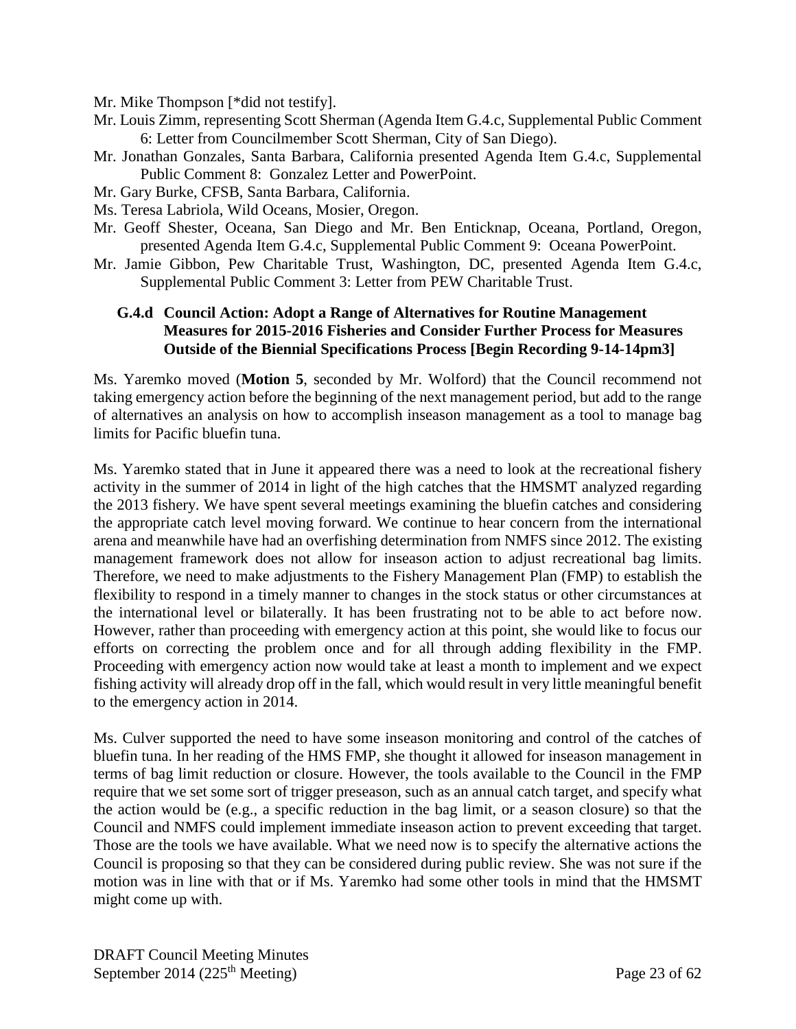- Mr. Mike Thompson [\*did not testify].
- Mr. Louis Zimm, representing Scott Sherman (Agenda Item G.4.c, Supplemental Public Comment 6: Letter from Councilmember Scott Sherman, City of San Diego).
- Mr. Jonathan Gonzales, Santa Barbara, California presented Agenda Item G.4.c, Supplemental Public Comment 8: Gonzalez Letter and PowerPoint.
- Mr. Gary Burke, CFSB, Santa Barbara, California.
- Ms. Teresa Labriola, Wild Oceans, Mosier, Oregon.
- Mr. Geoff Shester, Oceana, San Diego and Mr. Ben Enticknap, Oceana, Portland, Oregon, presented Agenda Item G.4.c, Supplemental Public Comment 9: Oceana PowerPoint.
- Mr. Jamie Gibbon, Pew Charitable Trust, Washington, DC, presented Agenda Item G.4.c, Supplemental Public Comment 3: Letter from PEW Charitable Trust.

#### <span id="page-22-0"></span>**G.4.d Council Action: Adopt a Range of Alternatives for Routine Management Measures for 2015-2016 Fisheries and Consider Further Process for Measures Outside of the Biennial Specifications Process [Begin Recording 9-14-14pm3]**

Ms. Yaremko moved (**Motion 5**, seconded by Mr. Wolford) that the Council recommend not taking emergency action before the beginning of the next management period, but add to the range of alternatives an analysis on how to accomplish inseason management as a tool to manage bag limits for Pacific bluefin tuna.

Ms. Yaremko stated that in June it appeared there was a need to look at the recreational fishery activity in the summer of 2014 in light of the high catches that the HMSMT analyzed regarding the 2013 fishery. We have spent several meetings examining the bluefin catches and considering the appropriate catch level moving forward. We continue to hear concern from the international arena and meanwhile have had an overfishing determination from NMFS since 2012. The existing management framework does not allow for inseason action to adjust recreational bag limits. Therefore, we need to make adjustments to the Fishery Management Plan (FMP) to establish the flexibility to respond in a timely manner to changes in the stock status or other circumstances at the international level or bilaterally. It has been frustrating not to be able to act before now. However, rather than proceeding with emergency action at this point, she would like to focus our efforts on correcting the problem once and for all through adding flexibility in the FMP. Proceeding with emergency action now would take at least a month to implement and we expect fishing activity will already drop off in the fall, which would result in very little meaningful benefit to the emergency action in 2014.

Ms. Culver supported the need to have some inseason monitoring and control of the catches of bluefin tuna. In her reading of the HMS FMP, she thought it allowed for inseason management in terms of bag limit reduction or closure. However, the tools available to the Council in the FMP require that we set some sort of trigger preseason, such as an annual catch target, and specify what the action would be (e.g., a specific reduction in the bag limit, or a season closure) so that the Council and NMFS could implement immediate inseason action to prevent exceeding that target. Those are the tools we have available. What we need now is to specify the alternative actions the Council is proposing so that they can be considered during public review. She was not sure if the motion was in line with that or if Ms. Yaremko had some other tools in mind that the HMSMT might come up with.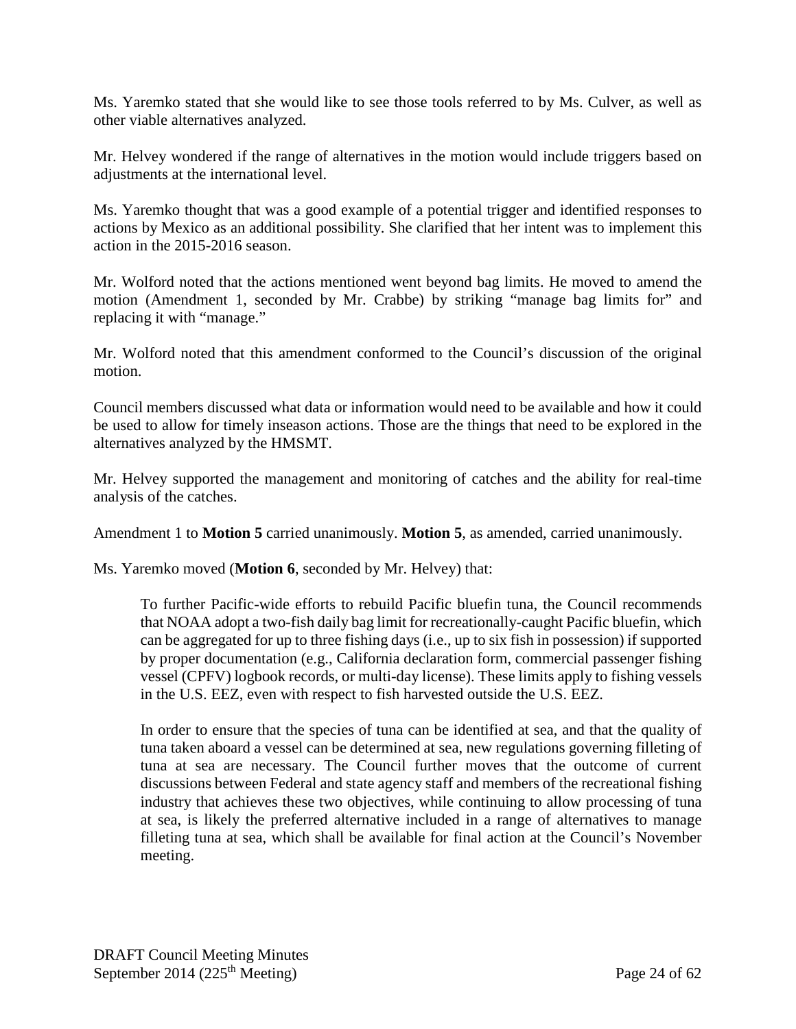Ms. Yaremko stated that she would like to see those tools referred to by Ms. Culver, as well as other viable alternatives analyzed.

Mr. Helvey wondered if the range of alternatives in the motion would include triggers based on adjustments at the international level.

Ms. Yaremko thought that was a good example of a potential trigger and identified responses to actions by Mexico as an additional possibility. She clarified that her intent was to implement this action in the 2015-2016 season.

Mr. Wolford noted that the actions mentioned went beyond bag limits. He moved to amend the motion (Amendment 1, seconded by Mr. Crabbe) by striking "manage bag limits for" and replacing it with "manage."

Mr. Wolford noted that this amendment conformed to the Council's discussion of the original motion.

Council members discussed what data or information would need to be available and how it could be used to allow for timely inseason actions. Those are the things that need to be explored in the alternatives analyzed by the HMSMT.

Mr. Helvey supported the management and monitoring of catches and the ability for real-time analysis of the catches.

Amendment 1 to **Motion 5** carried unanimously. **Motion 5**, as amended, carried unanimously.

Ms. Yaremko moved (**Motion 6**, seconded by Mr. Helvey) that:

To further Pacific-wide efforts to rebuild Pacific bluefin tuna, the Council recommends that NOAA adopt a two-fish daily bag limit for recreationally-caught Pacific bluefin, which can be aggregated for up to three fishing days (i.e., up to six fish in possession) if supported by proper documentation (e.g., California declaration form, commercial passenger fishing vessel (CPFV) logbook records, or multi-day license). These limits apply to fishing vessels in the U.S. EEZ, even with respect to fish harvested outside the U.S. EEZ.

In order to ensure that the species of tuna can be identified at sea, and that the quality of tuna taken aboard a vessel can be determined at sea, new regulations governing filleting of tuna at sea are necessary. The Council further moves that the outcome of current discussions between Federal and state agency staff and members of the recreational fishing industry that achieves these two objectives, while continuing to allow processing of tuna at sea, is likely the preferred alternative included in a range of alternatives to manage filleting tuna at sea, which shall be available for final action at the Council's November meeting.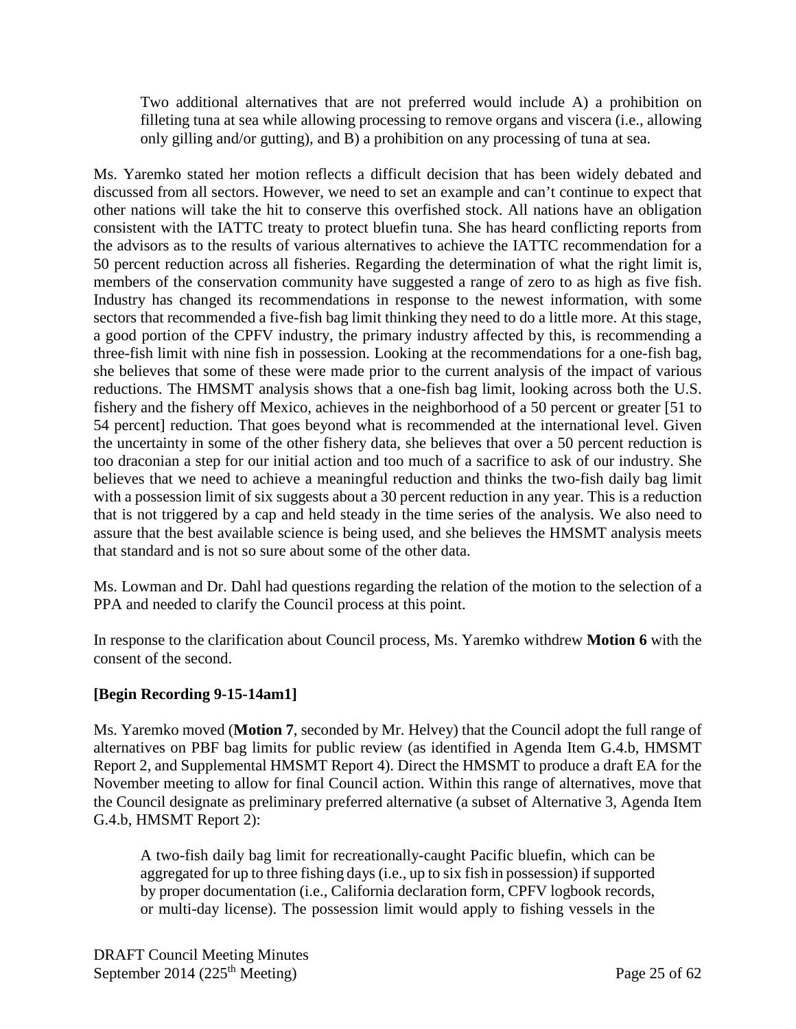Two additional alternatives that are not preferred would include A) a prohibition on filleting tuna at sea while allowing processing to remove organs and viscera (i.e., allowing only gilling and/or gutting), and B) a prohibition on any processing of tuna at sea.

Ms. Yaremko stated her motion reflects a difficult decision that has been widely debated and discussed from all sectors. However, we need to set an example and can't continue to expect that other nations will take the hit to conserve this overfished stock. All nations have an obligation consistent with the IATTC treaty to protect bluefin tuna. She has heard conflicting reports from the advisors as to the results of various alternatives to achieve the IATTC recommendation for a 50 percent reduction across all fisheries. Regarding the determination of what the right limit is, members of the conservation community have suggested a range of zero to as high as five fish. Industry has changed its recommendations in response to the newest information, with some sectors that recommended a five-fish bag limit thinking they need to do a little more. At this stage, a good portion of the CPFV industry, the primary industry affected by this, is recommending a three-fish limit with nine fish in possession. Looking at the recommendations for a one-fish bag, she believes that some of these were made prior to the current analysis of the impact of various reductions. The HMSMT analysis shows that a one-fish bag limit, looking across both the U.S. fishery and the fishery off Mexico, achieves in the neighborhood of a 50 percent or greater [51 to 54 percent] reduction. That goes beyond what is recommended at the international level. Given the uncertainty in some of the other fishery data, she believes that over a 50 percent reduction is too draconian a step for our initial action and too much of a sacrifice to ask of our industry. She believes that we need to achieve a meaningful reduction and thinks the two-fish daily bag limit with a possession limit of six suggests about a 30 percent reduction in any year. This is a reduction that is not triggered by a cap and held steady in the time series of the analysis. We also need to assure that the best available science is being used, and she believes the HMSMT analysis meets that standard and is not so sure about some of the other data.

Ms. Lowman and Dr. Dahl had questions regarding the relation of the motion to the selection of a PPA and needed to clarify the Council process at this point.

In response to the clarification about Council process, Ms. Yaremko withdrew **Motion 6** with the consent of the second.

# **[Begin Recording 9-15-14am1]**

Ms. Yaremko moved (**Motion 7**, seconded by Mr. Helvey) that the Council adopt the full range of alternatives on PBF bag limits for public review (as identified in Agenda Item G.4.b, HMSMT Report 2, and Supplemental HMSMT Report 4). Direct the HMSMT to produce a draft EA for the November meeting to allow for final Council action. Within this range of alternatives, move that the Council designate as preliminary preferred alternative (a subset of Alternative 3, Agenda Item G.4.b, HMSMT Report 2):

A two-fish daily bag limit for recreationally-caught Pacific bluefin, which can be aggregated for up to three fishing days (i.e., up to six fish in possession) if supported by proper documentation (i.e., California declaration form, CPFV logbook records, or multi-day license). The possession limit would apply to fishing vessels in the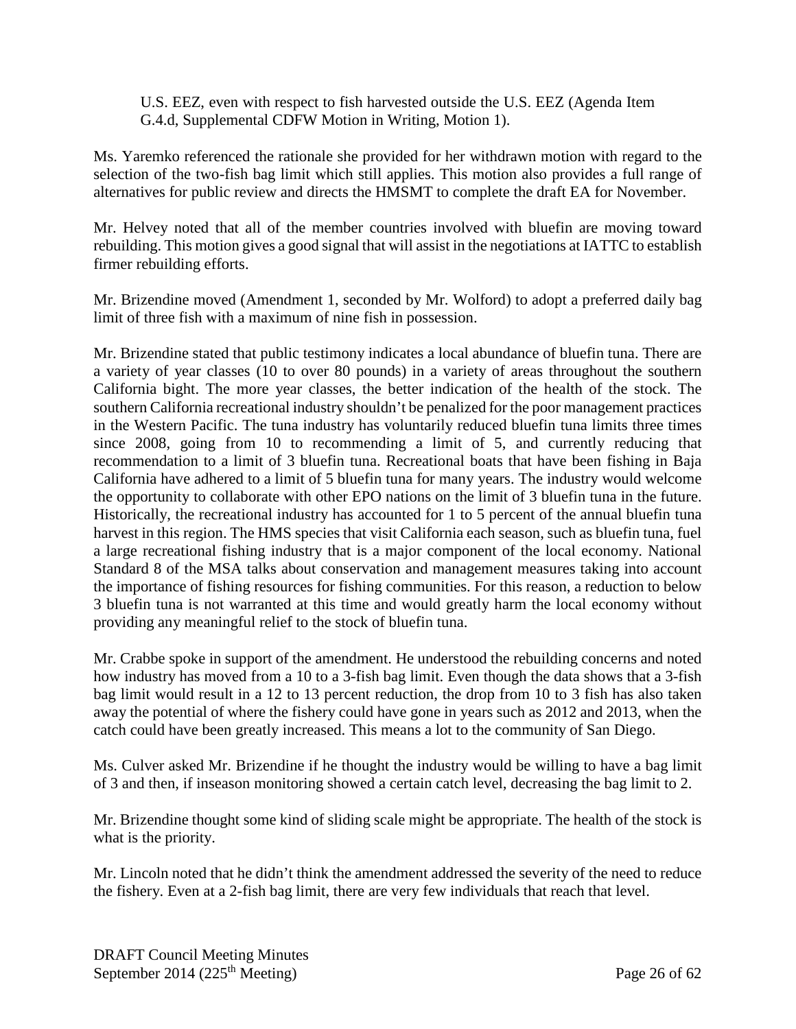U.S. EEZ, even with respect to fish harvested outside the U.S. EEZ (Agenda Item G.4.d, Supplemental CDFW Motion in Writing, Motion 1).

Ms. Yaremko referenced the rationale she provided for her withdrawn motion with regard to the selection of the two-fish bag limit which still applies. This motion also provides a full range of alternatives for public review and directs the HMSMT to complete the draft EA for November.

Mr. Helvey noted that all of the member countries involved with bluefin are moving toward rebuilding. This motion gives a good signal that will assist in the negotiations at IATTC to establish firmer rebuilding efforts.

Mr. Brizendine moved (Amendment 1, seconded by Mr. Wolford) to adopt a preferred daily bag limit of three fish with a maximum of nine fish in possession.

Mr. Brizendine stated that public testimony indicates a local abundance of bluefin tuna. There are a variety of year classes (10 to over 80 pounds) in a variety of areas throughout the southern California bight. The more year classes, the better indication of the health of the stock. The southern California recreational industry shouldn't be penalized for the poor management practices in the Western Pacific. The tuna industry has voluntarily reduced bluefin tuna limits three times since 2008, going from 10 to recommending a limit of 5, and currently reducing that recommendation to a limit of 3 bluefin tuna. Recreational boats that have been fishing in Baja California have adhered to a limit of 5 bluefin tuna for many years. The industry would welcome the opportunity to collaborate with other EPO nations on the limit of 3 bluefin tuna in the future. Historically, the recreational industry has accounted for 1 to 5 percent of the annual bluefin tuna harvest in this region. The HMS species that visit California each season, such as bluefin tuna, fuel a large recreational fishing industry that is a major component of the local economy. National Standard 8 of the MSA talks about conservation and management measures taking into account the importance of fishing resources for fishing communities. For this reason, a reduction to below 3 bluefin tuna is not warranted at this time and would greatly harm the local economy without providing any meaningful relief to the stock of bluefin tuna.

Mr. Crabbe spoke in support of the amendment. He understood the rebuilding concerns and noted how industry has moved from a 10 to a 3-fish bag limit. Even though the data shows that a 3-fish bag limit would result in a 12 to 13 percent reduction, the drop from 10 to 3 fish has also taken away the potential of where the fishery could have gone in years such as 2012 and 2013, when the catch could have been greatly increased. This means a lot to the community of San Diego.

Ms. Culver asked Mr. Brizendine if he thought the industry would be willing to have a bag limit of 3 and then, if inseason monitoring showed a certain catch level, decreasing the bag limit to 2.

Mr. Brizendine thought some kind of sliding scale might be appropriate. The health of the stock is what is the priority.

Mr. Lincoln noted that he didn't think the amendment addressed the severity of the need to reduce the fishery. Even at a 2-fish bag limit, there are very few individuals that reach that level.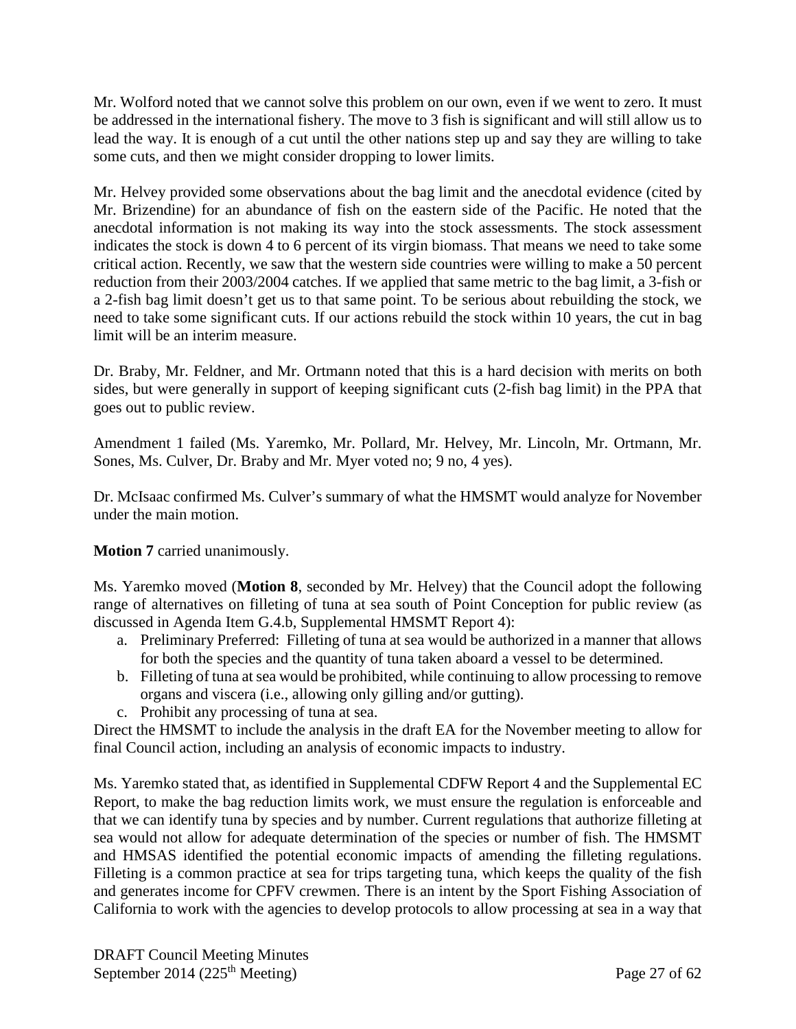Mr. Wolford noted that we cannot solve this problem on our own, even if we went to zero. It must be addressed in the international fishery. The move to 3 fish is significant and will still allow us to lead the way. It is enough of a cut until the other nations step up and say they are willing to take some cuts, and then we might consider dropping to lower limits.

Mr. Helvey provided some observations about the bag limit and the anecdotal evidence (cited by Mr. Brizendine) for an abundance of fish on the eastern side of the Pacific. He noted that the anecdotal information is not making its way into the stock assessments. The stock assessment indicates the stock is down 4 to 6 percent of its virgin biomass. That means we need to take some critical action. Recently, we saw that the western side countries were willing to make a 50 percent reduction from their 2003/2004 catches. If we applied that same metric to the bag limit, a 3-fish or a 2-fish bag limit doesn't get us to that same point. To be serious about rebuilding the stock, we need to take some significant cuts. If our actions rebuild the stock within 10 years, the cut in bag limit will be an interim measure.

Dr. Braby, Mr. Feldner, and Mr. Ortmann noted that this is a hard decision with merits on both sides, but were generally in support of keeping significant cuts (2-fish bag limit) in the PPA that goes out to public review.

Amendment 1 failed (Ms. Yaremko, Mr. Pollard, Mr. Helvey, Mr. Lincoln, Mr. Ortmann, Mr. Sones, Ms. Culver, Dr. Braby and Mr. Myer voted no; 9 no, 4 yes).

Dr. McIsaac confirmed Ms. Culver's summary of what the HMSMT would analyze for November under the main motion.

**Motion 7** carried unanimously.

Ms. Yaremko moved (**Motion 8**, seconded by Mr. Helvey) that the Council adopt the following range of alternatives on filleting of tuna at sea south of Point Conception for public review (as discussed in Agenda Item G.4.b, Supplemental HMSMT Report 4):

- a. Preliminary Preferred: Filleting of tuna at sea would be authorized in a manner that allows for both the species and the quantity of tuna taken aboard a vessel to be determined.
- b. Filleting of tuna at sea would be prohibited, while continuing to allow processing to remove organs and viscera (i.e., allowing only gilling and/or gutting).
- c. Prohibit any processing of tuna at sea.

Direct the HMSMT to include the analysis in the draft EA for the November meeting to allow for final Council action, including an analysis of economic impacts to industry.

Ms. Yaremko stated that, as identified in Supplemental CDFW Report 4 and the Supplemental EC Report, to make the bag reduction limits work, we must ensure the regulation is enforceable and that we can identify tuna by species and by number. Current regulations that authorize filleting at sea would not allow for adequate determination of the species or number of fish. The HMSMT and HMSAS identified the potential economic impacts of amending the filleting regulations. Filleting is a common practice at sea for trips targeting tuna, which keeps the quality of the fish and generates income for CPFV crewmen. There is an intent by the Sport Fishing Association of California to work with the agencies to develop protocols to allow processing at sea in a way that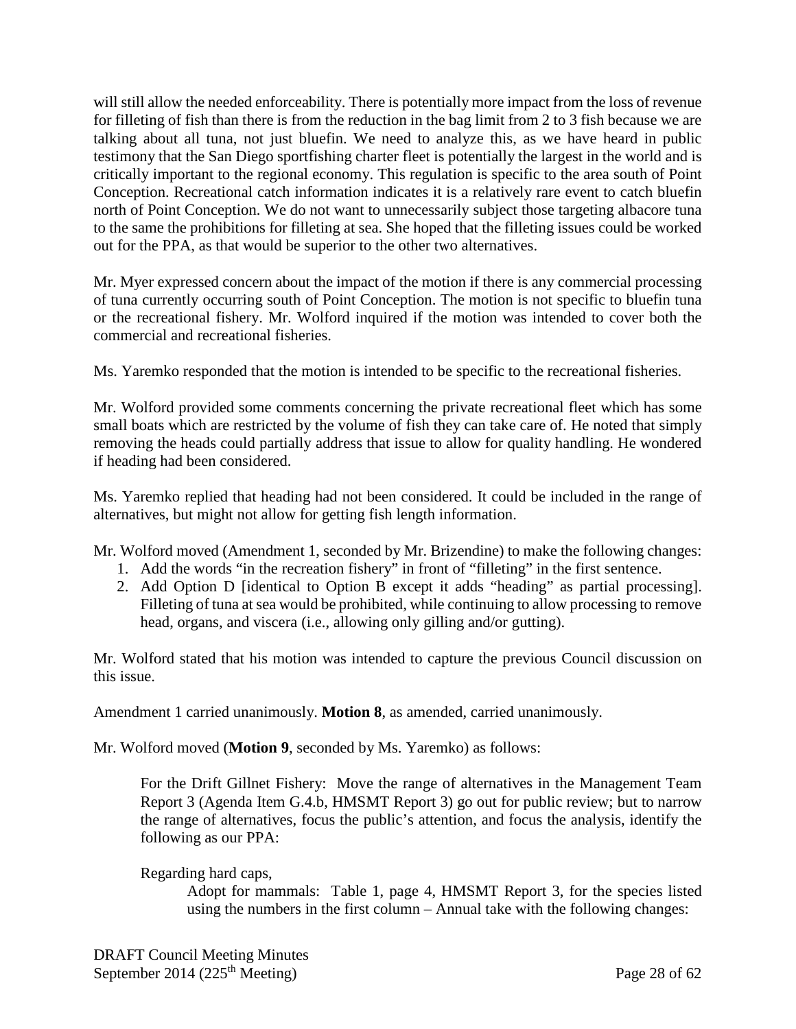will still allow the needed enforceability. There is potentially more impact from the loss of revenue for filleting of fish than there is from the reduction in the bag limit from 2 to 3 fish because we are talking about all tuna, not just bluefin. We need to analyze this, as we have heard in public testimony that the San Diego sportfishing charter fleet is potentially the largest in the world and is critically important to the regional economy. This regulation is specific to the area south of Point Conception. Recreational catch information indicates it is a relatively rare event to catch bluefin north of Point Conception. We do not want to unnecessarily subject those targeting albacore tuna to the same the prohibitions for filleting at sea. She hoped that the filleting issues could be worked out for the PPA, as that would be superior to the other two alternatives.

Mr. Myer expressed concern about the impact of the motion if there is any commercial processing of tuna currently occurring south of Point Conception. The motion is not specific to bluefin tuna or the recreational fishery. Mr. Wolford inquired if the motion was intended to cover both the commercial and recreational fisheries.

Ms. Yaremko responded that the motion is intended to be specific to the recreational fisheries.

Mr. Wolford provided some comments concerning the private recreational fleet which has some small boats which are restricted by the volume of fish they can take care of. He noted that simply removing the heads could partially address that issue to allow for quality handling. He wondered if heading had been considered.

Ms. Yaremko replied that heading had not been considered. It could be included in the range of alternatives, but might not allow for getting fish length information.

Mr. Wolford moved (Amendment 1, seconded by Mr. Brizendine) to make the following changes:

- 1. Add the words "in the recreation fishery" in front of "filleting" in the first sentence.
- 2. Add Option D [identical to Option B except it adds "heading" as partial processing]. Filleting of tuna at sea would be prohibited, while continuing to allow processing to remove head, organs, and viscera (i.e., allowing only gilling and/or gutting).

Mr. Wolford stated that his motion was intended to capture the previous Council discussion on this issue.

Amendment 1 carried unanimously. **Motion 8**, as amended, carried unanimously.

Mr. Wolford moved (**Motion 9**, seconded by Ms. Yaremko) as follows:

For the Drift Gillnet Fishery: Move the range of alternatives in the Management Team Report 3 (Agenda Item G.4.b, HMSMT Report 3) go out for public review; but to narrow the range of alternatives, focus the public's attention, and focus the analysis, identify the following as our PPA:

Regarding hard caps,

Adopt for mammals: Table 1, page 4, HMSMT Report 3, for the species listed using the numbers in the first column – Annual take with the following changes: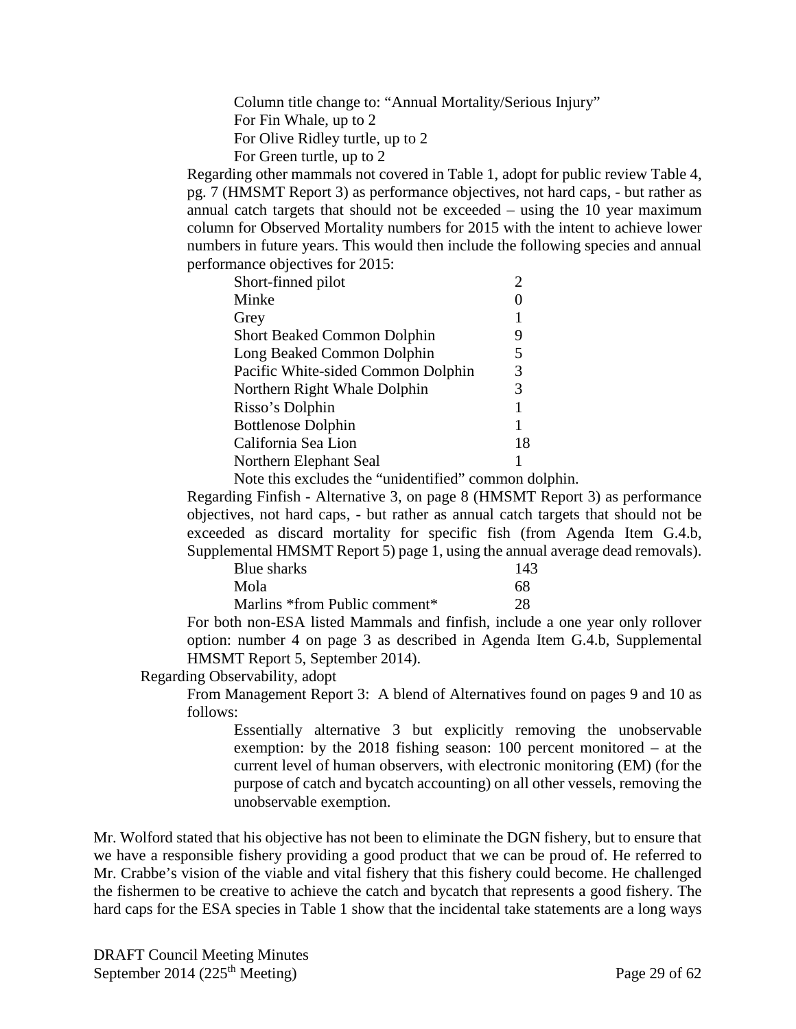Column title change to: "Annual Mortality/Serious Injury" For Fin Whale, up to 2 For Olive Ridley turtle, up to 2 For Green turtle, up to 2

Regarding other mammals not covered in Table 1, adopt for public review Table 4, pg. 7 (HMSMT Report 3) as performance objectives, not hard caps, - but rather as annual catch targets that should not be exceeded – using the 10 year maximum column for Observed Mortality numbers for 2015 with the intent to achieve lower numbers in future years. This would then include the following species and annual performance objectives for 2015:

| Short-finned pilot                 |    |
|------------------------------------|----|
| Minke                              |    |
| Grey                               |    |
| <b>Short Beaked Common Dolphin</b> | 9  |
| Long Beaked Common Dolphin         | 5  |
| Pacific White-sided Common Dolphin | 3  |
| Northern Right Whale Dolphin       | 3  |
| Risso's Dolphin                    |    |
| <b>Bottlenose Dolphin</b>          |    |
| California Sea Lion                | 18 |
| Northern Elephant Seal             |    |

Note this excludes the "unidentified" common dolphin.

Regarding Finfish - Alternative 3, on page 8 (HMSMT Report 3) as performance objectives, not hard caps, - but rather as annual catch targets that should not be exceeded as discard mortality for specific fish (from Agenda Item G.4.b, Supplemental HMSMT Report 5) page 1, using the annual average dead removals).

| Blue sharks                   | 143 |
|-------------------------------|-----|
| Mola                          | 68  |
| Marlins *from Public comment* | 28  |

For both non-ESA listed Mammals and finfish, include a one year only rollover option: number 4 on page 3 as described in Agenda Item G.4.b, Supplemental HMSMT Report 5, September 2014).

Regarding Observability, adopt

From Management Report 3: A blend of Alternatives found on pages 9 and 10 as follows:

Essentially alternative 3 but explicitly removing the unobservable exemption: by the 2018 fishing season: 100 percent monitored – at the current level of human observers, with electronic monitoring (EM) (for the purpose of catch and bycatch accounting) on all other vessels, removing the unobservable exemption.

Mr. Wolford stated that his objective has not been to eliminate the DGN fishery, but to ensure that we have a responsible fishery providing a good product that we can be proud of. He referred to Mr. Crabbe's vision of the viable and vital fishery that this fishery could become. He challenged the fishermen to be creative to achieve the catch and bycatch that represents a good fishery. The hard caps for the ESA species in Table 1 show that the incidental take statements are a long ways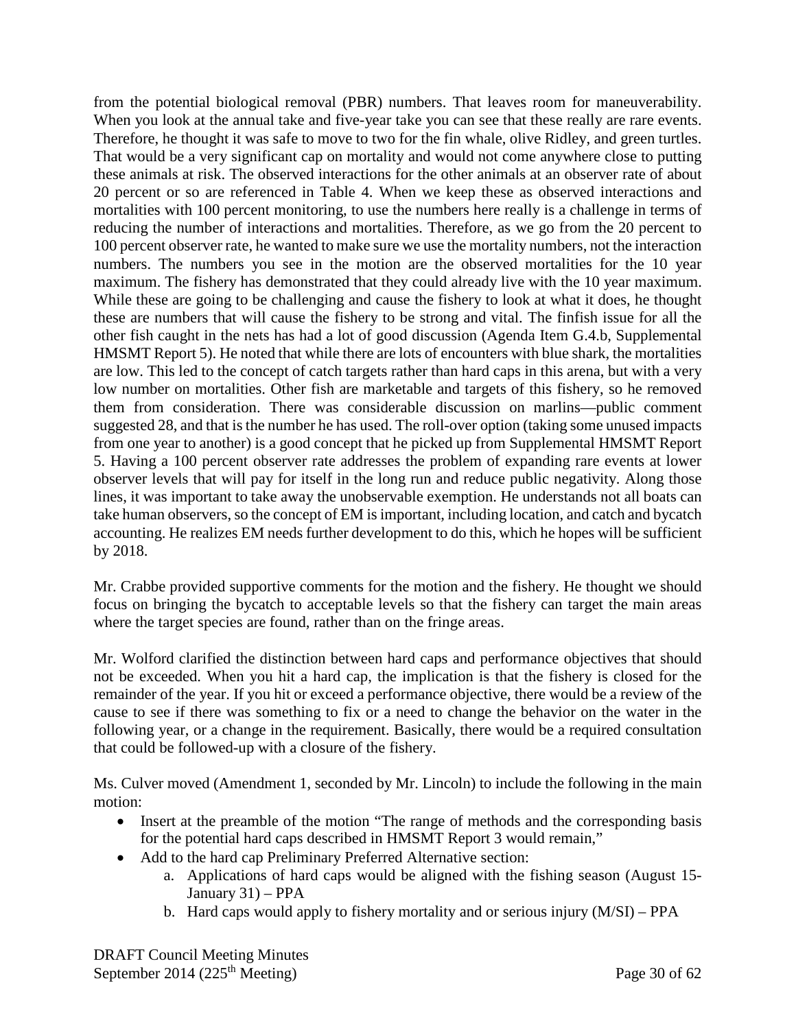from the potential biological removal (PBR) numbers. That leaves room for maneuverability. When you look at the annual take and five-year take you can see that these really are rare events. Therefore, he thought it was safe to move to two for the fin whale, olive Ridley, and green turtles. That would be a very significant cap on mortality and would not come anywhere close to putting these animals at risk. The observed interactions for the other animals at an observer rate of about 20 percent or so are referenced in Table 4. When we keep these as observed interactions and mortalities with 100 percent monitoring, to use the numbers here really is a challenge in terms of reducing the number of interactions and mortalities. Therefore, as we go from the 20 percent to 100 percent observer rate, he wanted to make sure we use the mortality numbers, not the interaction numbers. The numbers you see in the motion are the observed mortalities for the 10 year maximum. The fishery has demonstrated that they could already live with the 10 year maximum. While these are going to be challenging and cause the fishery to look at what it does, he thought these are numbers that will cause the fishery to be strong and vital. The finfish issue for all the other fish caught in the nets has had a lot of good discussion (Agenda Item G.4.b, Supplemental HMSMT Report 5). He noted that while there are lots of encounters with blue shark, the mortalities are low. This led to the concept of catch targets rather than hard caps in this arena, but with a very low number on mortalities. Other fish are marketable and targets of this fishery, so he removed them from consideration. There was considerable discussion on marlins—public comment suggested 28, and that is the number he has used. The roll-over option (taking some unused impacts from one year to another) is a good concept that he picked up from Supplemental HMSMT Report 5. Having a 100 percent observer rate addresses the problem of expanding rare events at lower observer levels that will pay for itself in the long run and reduce public negativity. Along those lines, it was important to take away the unobservable exemption. He understands not all boats can take human observers, so the concept of EM is important, including location, and catch and bycatch accounting. He realizes EM needs further development to do this, which he hopes will be sufficient by 2018.

Mr. Crabbe provided supportive comments for the motion and the fishery. He thought we should focus on bringing the bycatch to acceptable levels so that the fishery can target the main areas where the target species are found, rather than on the fringe areas.

Mr. Wolford clarified the distinction between hard caps and performance objectives that should not be exceeded. When you hit a hard cap, the implication is that the fishery is closed for the remainder of the year. If you hit or exceed a performance objective, there would be a review of the cause to see if there was something to fix or a need to change the behavior on the water in the following year, or a change in the requirement. Basically, there would be a required consultation that could be followed-up with a closure of the fishery.

Ms. Culver moved (Amendment 1, seconded by Mr. Lincoln) to include the following in the main motion:

- Insert at the preamble of the motion "The range of methods and the corresponding basis for the potential hard caps described in HMSMT Report 3 would remain,"
- Add to the hard cap Preliminary Preferred Alternative section:
	- a. Applications of hard caps would be aligned with the fishing season (August 15- January 31) – PPA
	- b. Hard caps would apply to fishery mortality and or serious injury (M/SI) PPA

DRAFT Council Meeting Minutes September 2014 (225<sup>th</sup> Meeting) Page 30 of  $62$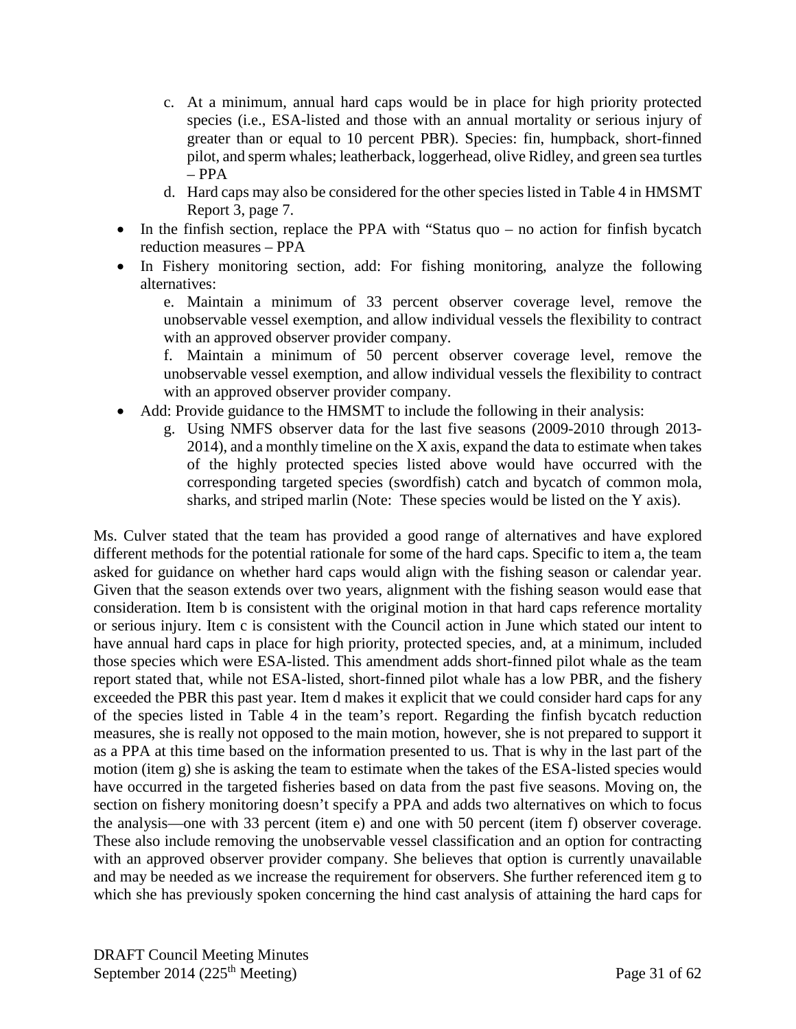- c. At a minimum, annual hard caps would be in place for high priority protected species (i.e., ESA-listed and those with an annual mortality or serious injury of greater than or equal to 10 percent PBR). Species: fin, humpback, short-finned pilot, and sperm whales; leatherback, loggerhead, olive Ridley, and green sea turtles  $-$  PPA
- d. Hard caps may also be considered for the other species listed in Table 4 in HMSMT Report 3, page 7.
- In the finfish section, replace the PPA with "Status quo no action for finfish bycatch reduction measures – PPA
- In Fishery monitoring section, add: For fishing monitoring, analyze the following alternatives:

e. Maintain a minimum of 33 percent observer coverage level, remove the unobservable vessel exemption, and allow individual vessels the flexibility to contract with an approved observer provider company.

f. Maintain a minimum of 50 percent observer coverage level, remove the unobservable vessel exemption, and allow individual vessels the flexibility to contract with an approved observer provider company.

- Add: Provide guidance to the HMSMT to include the following in their analysis:
	- g. Using NMFS observer data for the last five seasons (2009-2010 through 2013- 2014), and a monthly timeline on the X axis, expand the data to estimate when takes of the highly protected species listed above would have occurred with the corresponding targeted species (swordfish) catch and bycatch of common mola, sharks, and striped marlin (Note: These species would be listed on the Y axis).

Ms. Culver stated that the team has provided a good range of alternatives and have explored different methods for the potential rationale for some of the hard caps. Specific to item a, the team asked for guidance on whether hard caps would align with the fishing season or calendar year. Given that the season extends over two years, alignment with the fishing season would ease that consideration. Item b is consistent with the original motion in that hard caps reference mortality or serious injury. Item c is consistent with the Council action in June which stated our intent to have annual hard caps in place for high priority, protected species, and, at a minimum, included those species which were ESA-listed. This amendment adds short-finned pilot whale as the team report stated that, while not ESA-listed, short-finned pilot whale has a low PBR, and the fishery exceeded the PBR this past year. Item d makes it explicit that we could consider hard caps for any of the species listed in Table 4 in the team's report. Regarding the finfish bycatch reduction measures, she is really not opposed to the main motion, however, she is not prepared to support it as a PPA at this time based on the information presented to us. That is why in the last part of the motion (item g) she is asking the team to estimate when the takes of the ESA-listed species would have occurred in the targeted fisheries based on data from the past five seasons. Moving on, the section on fishery monitoring doesn't specify a PPA and adds two alternatives on which to focus the analysis—one with 33 percent (item e) and one with 50 percent (item f) observer coverage. These also include removing the unobservable vessel classification and an option for contracting with an approved observer provider company. She believes that option is currently unavailable and may be needed as we increase the requirement for observers. She further referenced item g to which she has previously spoken concerning the hind cast analysis of attaining the hard caps for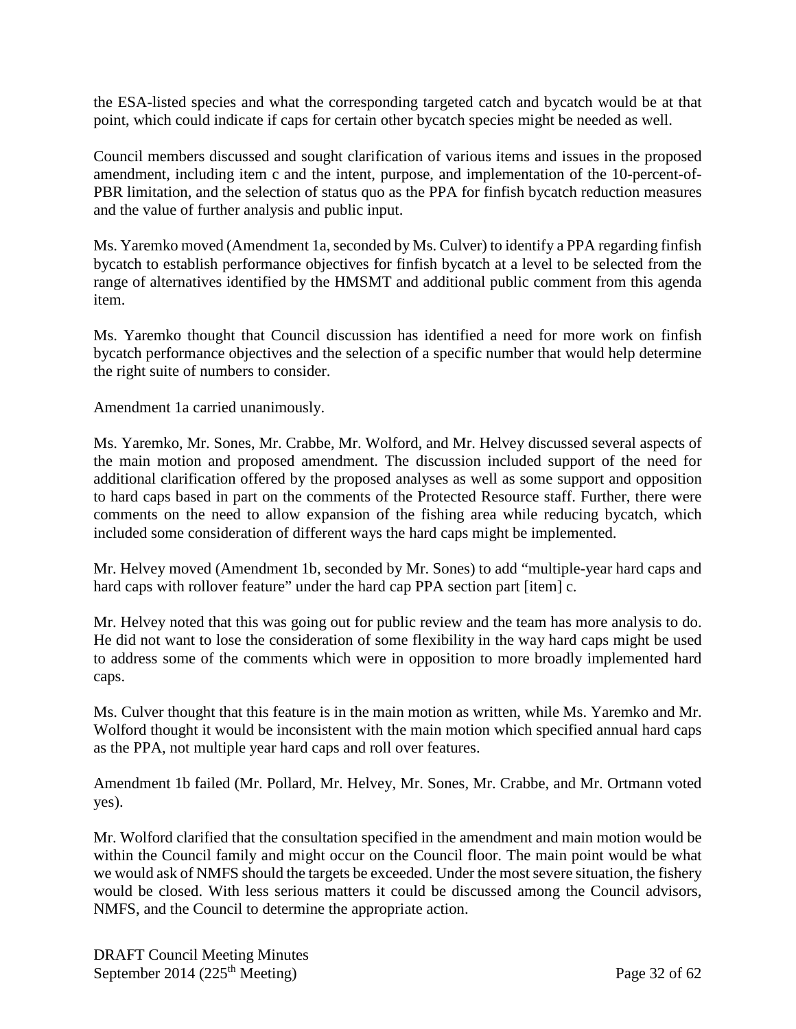the ESA-listed species and what the corresponding targeted catch and bycatch would be at that point, which could indicate if caps for certain other bycatch species might be needed as well.

Council members discussed and sought clarification of various items and issues in the proposed amendment, including item c and the intent, purpose, and implementation of the 10-percent-of-PBR limitation, and the selection of status quo as the PPA for finfish bycatch reduction measures and the value of further analysis and public input.

Ms. Yaremko moved (Amendment 1a, seconded by Ms. Culver) to identify a PPA regarding finfish bycatch to establish performance objectives for finfish bycatch at a level to be selected from the range of alternatives identified by the HMSMT and additional public comment from this agenda item.

Ms. Yaremko thought that Council discussion has identified a need for more work on finfish bycatch performance objectives and the selection of a specific number that would help determine the right suite of numbers to consider.

Amendment 1a carried unanimously.

Ms. Yaremko, Mr. Sones, Mr. Crabbe, Mr. Wolford, and Mr. Helvey discussed several aspects of the main motion and proposed amendment. The discussion included support of the need for additional clarification offered by the proposed analyses as well as some support and opposition to hard caps based in part on the comments of the Protected Resource staff. Further, there were comments on the need to allow expansion of the fishing area while reducing bycatch, which included some consideration of different ways the hard caps might be implemented.

Mr. Helvey moved (Amendment 1b, seconded by Mr. Sones) to add "multiple-year hard caps and hard caps with rollover feature" under the hard cap PPA section part [item] c.

Mr. Helvey noted that this was going out for public review and the team has more analysis to do. He did not want to lose the consideration of some flexibility in the way hard caps might be used to address some of the comments which were in opposition to more broadly implemented hard caps.

Ms. Culver thought that this feature is in the main motion as written, while Ms. Yaremko and Mr. Wolford thought it would be inconsistent with the main motion which specified annual hard caps as the PPA, not multiple year hard caps and roll over features.

Amendment 1b failed (Mr. Pollard, Mr. Helvey, Mr. Sones, Mr. Crabbe, and Mr. Ortmann voted yes).

Mr. Wolford clarified that the consultation specified in the amendment and main motion would be within the Council family and might occur on the Council floor. The main point would be what we would ask of NMFS should the targets be exceeded. Under the most severe situation, the fishery would be closed. With less serious matters it could be discussed among the Council advisors, NMFS, and the Council to determine the appropriate action.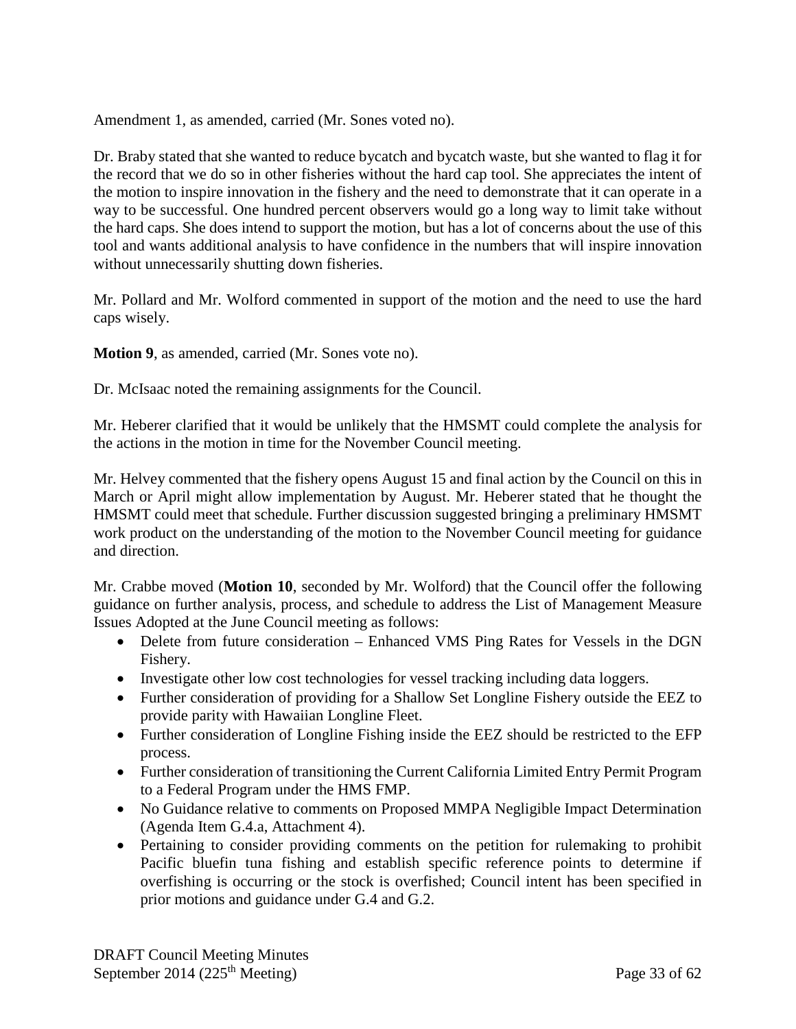Amendment 1, as amended, carried (Mr. Sones voted no).

Dr. Braby stated that she wanted to reduce bycatch and bycatch waste, but she wanted to flag it for the record that we do so in other fisheries without the hard cap tool. She appreciates the intent of the motion to inspire innovation in the fishery and the need to demonstrate that it can operate in a way to be successful. One hundred percent observers would go a long way to limit take without the hard caps. She does intend to support the motion, but has a lot of concerns about the use of this tool and wants additional analysis to have confidence in the numbers that will inspire innovation without unnecessarily shutting down fisheries.

Mr. Pollard and Mr. Wolford commented in support of the motion and the need to use the hard caps wisely.

**Motion 9**, as amended, carried (Mr. Sones vote no).

Dr. McIsaac noted the remaining assignments for the Council.

Mr. Heberer clarified that it would be unlikely that the HMSMT could complete the analysis for the actions in the motion in time for the November Council meeting.

Mr. Helvey commented that the fishery opens August 15 and final action by the Council on this in March or April might allow implementation by August. Mr. Heberer stated that he thought the HMSMT could meet that schedule. Further discussion suggested bringing a preliminary HMSMT work product on the understanding of the motion to the November Council meeting for guidance and direction.

Mr. Crabbe moved (**Motion 10**, seconded by Mr. Wolford) that the Council offer the following guidance on further analysis, process, and schedule to address the List of Management Measure Issues Adopted at the June Council meeting as follows:

- Delete from future consideration Enhanced VMS Ping Rates for Vessels in the DGN Fishery.
- Investigate other low cost technologies for vessel tracking including data loggers.
- Further consideration of providing for a Shallow Set Longline Fishery outside the EEZ to provide parity with Hawaiian Longline Fleet.
- Further consideration of Longline Fishing inside the EEZ should be restricted to the EFP process.
- Further consideration of transitioning the Current California Limited Entry Permit Program to a Federal Program under the HMS FMP.
- No Guidance relative to comments on Proposed MMPA Negligible Impact Determination (Agenda Item G.4.a, Attachment 4).
- Pertaining to consider providing comments on the petition for rulemaking to prohibit Pacific bluefin tuna fishing and establish specific reference points to determine if overfishing is occurring or the stock is overfished; Council intent has been specified in prior motions and guidance under G.4 and G.2.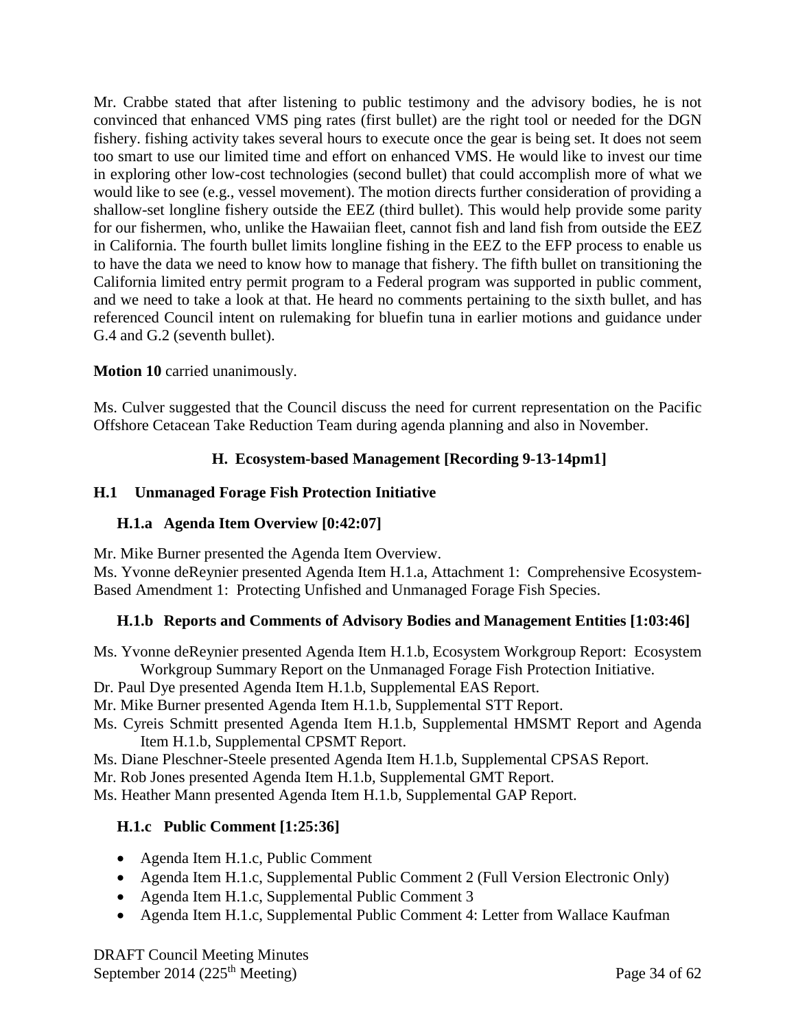Mr. Crabbe stated that after listening to public testimony and the advisory bodies, he is not convinced that enhanced VMS ping rates (first bullet) are the right tool or needed for the DGN fishery. fishing activity takes several hours to execute once the gear is being set. It does not seem too smart to use our limited time and effort on enhanced VMS. He would like to invest our time in exploring other low-cost technologies (second bullet) that could accomplish more of what we would like to see (e.g., vessel movement). The motion directs further consideration of providing a shallow-set longline fishery outside the EEZ (third bullet). This would help provide some parity for our fishermen, who, unlike the Hawaiian fleet, cannot fish and land fish from outside the EEZ in California. The fourth bullet limits longline fishing in the EEZ to the EFP process to enable us to have the data we need to know how to manage that fishery. The fifth bullet on transitioning the California limited entry permit program to a Federal program was supported in public comment, and we need to take a look at that. He heard no comments pertaining to the sixth bullet, and has referenced Council intent on rulemaking for bluefin tuna in earlier motions and guidance under G.4 and G.2 (seventh bullet).

# **Motion 10** carried unanimously.

<span id="page-33-0"></span>Ms. Culver suggested that the Council discuss the need for current representation on the Pacific Offshore Cetacean Take Reduction Team during agenda planning and also in November.

# **H. Ecosystem-based Management [Recording 9-13-14pm1]**

# <span id="page-33-1"></span>**H.1 Unmanaged Forage Fish Protection Initiative**

## <span id="page-33-2"></span>**H.1.a Agenda Item Overview [0:42:07]**

Mr. Mike Burner presented the Agenda Item Overview.

Ms. Yvonne deReynier presented Agenda Item H.1.a, Attachment 1: Comprehensive Ecosystem-Based Amendment 1: Protecting Unfished and Unmanaged Forage Fish Species.

## <span id="page-33-3"></span>**H.1.b Reports and Comments of Advisory Bodies and Management Entities [1:03:46]**

Ms. Yvonne deReynier presented Agenda Item H.1.b, Ecosystem Workgroup Report: Ecosystem Workgroup Summary Report on the Unmanaged Forage Fish Protection Initiative.

Dr. Paul Dye presented Agenda Item H.1.b, Supplemental EAS Report.

- Mr. Mike Burner presented Agenda Item H.1.b, Supplemental STT Report.
- Ms. Cyreis Schmitt presented Agenda Item H.1.b, Supplemental HMSMT Report and Agenda Item H.1.b, Supplemental CPSMT Report.
- Ms. Diane Pleschner-Steele presented Agenda Item H.1.b, Supplemental CPSAS Report.

Mr. Rob Jones presented Agenda Item H.1.b, Supplemental GMT Report.

<span id="page-33-4"></span>Ms. Heather Mann presented Agenda Item H.1.b, Supplemental GAP Report.

# **H.1.c Public Comment [1:25:36]**

- Agenda Item H.1.c, Public Comment
- Agenda Item H.1.c, Supplemental Public Comment 2 (Full Version Electronic Only)
- Agenda Item H.1.c, Supplemental Public Comment 3
- Agenda Item H.1.c, Supplemental Public Comment 4: Letter from Wallace Kaufman

DRAFT Council Meeting Minutes September 2014 (225<sup>th</sup> Meeting) Page 34 of  $62$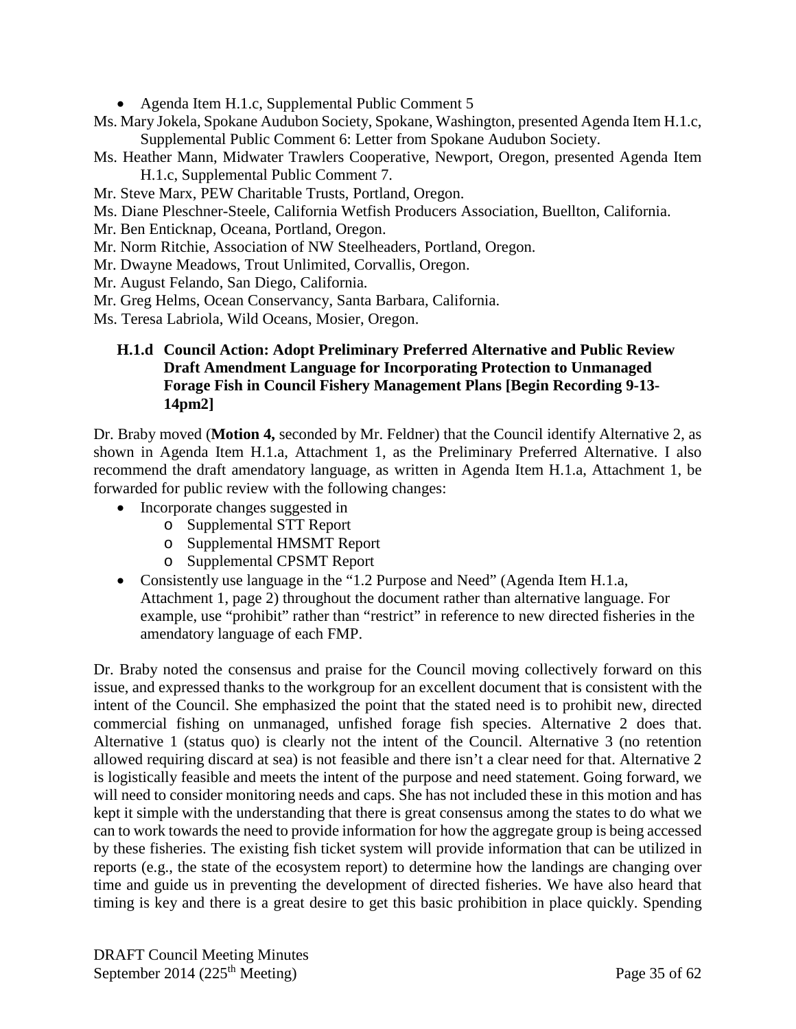- Agenda Item H.1.c, Supplemental Public Comment 5
- Ms. Mary Jokela, Spokane Audubon Society, Spokane, Washington, presented Agenda Item H.1.c, Supplemental Public Comment 6: Letter from Spokane Audubon Society.
- Ms. Heather Mann, Midwater Trawlers Cooperative, Newport, Oregon, presented Agenda Item H.1.c, Supplemental Public Comment 7.
- Mr. Steve Marx, PEW Charitable Trusts, Portland, Oregon.
- Ms. Diane Pleschner-Steele, California Wetfish Producers Association, Buellton, California.
- Mr. Ben Enticknap, Oceana, Portland, Oregon.
- Mr. Norm Ritchie, Association of NW Steelheaders, Portland, Oregon.
- Mr. Dwayne Meadows, Trout Unlimited, Corvallis, Oregon.
- Mr. August Felando, San Diego, California.
- Mr. Greg Helms, Ocean Conservancy, Santa Barbara, California.
- <span id="page-34-0"></span>Ms. Teresa Labriola, Wild Oceans, Mosier, Oregon.

## **H.1.d Council Action: Adopt Preliminary Preferred Alternative and Public Review Draft Amendment Language for Incorporating Protection to Unmanaged Forage Fish in Council Fishery Management Plans [Begin Recording 9-13- 14pm2]**

Dr. Braby moved (**Motion 4,** seconded by Mr. Feldner) that the Council identify Alternative 2, as shown in Agenda Item H.1.a, Attachment 1, as the Preliminary Preferred Alternative. I also recommend the draft amendatory language, as written in Agenda Item H.1.a, Attachment 1, be forwarded for public review with the following changes:

- Incorporate changes suggested in
	- o Supplemental STT Report
	- o Supplemental HMSMT Report
	- o Supplemental CPSMT Report
- Consistently use language in the "1.2 Purpose and Need" (Agenda Item H.1.a, Attachment 1, page 2) throughout the document rather than alternative language. For example, use "prohibit" rather than "restrict" in reference to new directed fisheries in the amendatory language of each FMP.

Dr. Braby noted the consensus and praise for the Council moving collectively forward on this issue, and expressed thanks to the workgroup for an excellent document that is consistent with the intent of the Council. She emphasized the point that the stated need is to prohibit new, directed commercial fishing on unmanaged, unfished forage fish species. Alternative 2 does that. Alternative 1 (status quo) is clearly not the intent of the Council. Alternative 3 (no retention allowed requiring discard at sea) is not feasible and there isn't a clear need for that. Alternative 2 is logistically feasible and meets the intent of the purpose and need statement. Going forward, we will need to consider monitoring needs and caps. She has not included these in this motion and has kept it simple with the understanding that there is great consensus among the states to do what we can to work towards the need to provide information for how the aggregate group is being accessed by these fisheries. The existing fish ticket system will provide information that can be utilized in reports (e.g., the state of the ecosystem report) to determine how the landings are changing over time and guide us in preventing the development of directed fisheries. We have also heard that timing is key and there is a great desire to get this basic prohibition in place quickly. Spending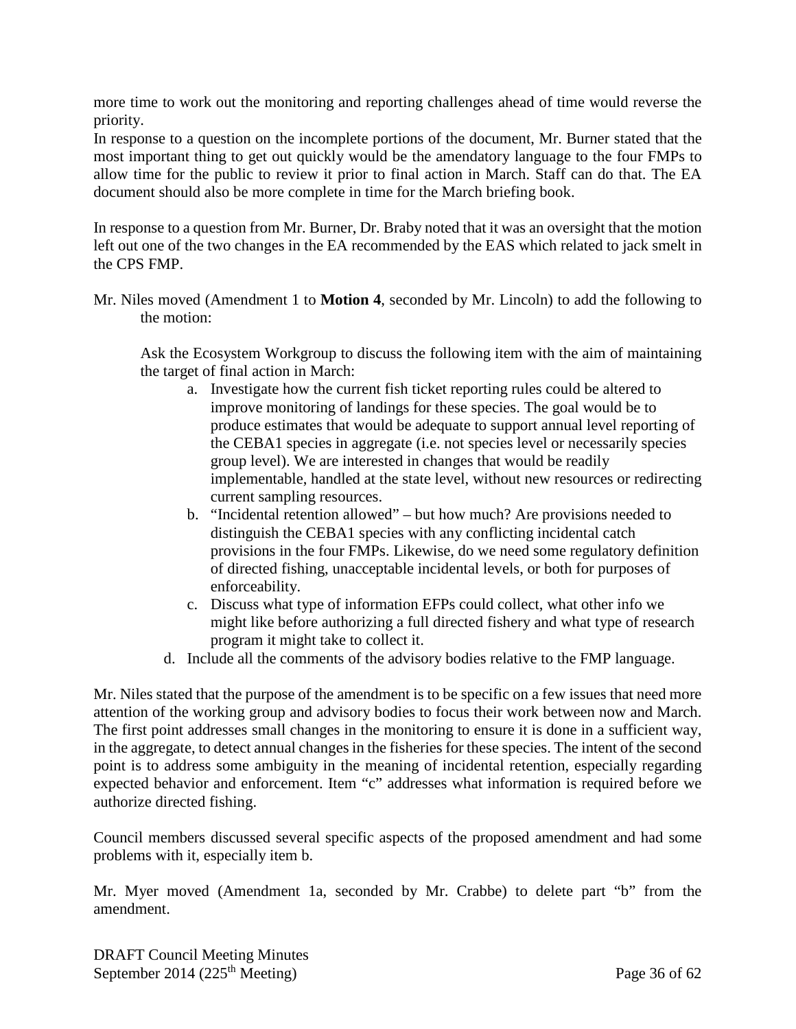more time to work out the monitoring and reporting challenges ahead of time would reverse the priority.

In response to a question on the incomplete portions of the document, Mr. Burner stated that the most important thing to get out quickly would be the amendatory language to the four FMPs to allow time for the public to review it prior to final action in March. Staff can do that. The EA document should also be more complete in time for the March briefing book.

In response to a question from Mr. Burner, Dr. Braby noted that it was an oversight that the motion left out one of the two changes in the EA recommended by the EAS which related to jack smelt in the CPS FMP.

Mr. Niles moved (Amendment 1 to **Motion 4**, seconded by Mr. Lincoln) to add the following to the motion:

Ask the Ecosystem Workgroup to discuss the following item with the aim of maintaining the target of final action in March:

- a. Investigate how the current fish ticket reporting rules could be altered to improve monitoring of landings for these species. The goal would be to produce estimates that would be adequate to support annual level reporting of the CEBA1 species in aggregate (i.e. not species level or necessarily species group level). We are interested in changes that would be readily implementable, handled at the state level, without new resources or redirecting current sampling resources.
- b. "Incidental retention allowed" but how much? Are provisions needed to distinguish the CEBA1 species with any conflicting incidental catch provisions in the four FMPs. Likewise, do we need some regulatory definition of directed fishing, unacceptable incidental levels, or both for purposes of enforceability.
- c. Discuss what type of information EFPs could collect, what other info we might like before authorizing a full directed fishery and what type of research program it might take to collect it.
- d. Include all the comments of the advisory bodies relative to the FMP language.

Mr. Niles stated that the purpose of the amendment is to be specific on a few issues that need more attention of the working group and advisory bodies to focus their work between now and March. The first point addresses small changes in the monitoring to ensure it is done in a sufficient way, in the aggregate, to detect annual changes in the fisheries for these species. The intent of the second point is to address some ambiguity in the meaning of incidental retention, especially regarding expected behavior and enforcement. Item "c" addresses what information is required before we authorize directed fishing.

Council members discussed several specific aspects of the proposed amendment and had some problems with it, especially item b.

Mr. Myer moved (Amendment 1a, seconded by Mr. Crabbe) to delete part "b" from the amendment.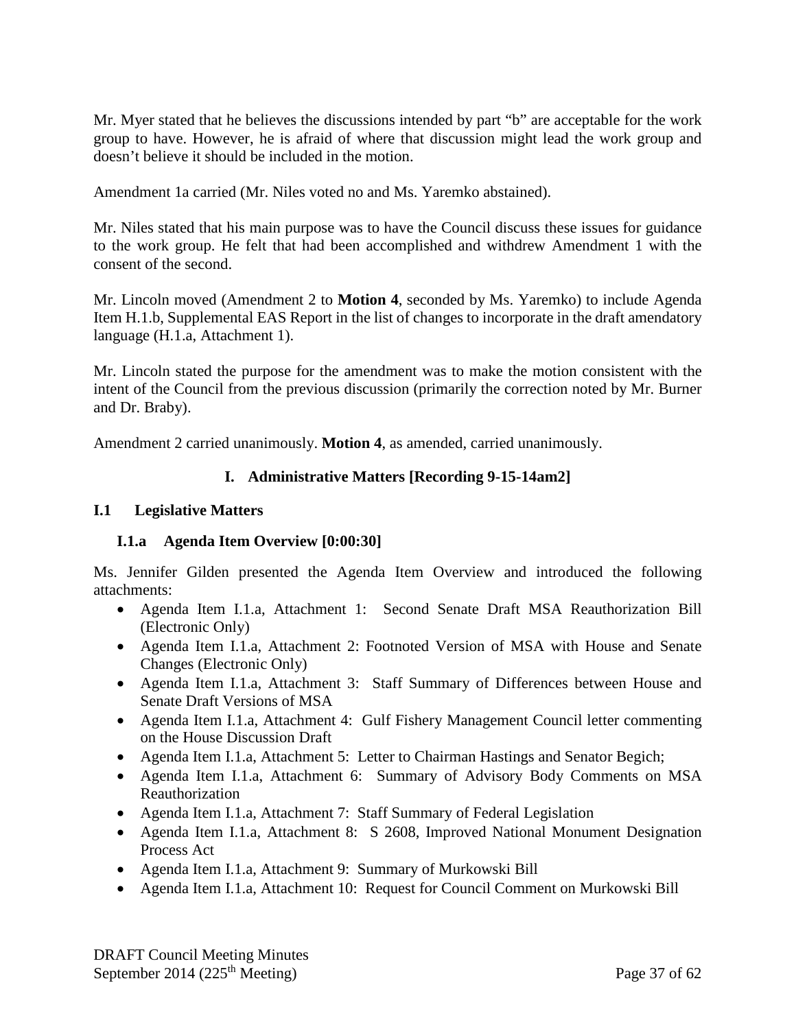Mr. Myer stated that he believes the discussions intended by part "b" are acceptable for the work group to have. However, he is afraid of where that discussion might lead the work group and doesn't believe it should be included in the motion.

Amendment 1a carried (Mr. Niles voted no and Ms. Yaremko abstained).

Mr. Niles stated that his main purpose was to have the Council discuss these issues for guidance to the work group. He felt that had been accomplished and withdrew Amendment 1 with the consent of the second.

Mr. Lincoln moved (Amendment 2 to **Motion 4**, seconded by Ms. Yaremko) to include Agenda Item H.1.b, Supplemental EAS Report in the list of changes to incorporate in the draft amendatory language (H.1.a, Attachment 1).

Mr. Lincoln stated the purpose for the amendment was to make the motion consistent with the intent of the Council from the previous discussion (primarily the correction noted by Mr. Burner and Dr. Braby).

Amendment 2 carried unanimously. **Motion 4**, as amended, carried unanimously.

## **I. Administrative Matters [Recording 9-15-14am2]**

### **I.1 Legislative Matters**

## **I.1.a Agenda Item Overview [0:00:30]**

Ms. Jennifer Gilden presented the Agenda Item Overview and introduced the following attachments:

- Agenda Item I.1.a, Attachment 1: Second Senate Draft MSA Reauthorization Bill (Electronic Only)
- Agenda Item I.1.a, Attachment 2: Footnoted Version of MSA with House and Senate Changes (Electronic Only)
- Agenda Item I.1.a, Attachment 3: Staff Summary of Differences between House and Senate Draft Versions of MSA
- Agenda Item I.1.a, Attachment 4: Gulf Fishery Management Council letter commenting on the House Discussion Draft
- Agenda Item I.1.a, Attachment 5: Letter to Chairman Hastings and Senator Begich;
- Agenda Item I.1.a, Attachment 6: Summary of Advisory Body Comments on MSA Reauthorization
- Agenda Item I.1.a, Attachment 7: Staff Summary of Federal Legislation
- Agenda Item I.1.a, Attachment 8: S 2608, Improved National Monument Designation Process Act
- Agenda Item I.1.a, Attachment 9: Summary of Murkowski Bill
- Agenda Item I.1.a, Attachment 10: Request for Council Comment on Murkowski Bill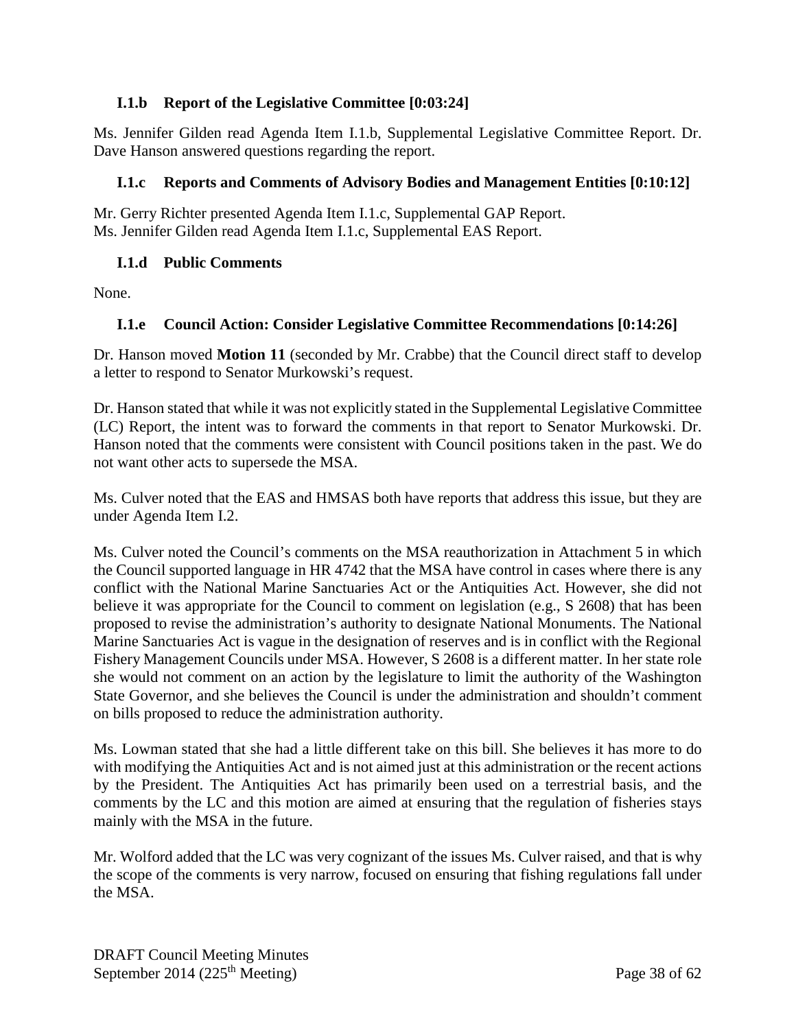## **I.1.b Report of the Legislative Committee [0:03:24]**

Ms. Jennifer Gilden read Agenda Item I.1.b, Supplemental Legislative Committee Report. Dr. Dave Hanson answered questions regarding the report.

## **I.1.c Reports and Comments of Advisory Bodies and Management Entities [0:10:12]**

Mr. Gerry Richter presented Agenda Item I.1.c, Supplemental GAP Report. Ms. Jennifer Gilden read Agenda Item I.1.c, Supplemental EAS Report.

## **I.1.d Public Comments**

None.

# **I.1.e Council Action: Consider Legislative Committee Recommendations [0:14:26]**

Dr. Hanson moved **Motion 11** (seconded by Mr. Crabbe) that the Council direct staff to develop a letter to respond to Senator Murkowski's request.

Dr. Hanson stated that while it was not explicitly stated in the Supplemental Legislative Committee (LC) Report, the intent was to forward the comments in that report to Senator Murkowski. Dr. Hanson noted that the comments were consistent with Council positions taken in the past. We do not want other acts to supersede the MSA.

Ms. Culver noted that the EAS and HMSAS both have reports that address this issue, but they are under Agenda Item I.2.

Ms. Culver noted the Council's comments on the MSA reauthorization in Attachment 5 in which the Council supported language in HR 4742 that the MSA have control in cases where there is any conflict with the National Marine Sanctuaries Act or the Antiquities Act. However, she did not believe it was appropriate for the Council to comment on legislation (e.g., S 2608) that has been proposed to revise the administration's authority to designate National Monuments. The National Marine Sanctuaries Act is vague in the designation of reserves and is in conflict with the Regional Fishery Management Councils under MSA. However, S 2608 is a different matter. In her state role she would not comment on an action by the legislature to limit the authority of the Washington State Governor, and she believes the Council is under the administration and shouldn't comment on bills proposed to reduce the administration authority.

Ms. Lowman stated that she had a little different take on this bill. She believes it has more to do with modifying the Antiquities Act and is not aimed just at this administration or the recent actions by the President. The Antiquities Act has primarily been used on a terrestrial basis, and the comments by the LC and this motion are aimed at ensuring that the regulation of fisheries stays mainly with the MSA in the future.

Mr. Wolford added that the LC was very cognizant of the issues Ms. Culver raised, and that is why the scope of the comments is very narrow, focused on ensuring that fishing regulations fall under the MSA.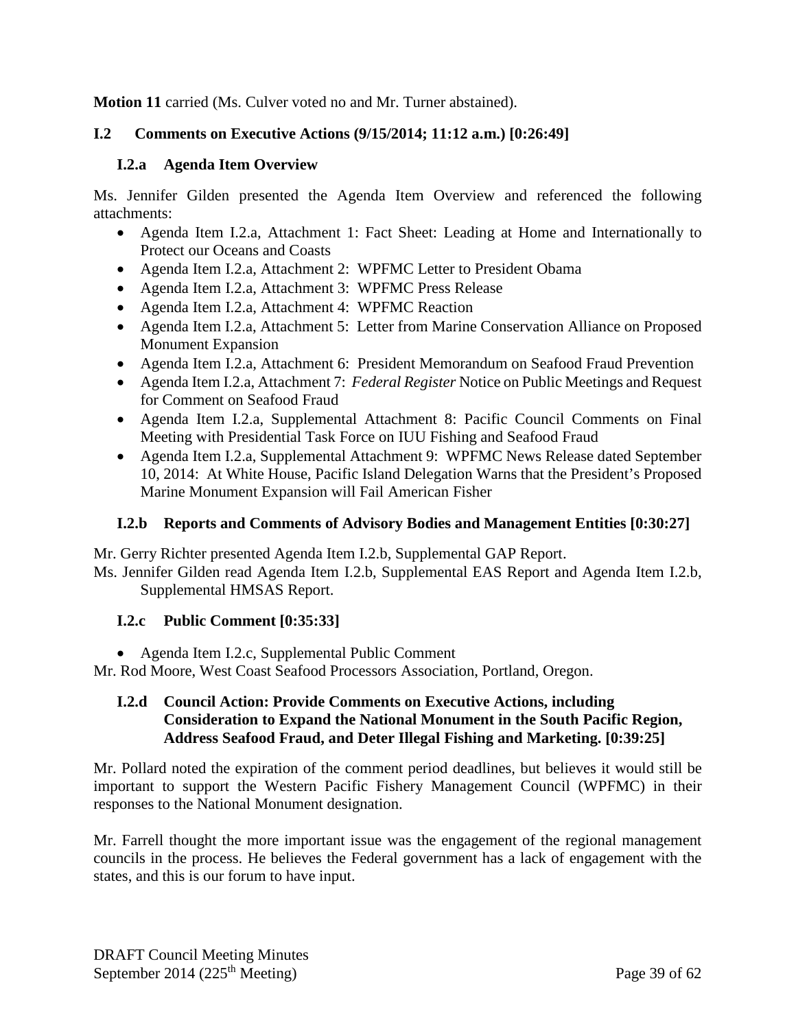**Motion 11** carried (Ms. Culver voted no and Mr. Turner abstained).

## **I.2 Comments on Executive Actions (9/15/2014; 11:12 a.m.) [0:26:49]**

## **I.2.a Agenda Item Overview**

Ms. Jennifer Gilden presented the Agenda Item Overview and referenced the following attachments:

- Agenda Item I.2.a, Attachment 1: Fact Sheet: Leading at Home and Internationally to Protect our Oceans and Coasts
- Agenda Item I.2.a, Attachment 2: WPFMC Letter to President Obama
- Agenda Item I.2.a, Attachment 3: WPFMC Press Release
- Agenda Item I.2.a, Attachment 4: WPFMC Reaction
- Agenda Item I.2.a, Attachment 5: Letter from Marine Conservation Alliance on Proposed Monument Expansion
- Agenda Item I.2.a, Attachment 6: President Memorandum on Seafood Fraud Prevention
- Agenda Item I.2.a, Attachment 7: *Federal Register* Notice on Public Meetings and Request for Comment on Seafood Fraud
- Agenda Item I.2.a, Supplemental Attachment 8: Pacific Council Comments on Final Meeting with Presidential Task Force on IUU Fishing and Seafood Fraud
- Agenda Item I.2.a, Supplemental Attachment 9: WPFMC News Release dated September 10, 2014: At White House, Pacific Island Delegation Warns that the President's Proposed Marine Monument Expansion will Fail American Fisher

# **I.2.b Reports and Comments of Advisory Bodies and Management Entities [0:30:27]**

Mr. Gerry Richter presented Agenda Item I.2.b, Supplemental GAP Report.

Ms. Jennifer Gilden read Agenda Item I.2.b, Supplemental EAS Report and Agenda Item I.2.b, Supplemental HMSAS Report.

# **I.2.c Public Comment [0:35:33]**

• Agenda Item I.2.c, Supplemental Public Comment

Mr. Rod Moore, West Coast Seafood Processors Association, Portland, Oregon.

### **I.2.d Council Action: Provide Comments on Executive Actions, including Consideration to Expand the National Monument in the South Pacific Region, Address Seafood Fraud, and Deter Illegal Fishing and Marketing. [0:39:25]**

Mr. Pollard noted the expiration of the comment period deadlines, but believes it would still be important to support the Western Pacific Fishery Management Council (WPFMC) in their responses to the National Monument designation.

Mr. Farrell thought the more important issue was the engagement of the regional management councils in the process. He believes the Federal government has a lack of engagement with the states, and this is our forum to have input.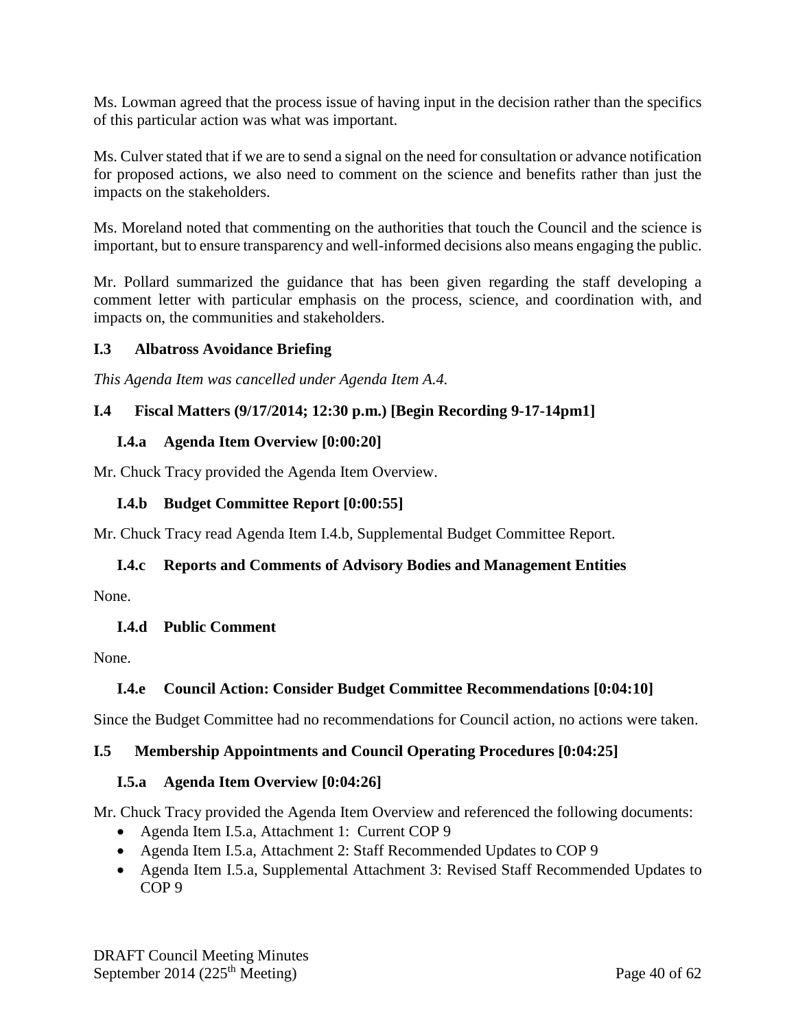Ms. Lowman agreed that the process issue of having input in the decision rather than the specifics of this particular action was what was important.

Ms. Culver stated that if we are to send a signal on the need for consultation or advance notification for proposed actions, we also need to comment on the science and benefits rather than just the impacts on the stakeholders.

Ms. Moreland noted that commenting on the authorities that touch the Council and the science is important, but to ensure transparency and well-informed decisions also means engaging the public.

Mr. Pollard summarized the guidance that has been given regarding the staff developing a comment letter with particular emphasis on the process, science, and coordination with, and impacts on, the communities and stakeholders.

### **I.3 Albatross Avoidance Briefing**

*This Agenda Item was cancelled under Agenda Item A.4.*

## **I.4 Fiscal Matters (9/17/2014; 12:30 p.m.) [Begin Recording 9-17-14pm1]**

### **I.4.a Agenda Item Overview [0:00:20]**

Mr. Chuck Tracy provided the Agenda Item Overview.

### **I.4.b Budget Committee Report [0:00:55]**

Mr. Chuck Tracy read Agenda Item I.4.b, Supplemental Budget Committee Report.

## **I.4.c Reports and Comments of Advisory Bodies and Management Entities**

None.

## **I.4.d Public Comment**

None.

## **I.4.e Council Action: Consider Budget Committee Recommendations [0:04:10]**

Since the Budget Committee had no recommendations for Council action, no actions were taken.

## **I.5 Membership Appointments and Council Operating Procedures [0:04:25]**

## **I.5.a Agenda Item Overview [0:04:26]**

Mr. Chuck Tracy provided the Agenda Item Overview and referenced the following documents:

- Agenda Item I.5.a, Attachment 1: Current COP 9
- Agenda Item I.5.a, Attachment 2: Staff Recommended Updates to COP 9
- Agenda Item I.5.a, Supplemental Attachment 3: Revised Staff Recommended Updates to COP 9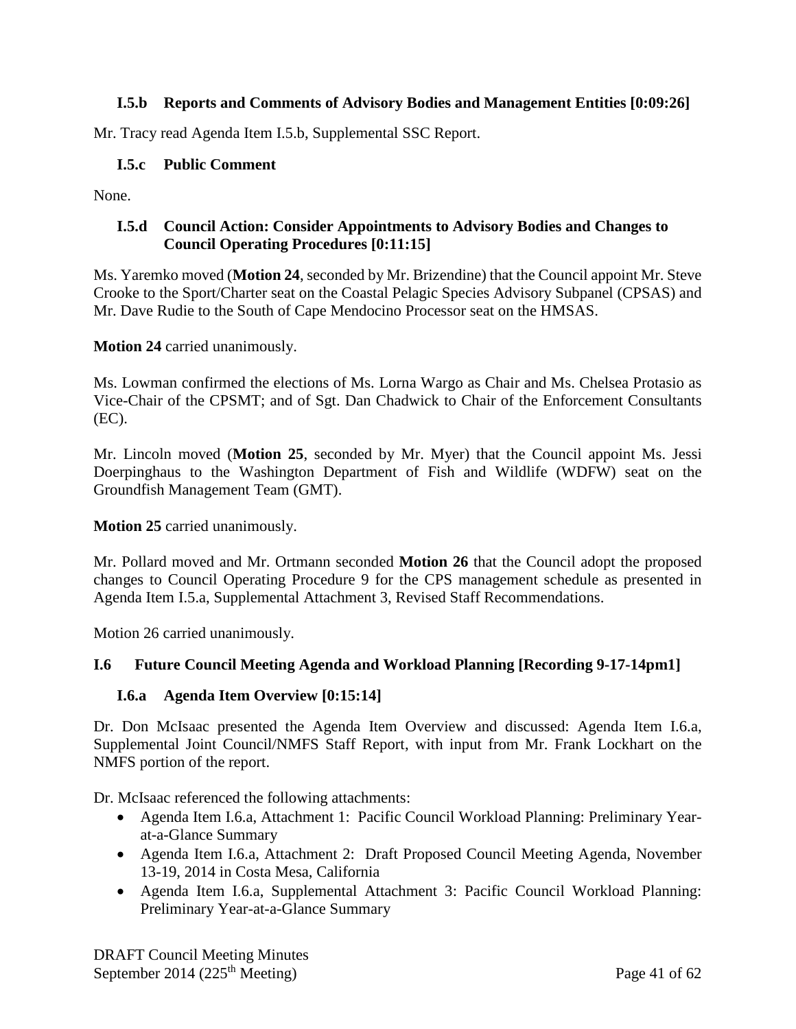## **I.5.b Reports and Comments of Advisory Bodies and Management Entities [0:09:26]**

Mr. Tracy read Agenda Item I.5.b, Supplemental SSC Report.

## **I.5.c Public Comment**

None.

## **I.5.d Council Action: Consider Appointments to Advisory Bodies and Changes to Council Operating Procedures [0:11:15]**

Ms. Yaremko moved (**Motion 24**, seconded by Mr. Brizendine) that the Council appoint Mr. Steve Crooke to the Sport/Charter seat on the Coastal Pelagic Species Advisory Subpanel (CPSAS) and Mr. Dave Rudie to the South of Cape Mendocino Processor seat on the HMSAS.

**Motion 24** carried unanimously.

Ms. Lowman confirmed the elections of Ms. Lorna Wargo as Chair and Ms. Chelsea Protasio as Vice-Chair of the CPSMT; and of Sgt. Dan Chadwick to Chair of the Enforcement Consultants (EC).

Mr. Lincoln moved (**Motion 25**, seconded by Mr. Myer) that the Council appoint Ms. Jessi Doerpinghaus to the Washington Department of Fish and Wildlife (WDFW) seat on the Groundfish Management Team (GMT).

**Motion 25** carried unanimously.

Mr. Pollard moved and Mr. Ortmann seconded **Motion 26** that the Council adopt the proposed changes to Council Operating Procedure 9 for the CPS management schedule as presented in Agenda Item I.5.a, Supplemental Attachment 3, Revised Staff Recommendations.

Motion 26 carried unanimously.

## **I.6 Future Council Meeting Agenda and Workload Planning [Recording 9-17-14pm1]**

#### **I.6.a Agenda Item Overview [0:15:14]**

Dr. Don McIsaac presented the Agenda Item Overview and discussed: Agenda Item I.6.a, Supplemental Joint Council/NMFS Staff Report, with input from Mr. Frank Lockhart on the NMFS portion of the report.

Dr. McIsaac referenced the following attachments:

- Agenda Item I.6.a, Attachment 1: Pacific Council Workload Planning: Preliminary Yearat-a-Glance Summary
- Agenda Item I.6.a, Attachment 2: Draft Proposed Council Meeting Agenda, November 13-19, 2014 in Costa Mesa, California
- Agenda Item I.6.a, Supplemental Attachment 3: Pacific Council Workload Planning: Preliminary Year-at-a-Glance Summary

DRAFT Council Meeting Minutes September 2014 (225<sup>th</sup> Meeting) Page 41 of 62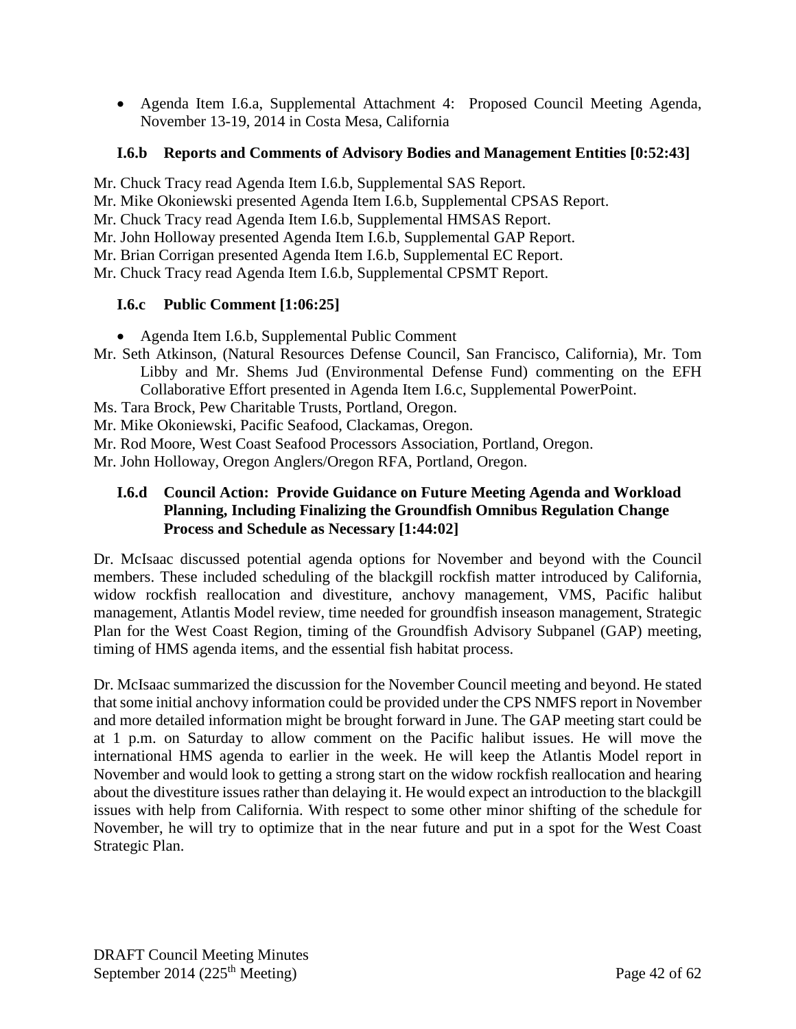• Agenda Item I.6.a, Supplemental Attachment 4: Proposed Council Meeting Agenda, November 13-19, 2014 in Costa Mesa, California

## **I.6.b Reports and Comments of Advisory Bodies and Management Entities [0:52:43]**

Mr. Chuck Tracy read Agenda Item I.6.b, Supplemental SAS Report.

Mr. Mike Okoniewski presented Agenda Item I.6.b, Supplemental CPSAS Report.

Mr. Chuck Tracy read Agenda Item I.6.b, Supplemental HMSAS Report.

Mr. John Holloway presented Agenda Item I.6.b, Supplemental GAP Report.

Mr. Brian Corrigan presented Agenda Item I.6.b, Supplemental EC Report.

Mr. Chuck Tracy read Agenda Item I.6.b, Supplemental CPSMT Report.

## **I.6.c Public Comment [1:06:25]**

- Agenda Item I.6.b, Supplemental Public Comment
- Mr. Seth Atkinson, (Natural Resources Defense Council, San Francisco, California), Mr. Tom Libby and Mr. Shems Jud (Environmental Defense Fund) commenting on the EFH Collaborative Effort presented in Agenda Item I.6.c, Supplemental PowerPoint.
- Ms. Tara Brock, Pew Charitable Trusts, Portland, Oregon.

Mr. Mike Okoniewski, Pacific Seafood, Clackamas, Oregon.

Mr. Rod Moore, West Coast Seafood Processors Association, Portland, Oregon.

Mr. John Holloway, Oregon Anglers/Oregon RFA, Portland, Oregon.

## **I.6.d Council Action: Provide Guidance on Future Meeting Agenda and Workload Planning, Including Finalizing the Groundfish Omnibus Regulation Change Process and Schedule as Necessary [1:44:02]**

Dr. McIsaac discussed potential agenda options for November and beyond with the Council members. These included scheduling of the blackgill rockfish matter introduced by California, widow rockfish reallocation and divestiture, anchovy management, VMS, Pacific halibut management, Atlantis Model review, time needed for groundfish inseason management, Strategic Plan for the West Coast Region, timing of the Groundfish Advisory Subpanel (GAP) meeting, timing of HMS agenda items, and the essential fish habitat process.

Dr. McIsaac summarized the discussion for the November Council meeting and beyond. He stated that some initial anchovy information could be provided under the CPS NMFS report in November and more detailed information might be brought forward in June. The GAP meeting start could be at 1 p.m. on Saturday to allow comment on the Pacific halibut issues. He will move the international HMS agenda to earlier in the week. He will keep the Atlantis Model report in November and would look to getting a strong start on the widow rockfish reallocation and hearing about the divestiture issues rather than delaying it. He would expect an introduction to the blackgill issues with help from California. With respect to some other minor shifting of the schedule for November, he will try to optimize that in the near future and put in a spot for the West Coast Strategic Plan.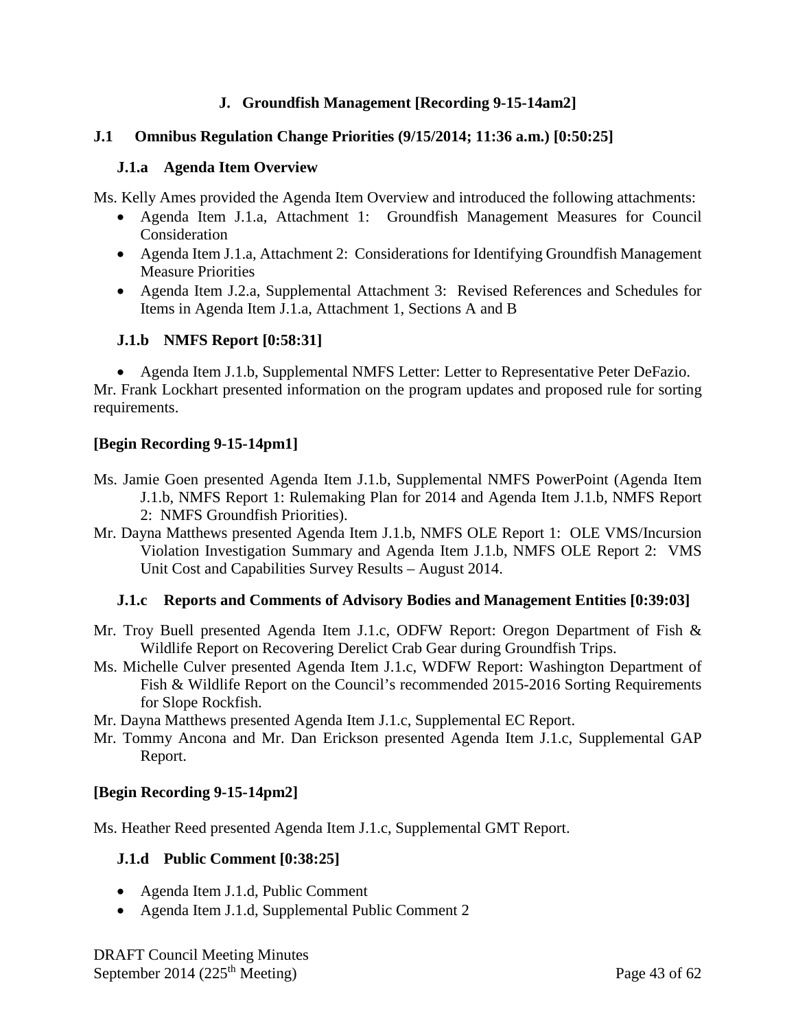## **J. Groundfish Management [Recording 9-15-14am2]**

#### **J.1 Omnibus Regulation Change Priorities (9/15/2014; 11:36 a.m.) [0:50:25]**

#### **J.1.a Agenda Item Overview**

Ms. Kelly Ames provided the Agenda Item Overview and introduced the following attachments:

- Agenda Item J.1.a, Attachment 1: Groundfish Management Measures for Council Consideration
- Agenda Item J.1.a, Attachment 2: Considerations for Identifying Groundfish Management Measure Priorities
- Agenda Item J.2.a, Supplemental Attachment 3: Revised References and Schedules for Items in Agenda Item J.1.a, Attachment 1, Sections A and B

#### **J.1.b NMFS Report [0:58:31]**

• Agenda Item J.1.b, Supplemental NMFS Letter: Letter to Representative Peter DeFazio. Mr. Frank Lockhart presented information on the program updates and proposed rule for sorting requirements.

#### **[Begin Recording 9-15-14pm1]**

- Ms. Jamie Goen presented Agenda Item J.1.b, Supplemental NMFS PowerPoint (Agenda Item J.1.b, NMFS Report 1: Rulemaking Plan for 2014 and Agenda Item J.1.b, NMFS Report 2: NMFS Groundfish Priorities).
- Mr. Dayna Matthews presented Agenda Item J.1.b, NMFS OLE Report 1: OLE VMS/Incursion Violation Investigation Summary and Agenda Item J.1.b, NMFS OLE Report 2: VMS Unit Cost and Capabilities Survey Results – August 2014.

#### **J.1.c Reports and Comments of Advisory Bodies and Management Entities [0:39:03]**

- Mr. Troy Buell presented Agenda Item J.1.c, ODFW Report: Oregon Department of Fish & Wildlife Report on Recovering Derelict Crab Gear during Groundfish Trips.
- Ms. Michelle Culver presented Agenda Item J.1.c, WDFW Report: Washington Department of Fish & Wildlife Report on the Council's recommended 2015-2016 Sorting Requirements for Slope Rockfish.

Mr. Dayna Matthews presented Agenda Item J.1.c, Supplemental EC Report.

Mr. Tommy Ancona and Mr. Dan Erickson presented Agenda Item J.1.c, Supplemental GAP Report.

#### **[Begin Recording 9-15-14pm2]**

Ms. Heather Reed presented Agenda Item J.1.c, Supplemental GMT Report.

#### **J.1.d Public Comment [0:38:25]**

- Agenda Item J.1.d, Public Comment
- Agenda Item J.1.d, Supplemental Public Comment 2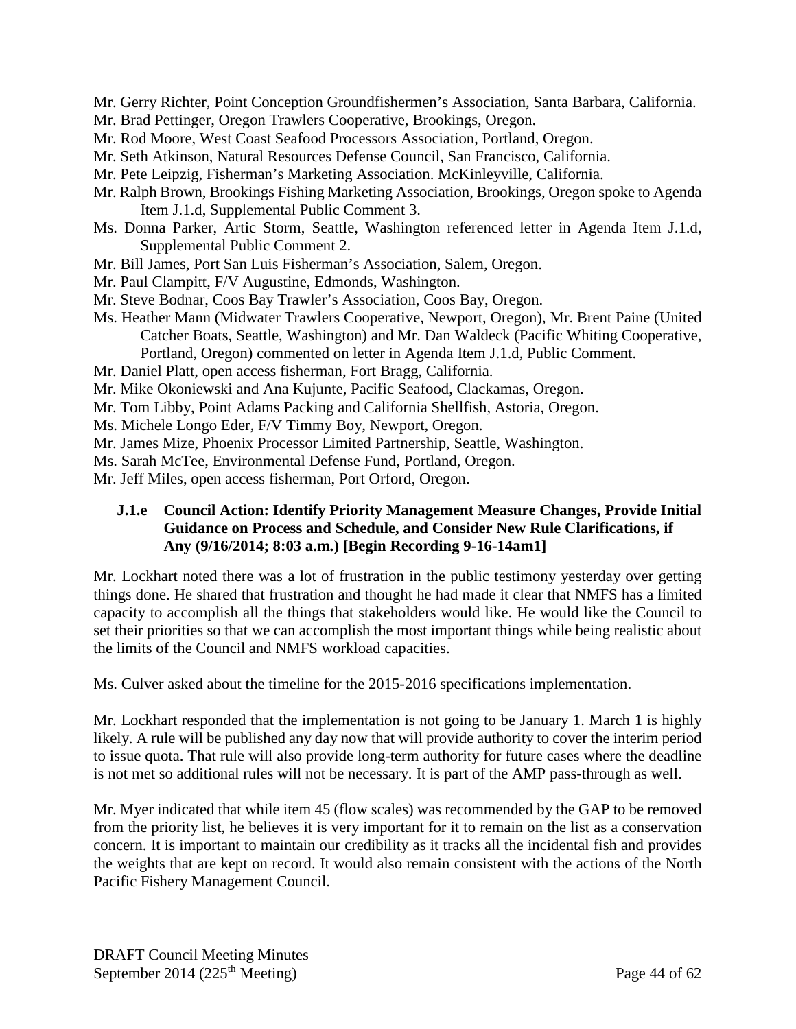- Mr. Gerry Richter, Point Conception Groundfishermen's Association, Santa Barbara, California.
- Mr. Brad Pettinger, Oregon Trawlers Cooperative, Brookings, Oregon.
- Mr. Rod Moore, West Coast Seafood Processors Association, Portland, Oregon.
- Mr. Seth Atkinson, Natural Resources Defense Council, San Francisco, California.
- Mr. Pete Leipzig, Fisherman's Marketing Association. McKinleyville, California.
- Mr. Ralph Brown, Brookings Fishing Marketing Association, Brookings, Oregon spoke to Agenda Item J.1.d, Supplemental Public Comment 3.
- Ms. Donna Parker, Artic Storm, Seattle, Washington referenced letter in Agenda Item J.1.d, Supplemental Public Comment 2.
- Mr. Bill James, Port San Luis Fisherman's Association, Salem, Oregon.
- Mr. Paul Clampitt, F/V Augustine, Edmonds, Washington.
- Mr. Steve Bodnar, Coos Bay Trawler's Association, Coos Bay, Oregon.
- Ms. Heather Mann (Midwater Trawlers Cooperative, Newport, Oregon), Mr. Brent Paine (United Catcher Boats, Seattle, Washington) and Mr. Dan Waldeck (Pacific Whiting Cooperative, Portland, Oregon) commented on letter in Agenda Item J.1.d, Public Comment.
- Mr. Daniel Platt, open access fisherman, Fort Bragg, California.
- Mr. Mike Okoniewski and Ana Kujunte, Pacific Seafood, Clackamas, Oregon.
- Mr. Tom Libby, Point Adams Packing and California Shellfish, Astoria, Oregon.
- Ms. Michele Longo Eder, F/V Timmy Boy, Newport, Oregon.
- Mr. James Mize, Phoenix Processor Limited Partnership, Seattle, Washington.
- Ms. Sarah McTee, Environmental Defense Fund, Portland, Oregon.
- Mr. Jeff Miles, open access fisherman, Port Orford, Oregon.

### **J.1.e Council Action: Identify Priority Management Measure Changes, Provide Initial Guidance on Process and Schedule, and Consider New Rule Clarifications, if Any (9/16/2014; 8:03 a.m.) [Begin Recording 9-16-14am1]**

Mr. Lockhart noted there was a lot of frustration in the public testimony yesterday over getting things done. He shared that frustration and thought he had made it clear that NMFS has a limited capacity to accomplish all the things that stakeholders would like. He would like the Council to set their priorities so that we can accomplish the most important things while being realistic about the limits of the Council and NMFS workload capacities.

Ms. Culver asked about the timeline for the 2015-2016 specifications implementation.

Mr. Lockhart responded that the implementation is not going to be January 1. March 1 is highly likely. A rule will be published any day now that will provide authority to cover the interim period to issue quota. That rule will also provide long-term authority for future cases where the deadline is not met so additional rules will not be necessary. It is part of the AMP pass-through as well.

Mr. Myer indicated that while item 45 (flow scales) was recommended by the GAP to be removed from the priority list, he believes it is very important for it to remain on the list as a conservation concern. It is important to maintain our credibility as it tracks all the incidental fish and provides the weights that are kept on record. It would also remain consistent with the actions of the North Pacific Fishery Management Council.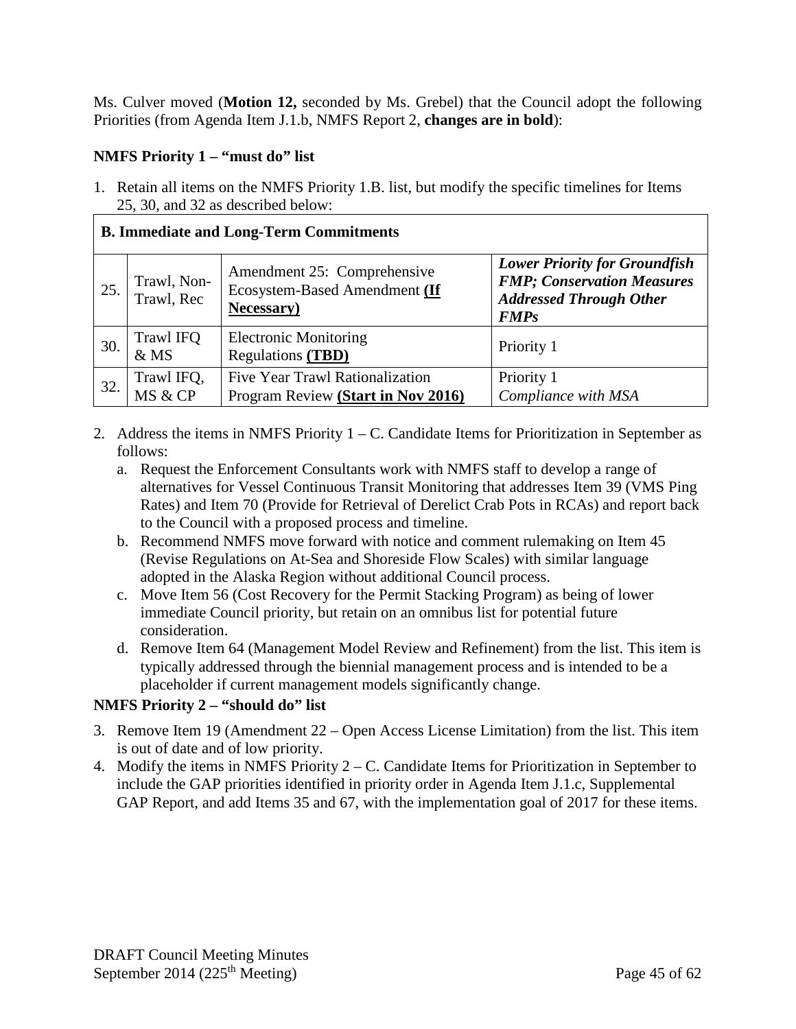Ms. Culver moved (**Motion 12,** seconded by Ms. Grebel) that the Council adopt the following Priorities (from Agenda Item J.1.b, NMFS Report 2, **changes are in bold**):

## **NMFS Priority 1 – "must do" list**

1. Retain all items on the NMFS Priority 1.B. list, but modify the specific timelines for Items 25, 30, and 32 as described below:

## **B. Immediate and Long-Term Commitments**

| 25. | Trawl, Non-<br>Trawl, Rec | Amendment 25: Comprehensive<br>Ecosystem-Based Amendment (If<br><b>Necessary</b> ) | <b>Lower Priority for Groundfish</b><br><b>FMP</b> ; Conservation Measures<br><b>Addressed Through Other</b><br><b>FMPs</b> |
|-----|---------------------------|------------------------------------------------------------------------------------|-----------------------------------------------------------------------------------------------------------------------------|
| 30. | Trawl IFQ<br>&MS          | <b>Electronic Monitoring</b><br><b>Regulations (TBD)</b>                           | Priority 1                                                                                                                  |
| 32. | Trawl IFQ,<br>MS & CP     | <b>Five Year Trawl Rationalization</b><br>Program Review (Start in Nov 2016)       | Priority 1<br>Compliance with MSA                                                                                           |

- 2. Address the items in NMFS Priority  $1 C$ . Candidate Items for Prioritization in September as follows:
	- a. Request the Enforcement Consultants work with NMFS staff to develop a range of alternatives for Vessel Continuous Transit Monitoring that addresses Item 39 (VMS Ping Rates) and Item 70 (Provide for Retrieval of Derelict Crab Pots in RCAs) and report back to the Council with a proposed process and timeline.
	- b. Recommend NMFS move forward with notice and comment rulemaking on Item 45 (Revise Regulations on At-Sea and Shoreside Flow Scales) with similar language adopted in the Alaska Region without additional Council process.
	- c. Move Item 56 (Cost Recovery for the Permit Stacking Program) as being of lower immediate Council priority, but retain on an omnibus list for potential future consideration.
	- d. Remove Item 64 (Management Model Review and Refinement) from the list. This item is typically addressed through the biennial management process and is intended to be a placeholder if current management models significantly change.

## **NMFS Priority 2 – "should do" list**

- 3. Remove Item 19 (Amendment 22 Open Access License Limitation) from the list. This item is out of date and of low priority.
- 4. Modify the items in NMFS Priority 2 C. Candidate Items for Prioritization in September to include the GAP priorities identified in priority order in Agenda Item J.1.c, Supplemental GAP Report, and add Items 35 and 67, with the implementation goal of 2017 for these items.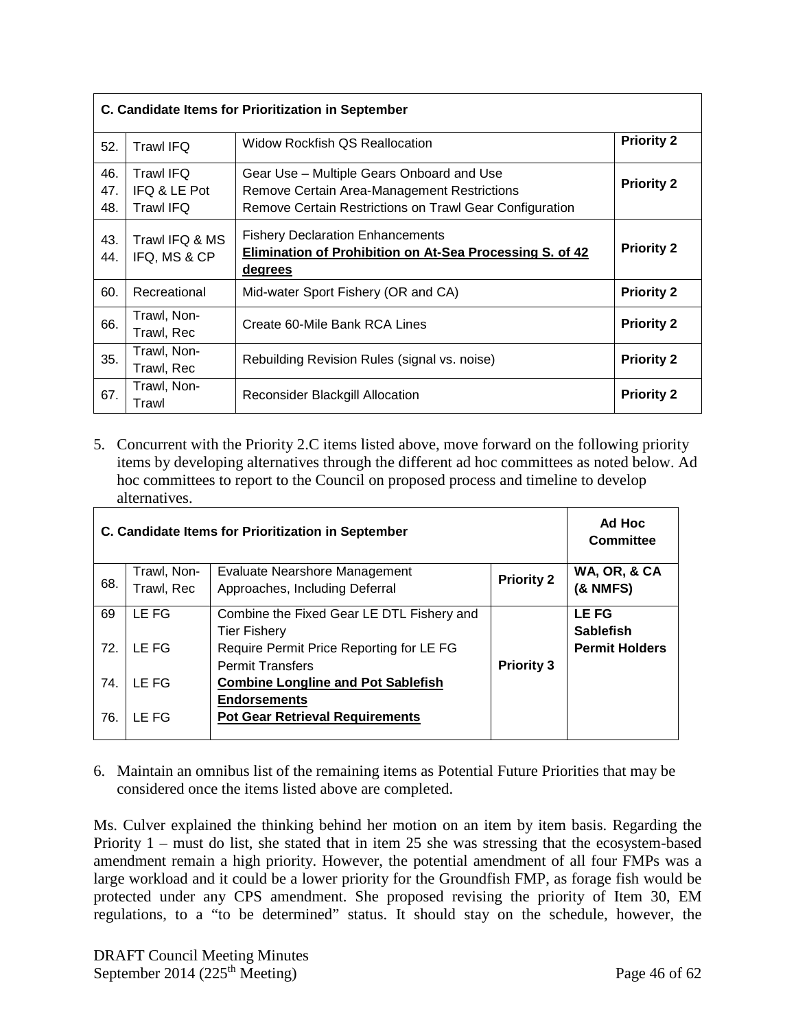| C. Candidate Items for Prioritization in September |                                                      |                                                                                                                                                     |                   |
|----------------------------------------------------|------------------------------------------------------|-----------------------------------------------------------------------------------------------------------------------------------------------------|-------------------|
| 52.                                                | <b>Trawl IFQ</b>                                     | <b>Priority 2</b><br>Widow Rockfish QS Reallocation                                                                                                 |                   |
| 46.<br>47.<br>48.                                  | <b>Trawl IFQ</b><br>IFQ & LE Pot<br><b>Trawl IFQ</b> | Gear Use - Multiple Gears Onboard and Use<br>Remove Certain Area-Management Restrictions<br>Remove Certain Restrictions on Trawl Gear Configuration | <b>Priority 2</b> |
| 43.<br>44.                                         | Trawl IFQ & MS<br>IFQ, MS & CP                       | <b>Fishery Declaration Enhancements</b><br><b>Priority 2</b><br>Elimination of Prohibition on At-Sea Processing S. of 42<br><u>degrees</u>          |                   |
| 60.                                                | Recreational                                         | Mid-water Sport Fishery (OR and CA)                                                                                                                 | <b>Priority 2</b> |
| 66.                                                | Trawl, Non-<br>Trawl, Rec                            | Create 60-Mile Bank RCA Lines                                                                                                                       | <b>Priority 2</b> |
| 35.                                                | Trawl, Non-<br>Trawl, Rec                            | <b>Priority 2</b><br>Rebuilding Revision Rules (signal vs. noise)                                                                                   |                   |
| 67.                                                | Trawl, Non-<br>Trawl                                 | <b>Reconsider Blackgill Allocation</b>                                                                                                              | <b>Priority 2</b> |

5. Concurrent with the Priority 2.C items listed above, move forward on the following priority items by developing alternatives through the different ad hoc committees as noted below. Ad hoc committees to report to the Council on proposed process and timeline to develop alternatives.

| C. Candidate Items for Prioritization in September |                                                     |                                           |                   | Ad Hoc<br>Committee   |
|----------------------------------------------------|-----------------------------------------------------|-------------------------------------------|-------------------|-----------------------|
|                                                    | Trawl, Non-                                         | <b>Evaluate Nearshore Management</b>      | <b>Priority 2</b> | WA, OR, & CA          |
|                                                    | 68.<br>Trawl, Rec<br>Approaches, Including Deferral |                                           |                   | <b>(&amp; NMFS)</b>   |
| 69                                                 | LE FG                                               | Combine the Fixed Gear LE DTL Fishery and |                   | <b>LEFG</b>           |
|                                                    |                                                     | <b>Tier Fishery</b>                       |                   | <b>Sablefish</b>      |
| 72.                                                | LE FG                                               | Require Permit Price Reporting for LE FG  |                   | <b>Permit Holders</b> |
|                                                    | <b>Permit Transfers</b>                             |                                           | <b>Priority 3</b> |                       |
| 74.                                                | LE FG                                               | <b>Combine Longline and Pot Sablefish</b> |                   |                       |
|                                                    |                                                     | <b>Endorsements</b>                       |                   |                       |
| 76.                                                | LE FG<br><b>Pot Gear Retrieval Requirements</b>     |                                           |                   |                       |
|                                                    |                                                     |                                           |                   |                       |

6. Maintain an omnibus list of the remaining items as Potential Future Priorities that may be considered once the items listed above are completed.

Ms. Culver explained the thinking behind her motion on an item by item basis. Regarding the Priority 1 – must do list, she stated that in item 25 she was stressing that the ecosystem-based amendment remain a high priority. However, the potential amendment of all four FMPs was a large workload and it could be a lower priority for the Groundfish FMP, as forage fish would be protected under any CPS amendment. She proposed revising the priority of Item 30, EM regulations, to a "to be determined" status. It should stay on the schedule, however, the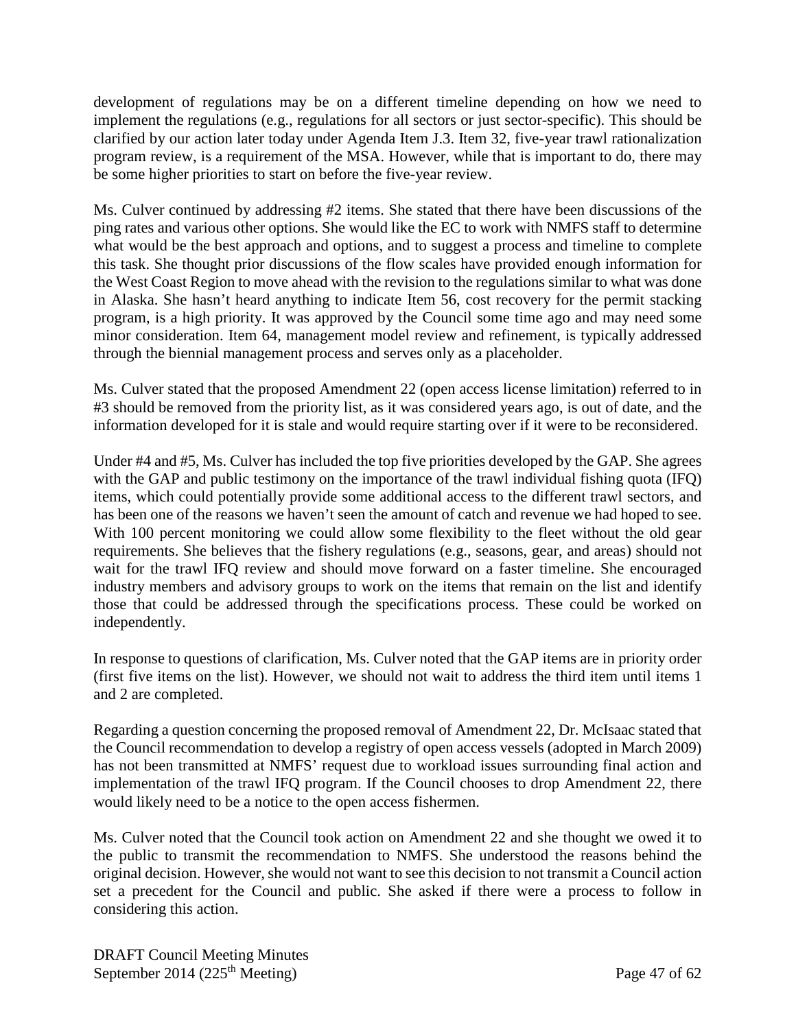development of regulations may be on a different timeline depending on how we need to implement the regulations (e.g., regulations for all sectors or just sector-specific). This should be clarified by our action later today under Agenda Item J.3. Item 32, five-year trawl rationalization program review, is a requirement of the MSA. However, while that is important to do, there may be some higher priorities to start on before the five-year review.

Ms. Culver continued by addressing #2 items. She stated that there have been discussions of the ping rates and various other options. She would like the EC to work with NMFS staff to determine what would be the best approach and options, and to suggest a process and timeline to complete this task. She thought prior discussions of the flow scales have provided enough information for the West Coast Region to move ahead with the revision to the regulations similar to what was done in Alaska. She hasn't heard anything to indicate Item 56, cost recovery for the permit stacking program, is a high priority. It was approved by the Council some time ago and may need some minor consideration. Item 64, management model review and refinement, is typically addressed through the biennial management process and serves only as a placeholder.

Ms. Culver stated that the proposed Amendment 22 (open access license limitation) referred to in #3 should be removed from the priority list, as it was considered years ago, is out of date, and the information developed for it is stale and would require starting over if it were to be reconsidered.

Under #4 and #5, Ms. Culver has included the top five priorities developed by the GAP. She agrees with the GAP and public testimony on the importance of the trawl individual fishing quota (IFQ) items, which could potentially provide some additional access to the different trawl sectors, and has been one of the reasons we haven't seen the amount of catch and revenue we had hoped to see. With 100 percent monitoring we could allow some flexibility to the fleet without the old gear requirements. She believes that the fishery regulations (e.g., seasons, gear, and areas) should not wait for the trawl IFQ review and should move forward on a faster timeline. She encouraged industry members and advisory groups to work on the items that remain on the list and identify those that could be addressed through the specifications process. These could be worked on independently.

In response to questions of clarification, Ms. Culver noted that the GAP items are in priority order (first five items on the list). However, we should not wait to address the third item until items 1 and 2 are completed.

Regarding a question concerning the proposed removal of Amendment 22, Dr. McIsaac stated that the Council recommendation to develop a registry of open access vessels (adopted in March 2009) has not been transmitted at NMFS' request due to workload issues surrounding final action and implementation of the trawl IFQ program. If the Council chooses to drop Amendment 22, there would likely need to be a notice to the open access fishermen.

Ms. Culver noted that the Council took action on Amendment 22 and she thought we owed it to the public to transmit the recommendation to NMFS. She understood the reasons behind the original decision. However, she would not want to see this decision to not transmit a Council action set a precedent for the Council and public. She asked if there were a process to follow in considering this action.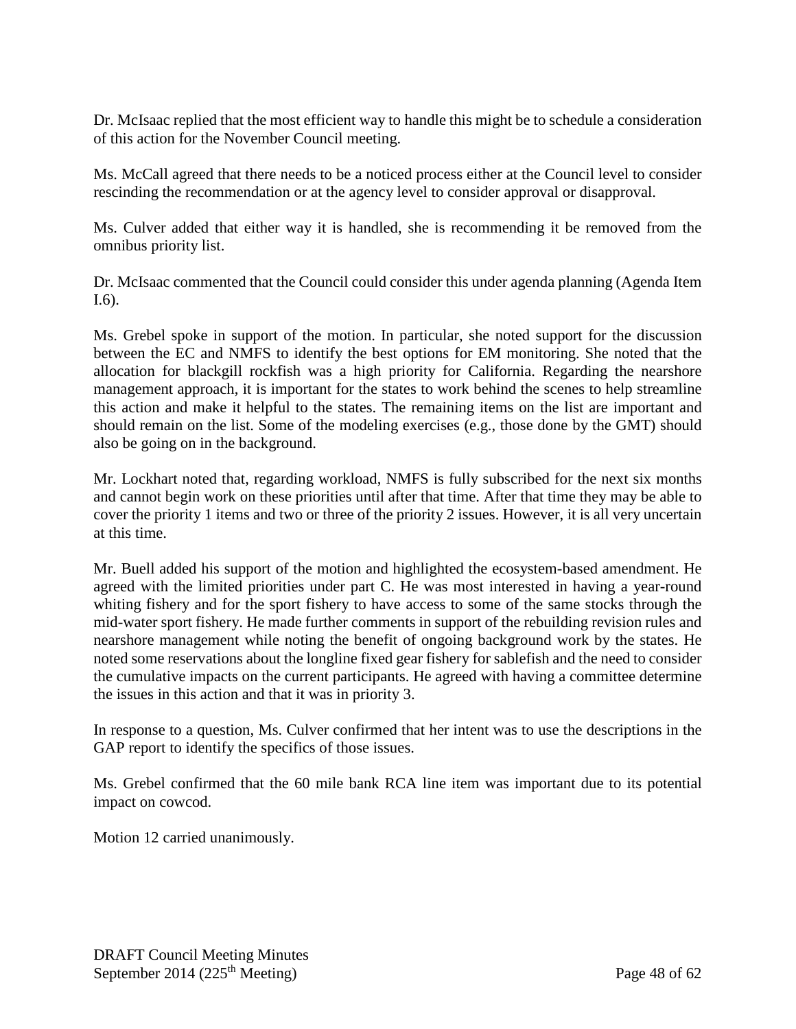Dr. McIsaac replied that the most efficient way to handle this might be to schedule a consideration of this action for the November Council meeting.

Ms. McCall agreed that there needs to be a noticed process either at the Council level to consider rescinding the recommendation or at the agency level to consider approval or disapproval.

Ms. Culver added that either way it is handled, she is recommending it be removed from the omnibus priority list.

Dr. McIsaac commented that the Council could consider this under agenda planning (Agenda Item I.6).

Ms. Grebel spoke in support of the motion. In particular, she noted support for the discussion between the EC and NMFS to identify the best options for EM monitoring. She noted that the allocation for blackgill rockfish was a high priority for California. Regarding the nearshore management approach, it is important for the states to work behind the scenes to help streamline this action and make it helpful to the states. The remaining items on the list are important and should remain on the list. Some of the modeling exercises (e.g., those done by the GMT) should also be going on in the background.

Mr. Lockhart noted that, regarding workload, NMFS is fully subscribed for the next six months and cannot begin work on these priorities until after that time. After that time they may be able to cover the priority 1 items and two or three of the priority 2 issues. However, it is all very uncertain at this time.

Mr. Buell added his support of the motion and highlighted the ecosystem-based amendment. He agreed with the limited priorities under part C. He was most interested in having a year-round whiting fishery and for the sport fishery to have access to some of the same stocks through the mid-water sport fishery. He made further comments in support of the rebuilding revision rules and nearshore management while noting the benefit of ongoing background work by the states. He noted some reservations about the longline fixed gear fishery for sablefish and the need to consider the cumulative impacts on the current participants. He agreed with having a committee determine the issues in this action and that it was in priority 3.

In response to a question, Ms. Culver confirmed that her intent was to use the descriptions in the GAP report to identify the specifics of those issues.

Ms. Grebel confirmed that the 60 mile bank RCA line item was important due to its potential impact on cowcod.

Motion 12 carried unanimously.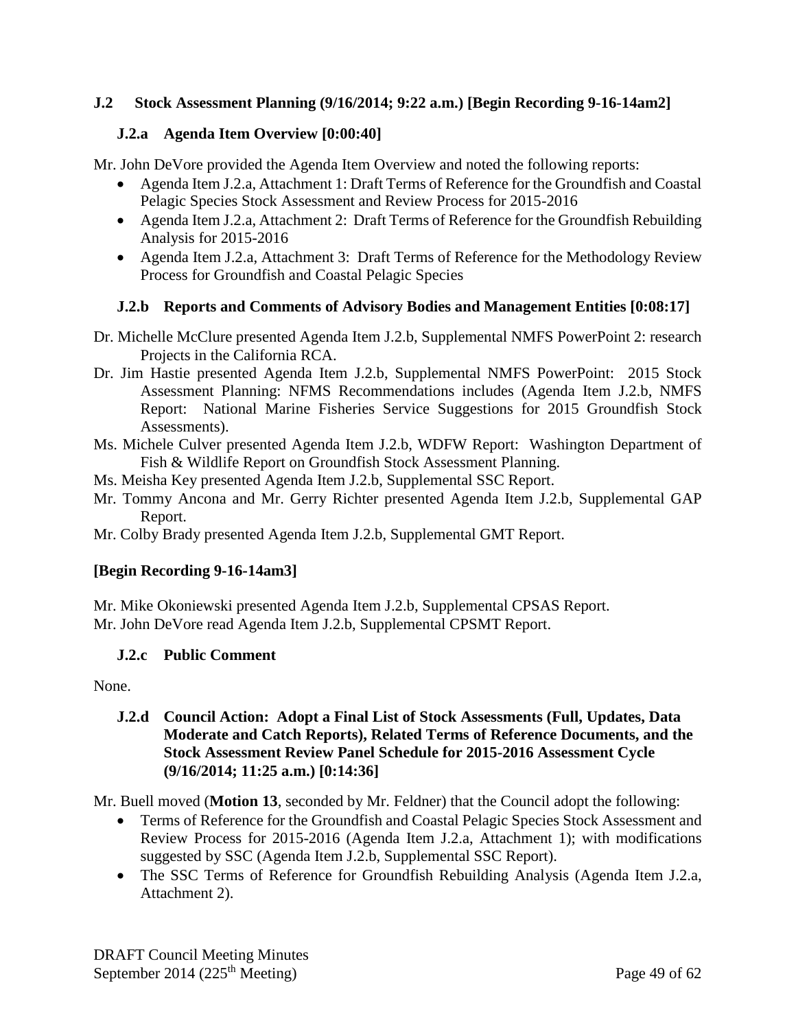## **J.2 Stock Assessment Planning (9/16/2014; 9:22 a.m.) [Begin Recording 9-16-14am2]**

## **J.2.a Agenda Item Overview [0:00:40]**

Mr. John DeVore provided the Agenda Item Overview and noted the following reports:

- Agenda Item J.2.a, Attachment 1: Draft Terms of Reference for the Groundfish and Coastal Pelagic Species Stock Assessment and Review Process for 2015-2016
- Agenda Item J.2.a, Attachment 2: Draft Terms of Reference for the Groundfish Rebuilding Analysis for 2015-2016
- Agenda Item J.2.a, Attachment 3: Draft Terms of Reference for the Methodology Review Process for Groundfish and Coastal Pelagic Species

## **J.2.b Reports and Comments of Advisory Bodies and Management Entities [0:08:17]**

- Dr. Michelle McClure presented Agenda Item J.2.b, Supplemental NMFS PowerPoint 2: research Projects in the California RCA.
- Dr. Jim Hastie presented Agenda Item J.2.b, Supplemental NMFS PowerPoint: 2015 Stock Assessment Planning: NFMS Recommendations includes (Agenda Item J.2.b, NMFS Report: National Marine Fisheries Service Suggestions for 2015 Groundfish Stock Assessments).
- Ms. Michele Culver presented Agenda Item J.2.b, WDFW Report: Washington Department of Fish & Wildlife Report on Groundfish Stock Assessment Planning.
- Ms. Meisha Key presented Agenda Item J.2.b, Supplemental SSC Report.
- Mr. Tommy Ancona and Mr. Gerry Richter presented Agenda Item J.2.b, Supplemental GAP Report.
- Mr. Colby Brady presented Agenda Item J.2.b, Supplemental GMT Report.

# **[Begin Recording 9-16-14am3]**

Mr. Mike Okoniewski presented Agenda Item J.2.b, Supplemental CPSAS Report. Mr. John DeVore read Agenda Item J.2.b, Supplemental CPSMT Report.

## **J.2.c Public Comment**

None.

## **J.2.d Council Action: Adopt a Final List of Stock Assessments (Full, Updates, Data Moderate and Catch Reports), Related Terms of Reference Documents, and the Stock Assessment Review Panel Schedule for 2015-2016 Assessment Cycle (9/16/2014; 11:25 a.m.) [0:14:36]**

Mr. Buell moved (**Motion 13**, seconded by Mr. Feldner) that the Council adopt the following:

- Terms of Reference for the Groundfish and Coastal Pelagic Species Stock Assessment and Review Process for 2015-2016 (Agenda Item J.2.a, Attachment 1); with modifications suggested by SSC (Agenda Item J.2.b, Supplemental SSC Report).
- The SSC Terms of Reference for Groundfish Rebuilding Analysis (Agenda Item J.2.a, Attachment 2).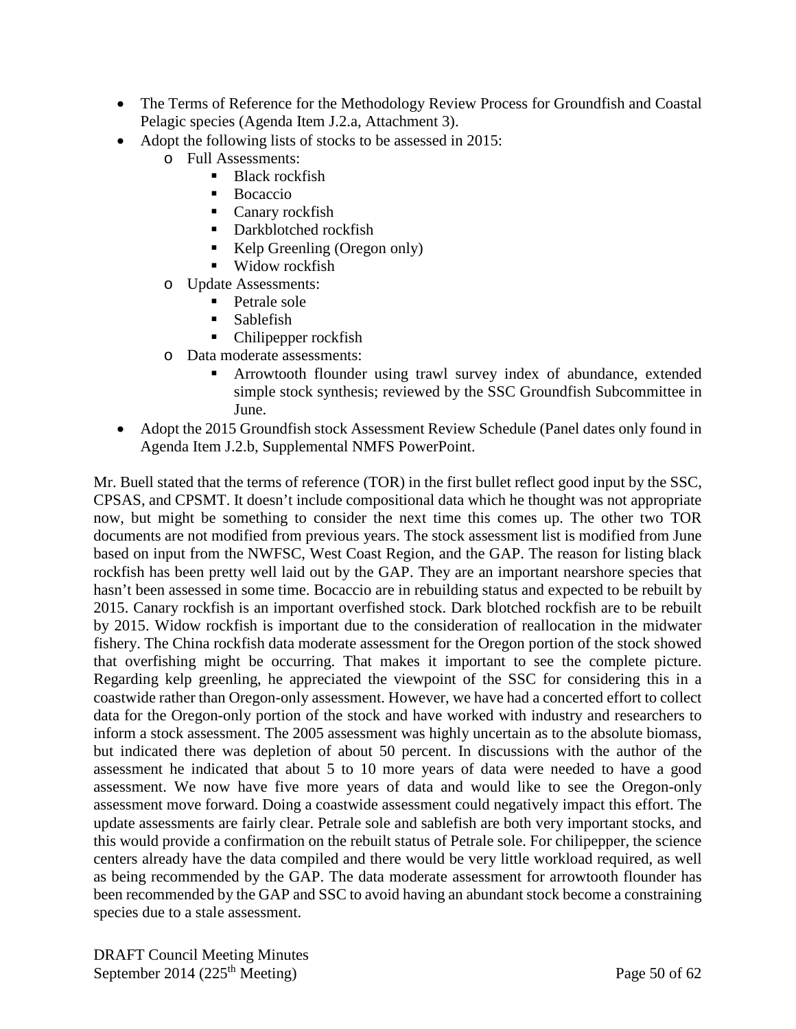- The Terms of Reference for the Methodology Review Process for Groundfish and Coastal Pelagic species (Agenda Item J.2.a, Attachment 3).
- Adopt the following lists of stocks to be assessed in 2015:
	- o Full Assessments:
		- Black rockfish
		- **Bocaccio**
		- Canary rockfish
		- Darkblotched rockfish
		- Kelp Greenling (Oregon only)
		- Widow rockfish
	- o Update Assessments:
		- Petrale sole
		- $\blacksquare$  Sablefish
		- Chilipepper rockfish
	- o Data moderate assessments:
		- Arrowtooth flounder using trawl survey index of abundance, extended simple stock synthesis; reviewed by the SSC Groundfish Subcommittee in June.
- Adopt the 2015 Groundfish stock Assessment Review Schedule (Panel dates only found in Agenda Item J.2.b, Supplemental NMFS PowerPoint.

Mr. Buell stated that the terms of reference (TOR) in the first bullet reflect good input by the SSC, CPSAS, and CPSMT. It doesn't include compositional data which he thought was not appropriate now, but might be something to consider the next time this comes up. The other two TOR documents are not modified from previous years. The stock assessment list is modified from June based on input from the NWFSC, West Coast Region, and the GAP. The reason for listing black rockfish has been pretty well laid out by the GAP. They are an important nearshore species that hasn't been assessed in some time. Bocaccio are in rebuilding status and expected to be rebuilt by 2015. Canary rockfish is an important overfished stock. Dark blotched rockfish are to be rebuilt by 2015. Widow rockfish is important due to the consideration of reallocation in the midwater fishery. The China rockfish data moderate assessment for the Oregon portion of the stock showed that overfishing might be occurring. That makes it important to see the complete picture. Regarding kelp greenling, he appreciated the viewpoint of the SSC for considering this in a coastwide rather than Oregon-only assessment. However, we have had a concerted effort to collect data for the Oregon-only portion of the stock and have worked with industry and researchers to inform a stock assessment. The 2005 assessment was highly uncertain as to the absolute biomass, but indicated there was depletion of about 50 percent. In discussions with the author of the assessment he indicated that about 5 to 10 more years of data were needed to have a good assessment. We now have five more years of data and would like to see the Oregon-only assessment move forward. Doing a coastwide assessment could negatively impact this effort. The update assessments are fairly clear. Petrale sole and sablefish are both very important stocks, and this would provide a confirmation on the rebuilt status of Petrale sole. For chilipepper, the science centers already have the data compiled and there would be very little workload required, as well as being recommended by the GAP. The data moderate assessment for arrowtooth flounder has been recommended by the GAP and SSC to avoid having an abundant stock become a constraining species due to a stale assessment.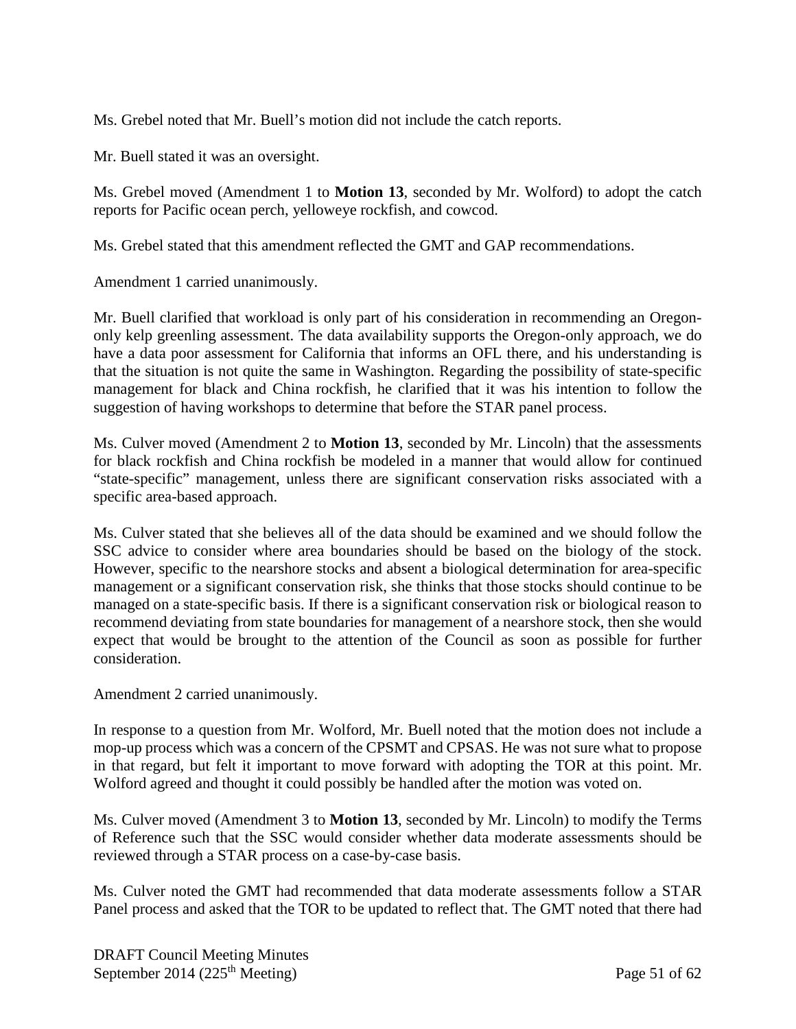Ms. Grebel noted that Mr. Buell's motion did not include the catch reports.

Mr. Buell stated it was an oversight.

Ms. Grebel moved (Amendment 1 to **Motion 13**, seconded by Mr. Wolford) to adopt the catch reports for Pacific ocean perch, yelloweye rockfish, and cowcod.

Ms. Grebel stated that this amendment reflected the GMT and GAP recommendations.

Amendment 1 carried unanimously.

Mr. Buell clarified that workload is only part of his consideration in recommending an Oregononly kelp greenling assessment. The data availability supports the Oregon-only approach, we do have a data poor assessment for California that informs an OFL there, and his understanding is that the situation is not quite the same in Washington. Regarding the possibility of state-specific management for black and China rockfish, he clarified that it was his intention to follow the suggestion of having workshops to determine that before the STAR panel process.

Ms. Culver moved (Amendment 2 to **Motion 13**, seconded by Mr. Lincoln) that the assessments for black rockfish and China rockfish be modeled in a manner that would allow for continued "state-specific" management, unless there are significant conservation risks associated with a specific area-based approach.

Ms. Culver stated that she believes all of the data should be examined and we should follow the SSC advice to consider where area boundaries should be based on the biology of the stock. However, specific to the nearshore stocks and absent a biological determination for area-specific management or a significant conservation risk, she thinks that those stocks should continue to be managed on a state-specific basis. If there is a significant conservation risk or biological reason to recommend deviating from state boundaries for management of a nearshore stock, then she would expect that would be brought to the attention of the Council as soon as possible for further consideration.

Amendment 2 carried unanimously.

In response to a question from Mr. Wolford, Mr. Buell noted that the motion does not include a mop-up process which was a concern of the CPSMT and CPSAS. He was not sure what to propose in that regard, but felt it important to move forward with adopting the TOR at this point. Mr. Wolford agreed and thought it could possibly be handled after the motion was voted on.

Ms. Culver moved (Amendment 3 to **Motion 13**, seconded by Mr. Lincoln) to modify the Terms of Reference such that the SSC would consider whether data moderate assessments should be reviewed through a STAR process on a case-by-case basis.

Ms. Culver noted the GMT had recommended that data moderate assessments follow a STAR Panel process and asked that the TOR to be updated to reflect that. The GMT noted that there had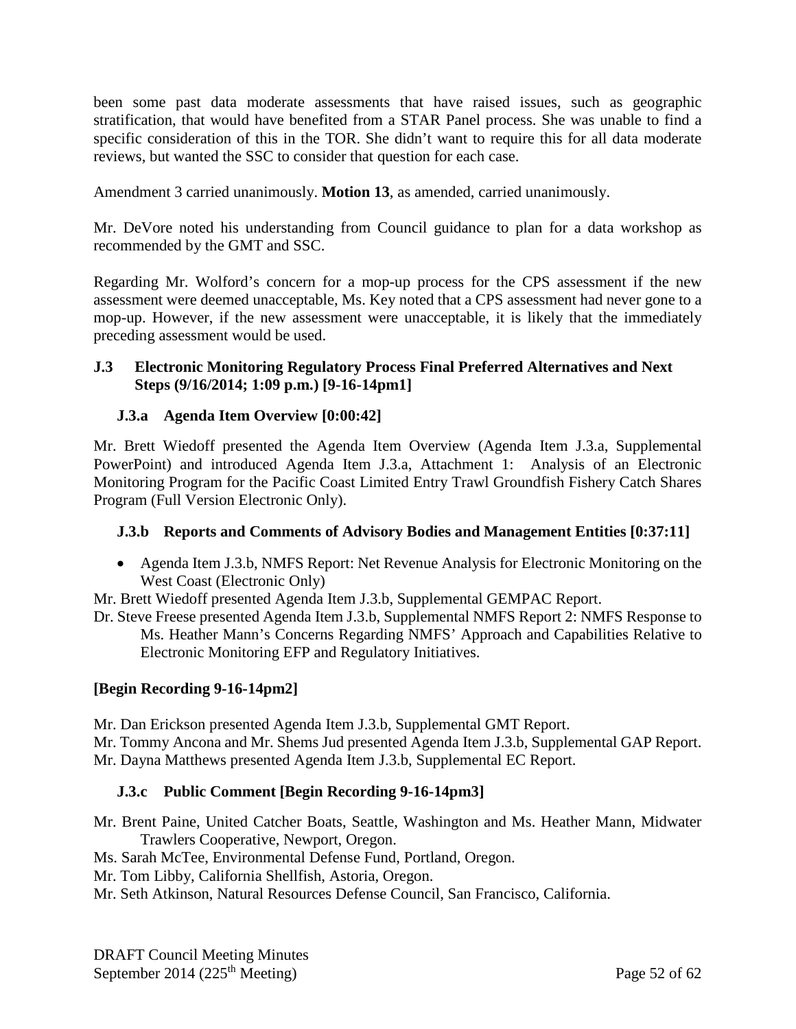been some past data moderate assessments that have raised issues, such as geographic stratification, that would have benefited from a STAR Panel process. She was unable to find a specific consideration of this in the TOR. She didn't want to require this for all data moderate reviews, but wanted the SSC to consider that question for each case.

Amendment 3 carried unanimously. **Motion 13**, as amended, carried unanimously.

Mr. DeVore noted his understanding from Council guidance to plan for a data workshop as recommended by the GMT and SSC.

Regarding Mr. Wolford's concern for a mop-up process for the CPS assessment if the new assessment were deemed unacceptable, Ms. Key noted that a CPS assessment had never gone to a mop-up. However, if the new assessment were unacceptable, it is likely that the immediately preceding assessment would be used.

### **J.3 Electronic Monitoring Regulatory Process Final Preferred Alternatives and Next Steps (9/16/2014; 1:09 p.m.) [9-16-14pm1]**

## **J.3.a Agenda Item Overview [0:00:42]**

Mr. Brett Wiedoff presented the Agenda Item Overview (Agenda Item J.3.a, Supplemental PowerPoint) and introduced Agenda Item J.3.a, Attachment 1: Analysis of an Electronic Monitoring Program for the Pacific Coast Limited Entry Trawl Groundfish Fishery Catch Shares Program (Full Version Electronic Only).

## **J.3.b Reports and Comments of Advisory Bodies and Management Entities [0:37:11]**

• Agenda Item J.3.b, NMFS Report: Net Revenue Analysis for Electronic Monitoring on the West Coast (Electronic Only)

Mr. Brett Wiedoff presented Agenda Item J.3.b, Supplemental GEMPAC Report.

Dr. Steve Freese presented Agenda Item J.3.b, Supplemental NMFS Report 2: NMFS Response to Ms. Heather Mann's Concerns Regarding NMFS' Approach and Capabilities Relative to Electronic Monitoring EFP and Regulatory Initiatives.

## **[Begin Recording 9-16-14pm2]**

Mr. Dan Erickson presented Agenda Item J.3.b, Supplemental GMT Report.

Mr. Tommy Ancona and Mr. Shems Jud presented Agenda Item J.3.b, Supplemental GAP Report. Mr. Dayna Matthews presented Agenda Item J.3.b, Supplemental EC Report.

# **J.3.c Public Comment [Begin Recording 9-16-14pm3]**

- Mr. Brent Paine, United Catcher Boats, Seattle, Washington and Ms. Heather Mann, Midwater Trawlers Cooperative, Newport, Oregon.
- Ms. Sarah McTee, Environmental Defense Fund, Portland, Oregon.
- Mr. Tom Libby, California Shellfish, Astoria, Oregon.
- Mr. Seth Atkinson, Natural Resources Defense Council, San Francisco, California.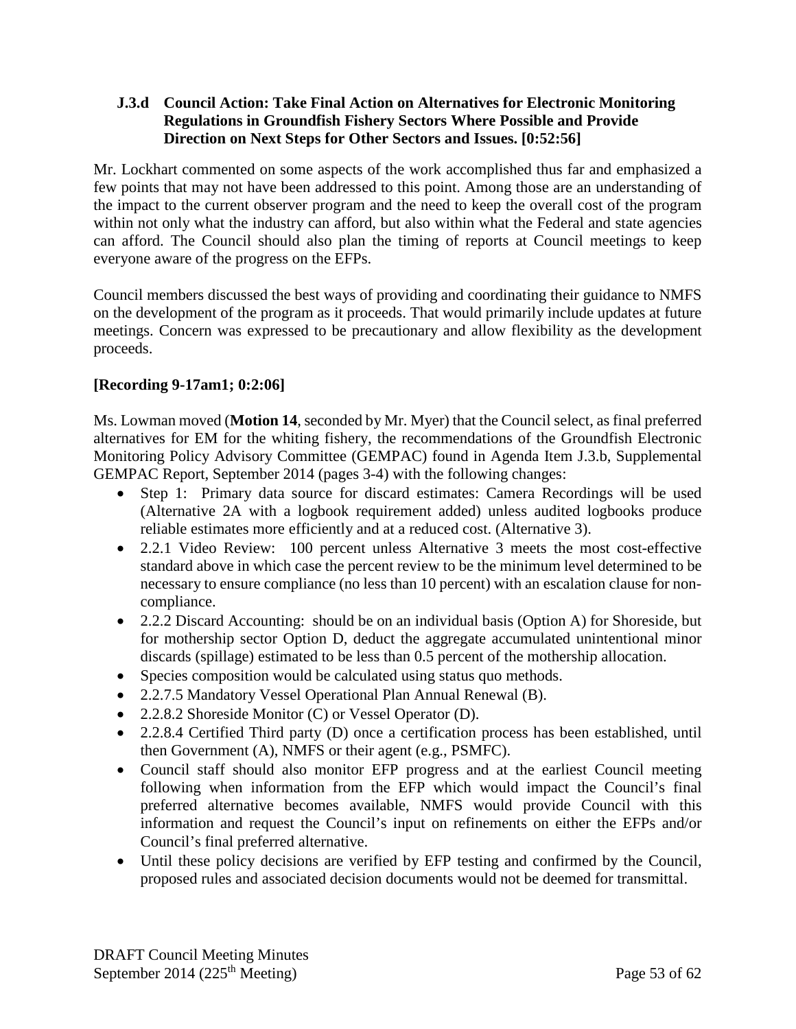### **J.3.d Council Action: Take Final Action on Alternatives for Electronic Monitoring Regulations in Groundfish Fishery Sectors Where Possible and Provide Direction on Next Steps for Other Sectors and Issues. [0:52:56]**

Mr. Lockhart commented on some aspects of the work accomplished thus far and emphasized a few points that may not have been addressed to this point. Among those are an understanding of the impact to the current observer program and the need to keep the overall cost of the program within not only what the industry can afford, but also within what the Federal and state agencies can afford. The Council should also plan the timing of reports at Council meetings to keep everyone aware of the progress on the EFPs.

Council members discussed the best ways of providing and coordinating their guidance to NMFS on the development of the program as it proceeds. That would primarily include updates at future meetings. Concern was expressed to be precautionary and allow flexibility as the development proceeds.

## **[Recording 9-17am1; 0:2:06]**

Ms. Lowman moved (**Motion 14**, seconded by Mr. Myer) that the Council select, as final preferred alternatives for EM for the whiting fishery, the recommendations of the Groundfish Electronic Monitoring Policy Advisory Committee (GEMPAC) found in Agenda Item J.3.b, Supplemental GEMPAC Report, September 2014 (pages 3-4) with the following changes:

- Step 1: Primary data source for discard estimates: Camera Recordings will be used (Alternative 2A with a logbook requirement added) unless audited logbooks produce reliable estimates more efficiently and at a reduced cost. (Alternative 3).
- 2.2.1 Video Review: 100 percent unless Alternative 3 meets the most cost-effective standard above in which case the percent review to be the minimum level determined to be necessary to ensure compliance (no less than 10 percent) with an escalation clause for noncompliance.
- 2.2.2 Discard Accounting: should be on an individual basis (Option A) for Shoreside, but for mothership sector Option D, deduct the aggregate accumulated unintentional minor discards (spillage) estimated to be less than 0.5 percent of the mothership allocation.
- Species composition would be calculated using status quo methods.
- 2.2.7.5 Mandatory Vessel Operational Plan Annual Renewal (B).
- 2.2.8.2 Shoreside Monitor (C) or Vessel Operator (D).
- 2.2.8.4 Certified Third party (D) once a certification process has been established, until then Government (A), NMFS or their agent (e.g., PSMFC).
- Council staff should also monitor EFP progress and at the earliest Council meeting following when information from the EFP which would impact the Council's final preferred alternative becomes available, NMFS would provide Council with this information and request the Council's input on refinements on either the EFPs and/or Council's final preferred alternative.
- Until these policy decisions are verified by EFP testing and confirmed by the Council, proposed rules and associated decision documents would not be deemed for transmittal.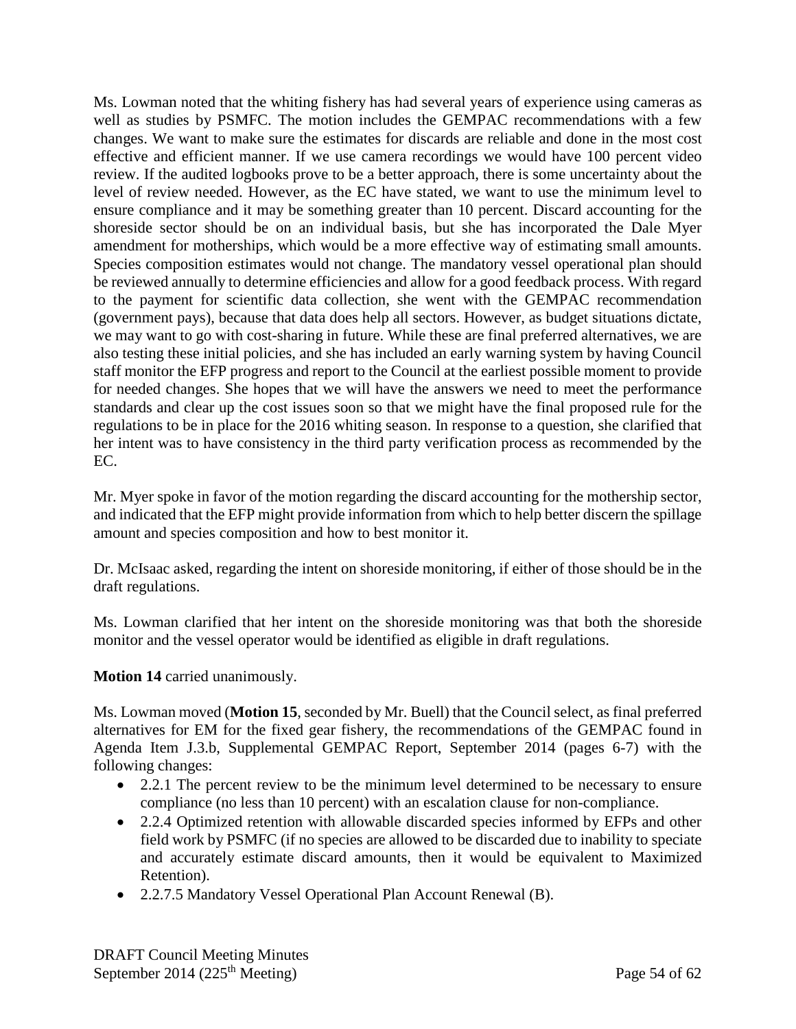Ms. Lowman noted that the whiting fishery has had several years of experience using cameras as well as studies by PSMFC. The motion includes the GEMPAC recommendations with a few changes. We want to make sure the estimates for discards are reliable and done in the most cost effective and efficient manner. If we use camera recordings we would have 100 percent video review. If the audited logbooks prove to be a better approach, there is some uncertainty about the level of review needed. However, as the EC have stated, we want to use the minimum level to ensure compliance and it may be something greater than 10 percent. Discard accounting for the shoreside sector should be on an individual basis, but she has incorporated the Dale Myer amendment for motherships, which would be a more effective way of estimating small amounts. Species composition estimates would not change. The mandatory vessel operational plan should be reviewed annually to determine efficiencies and allow for a good feedback process. With regard to the payment for scientific data collection, she went with the GEMPAC recommendation (government pays), because that data does help all sectors. However, as budget situations dictate, we may want to go with cost-sharing in future. While these are final preferred alternatives, we are also testing these initial policies, and she has included an early warning system by having Council staff monitor the EFP progress and report to the Council at the earliest possible moment to provide for needed changes. She hopes that we will have the answers we need to meet the performance standards and clear up the cost issues soon so that we might have the final proposed rule for the regulations to be in place for the 2016 whiting season. In response to a question, she clarified that her intent was to have consistency in the third party verification process as recommended by the EC.

Mr. Myer spoke in favor of the motion regarding the discard accounting for the mothership sector, and indicated that the EFP might provide information from which to help better discern the spillage amount and species composition and how to best monitor it.

Dr. McIsaac asked, regarding the intent on shoreside monitoring, if either of those should be in the draft regulations.

Ms. Lowman clarified that her intent on the shoreside monitoring was that both the shoreside monitor and the vessel operator would be identified as eligible in draft regulations.

## **Motion 14** carried unanimously.

Ms. Lowman moved (**Motion 15**, seconded by Mr. Buell) that the Council select, as final preferred alternatives for EM for the fixed gear fishery, the recommendations of the GEMPAC found in Agenda Item J.3.b, Supplemental GEMPAC Report, September 2014 (pages 6-7) with the following changes:

- 2.2.1 The percent review to be the minimum level determined to be necessary to ensure compliance (no less than 10 percent) with an escalation clause for non-compliance.
- 2.2.4 Optimized retention with allowable discarded species informed by EFPs and other field work by PSMFC (if no species are allowed to be discarded due to inability to speciate and accurately estimate discard amounts, then it would be equivalent to Maximized Retention).
- 2.2.7.5 Mandatory Vessel Operational Plan Account Renewal (B).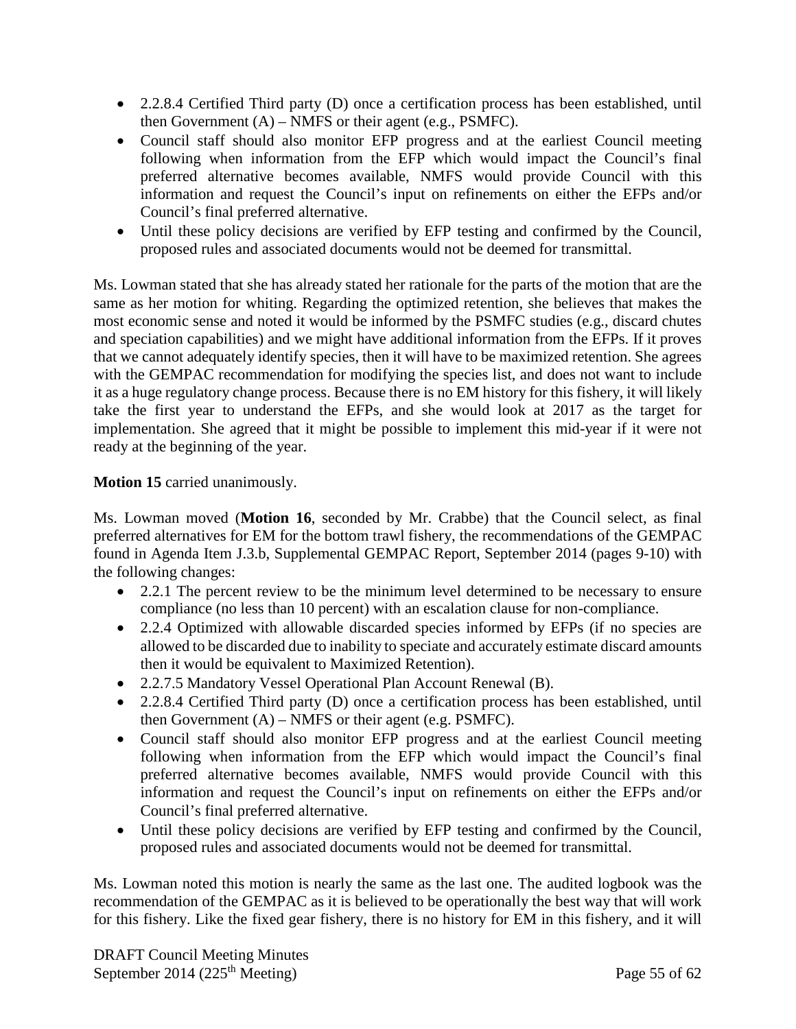- 2.2.8.4 Certified Third party (D) once a certification process has been established, until then Government  $(A)$  – NMFS or their agent (e.g., PSMFC).
- Council staff should also monitor EFP progress and at the earliest Council meeting following when information from the EFP which would impact the Council's final preferred alternative becomes available, NMFS would provide Council with this information and request the Council's input on refinements on either the EFPs and/or Council's final preferred alternative.
- Until these policy decisions are verified by EFP testing and confirmed by the Council, proposed rules and associated documents would not be deemed for transmittal.

Ms. Lowman stated that she has already stated her rationale for the parts of the motion that are the same as her motion for whiting. Regarding the optimized retention, she believes that makes the most economic sense and noted it would be informed by the PSMFC studies (e.g., discard chutes and speciation capabilities) and we might have additional information from the EFPs. If it proves that we cannot adequately identify species, then it will have to be maximized retention. She agrees with the GEMPAC recommendation for modifying the species list, and does not want to include it as a huge regulatory change process. Because there is no EM history for this fishery, it will likely take the first year to understand the EFPs, and she would look at 2017 as the target for implementation. She agreed that it might be possible to implement this mid-year if it were not ready at the beginning of the year.

## **Motion 15** carried unanimously.

Ms. Lowman moved (**Motion 16**, seconded by Mr. Crabbe) that the Council select, as final preferred alternatives for EM for the bottom trawl fishery, the recommendations of the GEMPAC found in Agenda Item J.3.b, Supplemental GEMPAC Report, September 2014 (pages 9-10) with the following changes:

- 2.2.1 The percent review to be the minimum level determined to be necessary to ensure compliance (no less than 10 percent) with an escalation clause for non-compliance.
- 2.2.4 Optimized with allowable discarded species informed by EFPs (if no species are allowed to be discarded due to inability to speciate and accurately estimate discard amounts then it would be equivalent to Maximized Retention).
- 2.2.7.5 Mandatory Vessel Operational Plan Account Renewal (B).
- 2.2.8.4 Certified Third party (D) once a certification process has been established, until then Government  $(A)$  – NMFS or their agent (e.g. PSMFC).
- Council staff should also monitor EFP progress and at the earliest Council meeting following when information from the EFP which would impact the Council's final preferred alternative becomes available, NMFS would provide Council with this information and request the Council's input on refinements on either the EFPs and/or Council's final preferred alternative.
- Until these policy decisions are verified by EFP testing and confirmed by the Council, proposed rules and associated documents would not be deemed for transmittal.

Ms. Lowman noted this motion is nearly the same as the last one. The audited logbook was the recommendation of the GEMPAC as it is believed to be operationally the best way that will work for this fishery. Like the fixed gear fishery, there is no history for EM in this fishery, and it will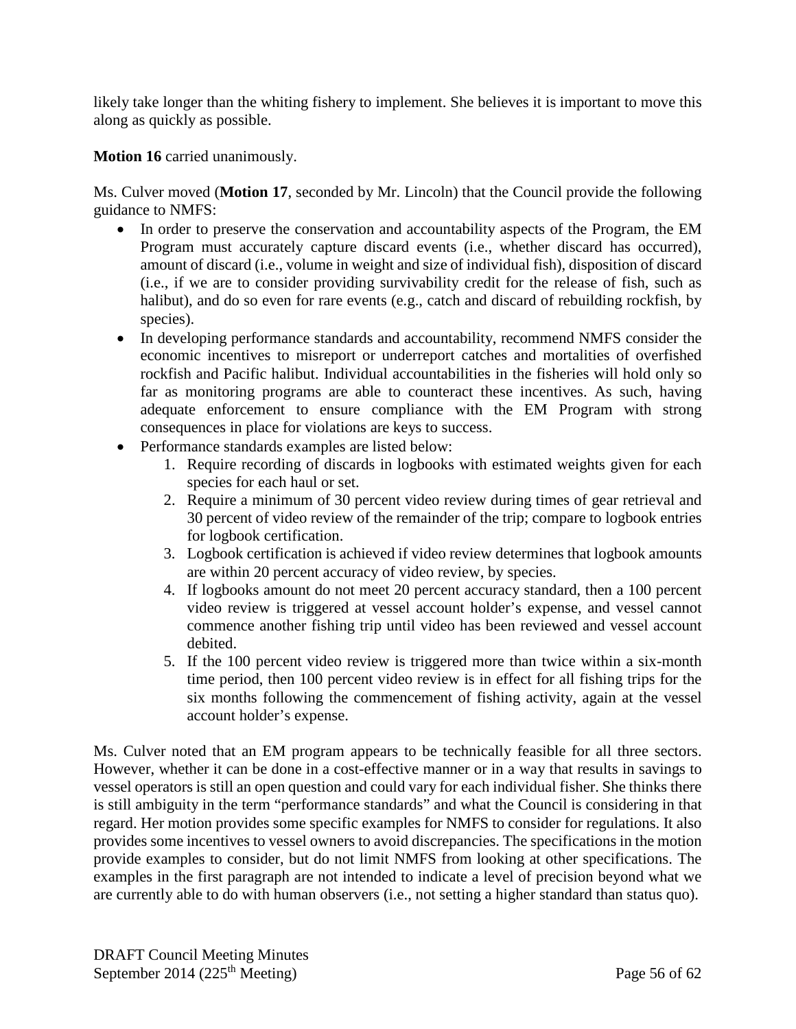likely take longer than the whiting fishery to implement. She believes it is important to move this along as quickly as possible.

**Motion 16** carried unanimously.

Ms. Culver moved (**Motion 17**, seconded by Mr. Lincoln) that the Council provide the following guidance to NMFS:

- In order to preserve the conservation and accountability aspects of the Program, the EM Program must accurately capture discard events (i.e., whether discard has occurred), amount of discard (i.e., volume in weight and size of individual fish), disposition of discard (i.e., if we are to consider providing survivability credit for the release of fish, such as halibut), and do so even for rare events (e.g., catch and discard of rebuilding rockfish, by species).
- In developing performance standards and accountability, recommend NMFS consider the economic incentives to misreport or underreport catches and mortalities of overfished rockfish and Pacific halibut. Individual accountabilities in the fisheries will hold only so far as monitoring programs are able to counteract these incentives. As such, having adequate enforcement to ensure compliance with the EM Program with strong consequences in place for violations are keys to success.
- Performance standards examples are listed below:
	- 1. Require recording of discards in logbooks with estimated weights given for each species for each haul or set.
	- 2. Require a minimum of 30 percent video review during times of gear retrieval and 30 percent of video review of the remainder of the trip; compare to logbook entries for logbook certification.
	- 3. Logbook certification is achieved if video review determines that logbook amounts are within 20 percent accuracy of video review, by species.
	- 4. If logbooks amount do not meet 20 percent accuracy standard, then a 100 percent video review is triggered at vessel account holder's expense, and vessel cannot commence another fishing trip until video has been reviewed and vessel account debited.
	- 5. If the 100 percent video review is triggered more than twice within a six-month time period, then 100 percent video review is in effect for all fishing trips for the six months following the commencement of fishing activity, again at the vessel account holder's expense.

Ms. Culver noted that an EM program appears to be technically feasible for all three sectors. However, whether it can be done in a cost-effective manner or in a way that results in savings to vessel operators is still an open question and could vary for each individual fisher. She thinks there is still ambiguity in the term "performance standards" and what the Council is considering in that regard. Her motion provides some specific examples for NMFS to consider for regulations. It also provides some incentives to vessel owners to avoid discrepancies. The specifications in the motion provide examples to consider, but do not limit NMFS from looking at other specifications. The examples in the first paragraph are not intended to indicate a level of precision beyond what we are currently able to do with human observers (i.e., not setting a higher standard than status quo).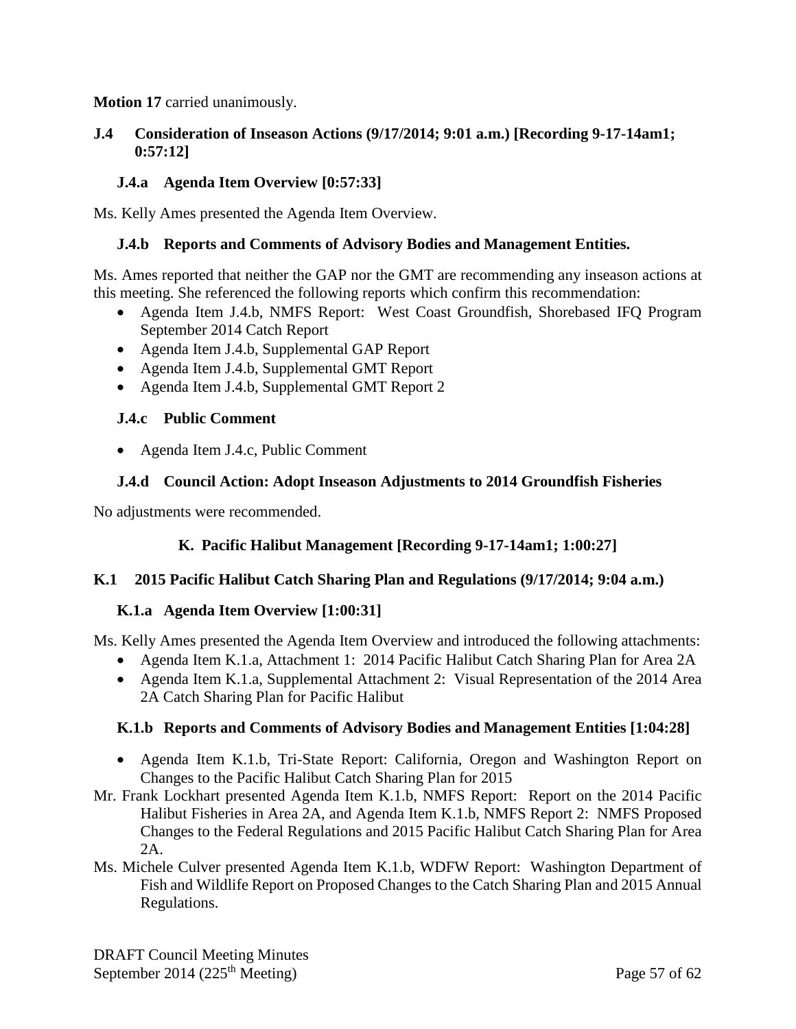### **Motion 17** carried unanimously.

### **J.4 Consideration of Inseason Actions (9/17/2014; 9:01 a.m.) [Recording 9-17-14am1; 0:57:12]**

### **J.4.a Agenda Item Overview [0:57:33]**

Ms. Kelly Ames presented the Agenda Item Overview.

#### **J.4.b Reports and Comments of Advisory Bodies and Management Entities.**

Ms. Ames reported that neither the GAP nor the GMT are recommending any inseason actions at this meeting. She referenced the following reports which confirm this recommendation:

- Agenda Item J.4.b, NMFS Report: West Coast Groundfish, Shorebased IFQ Program September 2014 Catch Report
- Agenda Item J.4.b, Supplemental GAP Report
- Agenda Item J.4.b, Supplemental GMT Report
- Agenda Item J.4.b, Supplemental GMT Report 2

#### **J.4.c Public Comment**

• Agenda Item J.4.c, Public Comment

### **J.4.d Council Action: Adopt Inseason Adjustments to 2014 Groundfish Fisheries**

No adjustments were recommended.

## **K. Pacific Halibut Management [Recording 9-17-14am1; 1:00:27]**

#### **K.1 2015 Pacific Halibut Catch Sharing Plan and Regulations (9/17/2014; 9:04 a.m.)**

#### **K.1.a Agenda Item Overview [1:00:31]**

Ms. Kelly Ames presented the Agenda Item Overview and introduced the following attachments:

- Agenda Item K.1.a, Attachment 1: 2014 Pacific Halibut Catch Sharing Plan for Area 2A
- Agenda Item K.1.a, Supplemental Attachment 2: Visual Representation of the 2014 Area 2A Catch Sharing Plan for Pacific Halibut

#### **K.1.b Reports and Comments of Advisory Bodies and Management Entities [1:04:28]**

- Agenda Item K.1.b, Tri-State Report: California, Oregon and Washington Report on Changes to the Pacific Halibut Catch Sharing Plan for 2015
- Mr. Frank Lockhart presented Agenda Item K.1.b, NMFS Report: Report on the 2014 Pacific Halibut Fisheries in Area 2A, and Agenda Item K.1.b, NMFS Report 2: NMFS Proposed Changes to the Federal Regulations and 2015 Pacific Halibut Catch Sharing Plan for Area 2A.
- Ms. Michele Culver presented Agenda Item K.1.b, WDFW Report: Washington Department of Fish and Wildlife Report on Proposed Changes to the Catch Sharing Plan and 2015 Annual Regulations.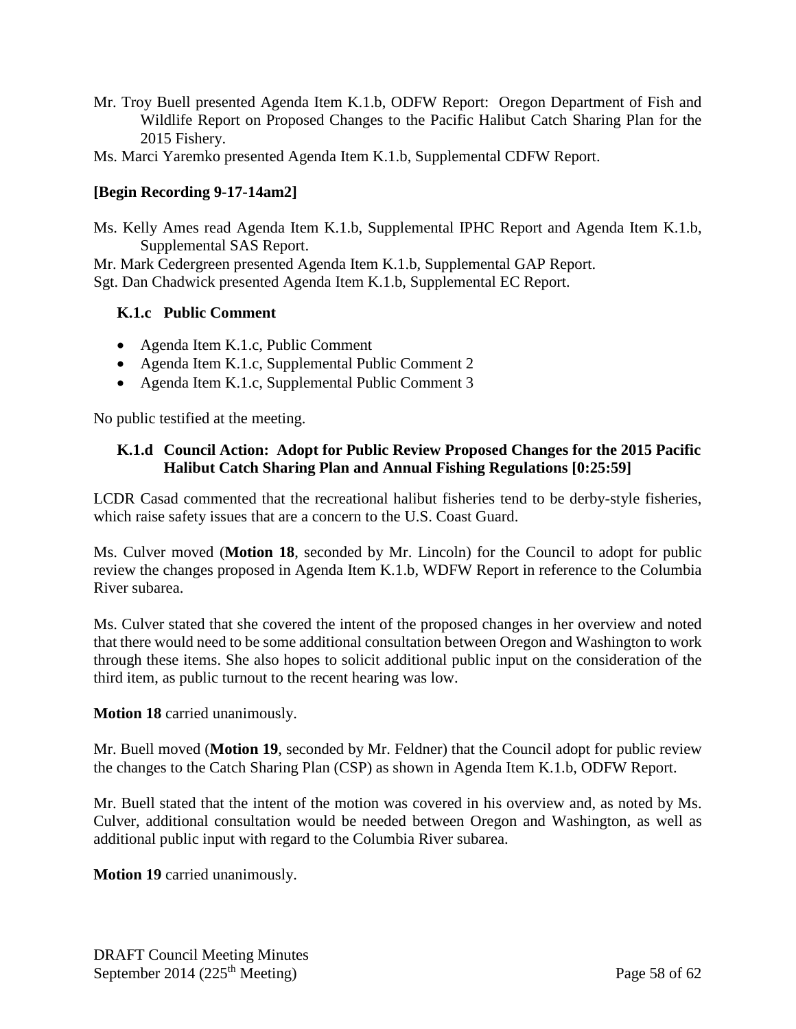- Mr. Troy Buell presented Agenda Item K.1.b, ODFW Report: Oregon Department of Fish and Wildlife Report on Proposed Changes to the Pacific Halibut Catch Sharing Plan for the 2015 Fishery.
- Ms. Marci Yaremko presented Agenda Item K.1.b, Supplemental CDFW Report.

## **[Begin Recording 9-17-14am2]**

Ms. Kelly Ames read Agenda Item K.1.b, Supplemental IPHC Report and Agenda Item K.1.b, Supplemental SAS Report.

Mr. Mark Cedergreen presented Agenda Item K.1.b, Supplemental GAP Report. Sgt. Dan Chadwick presented Agenda Item K.1.b, Supplemental EC Report.

## **K.1.c Public Comment**

- Agenda Item K.1.c, Public Comment
- Agenda Item K.1.c, Supplemental Public Comment 2
- Agenda Item K.1.c, Supplemental Public Comment 3

No public testified at the meeting.

### **K.1.d Council Action: Adopt for Public Review Proposed Changes for the 2015 Pacific Halibut Catch Sharing Plan and Annual Fishing Regulations [0:25:59]**

LCDR Casad commented that the recreational halibut fisheries tend to be derby-style fisheries, which raise safety issues that are a concern to the U.S. Coast Guard.

Ms. Culver moved (**Motion 18**, seconded by Mr. Lincoln) for the Council to adopt for public review the changes proposed in Agenda Item K.1.b, WDFW Report in reference to the Columbia River subarea.

Ms. Culver stated that she covered the intent of the proposed changes in her overview and noted that there would need to be some additional consultation between Oregon and Washington to work through these items. She also hopes to solicit additional public input on the consideration of the third item, as public turnout to the recent hearing was low.

#### **Motion 18** carried unanimously.

Mr. Buell moved (**Motion 19**, seconded by Mr. Feldner) that the Council adopt for public review the changes to the Catch Sharing Plan (CSP) as shown in Agenda Item K.1.b, ODFW Report.

Mr. Buell stated that the intent of the motion was covered in his overview and, as noted by Ms. Culver, additional consultation would be needed between Oregon and Washington, as well as additional public input with regard to the Columbia River subarea.

**Motion 19** carried unanimously.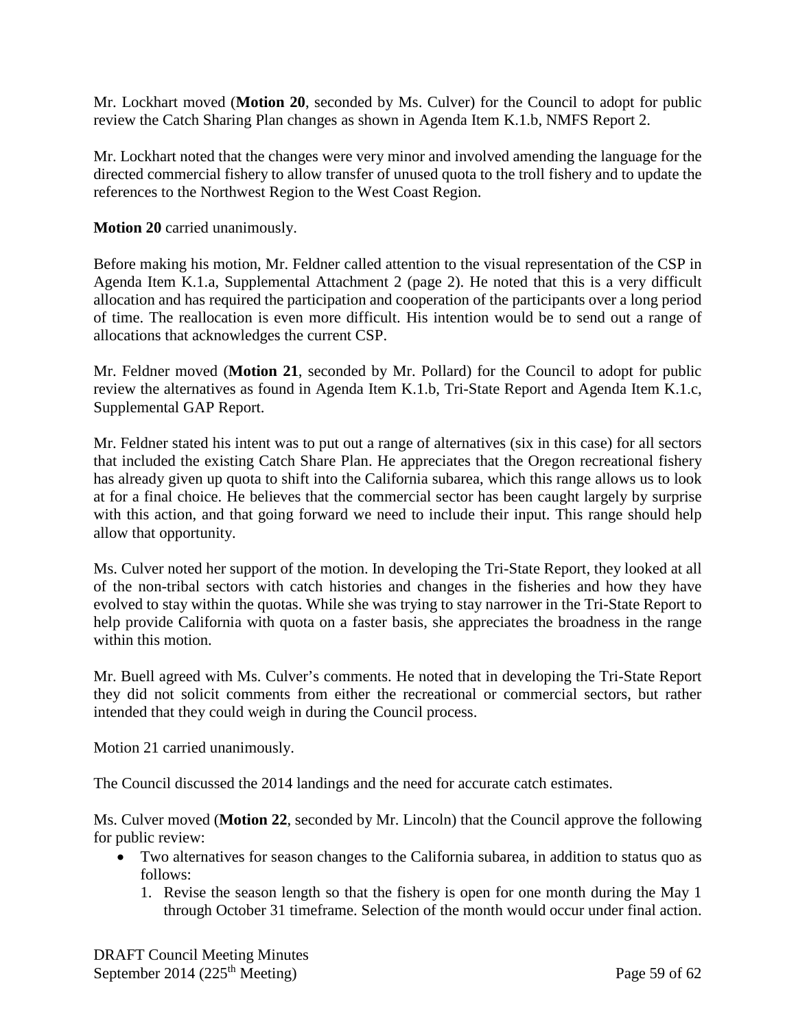Mr. Lockhart moved (**Motion 20**, seconded by Ms. Culver) for the Council to adopt for public review the Catch Sharing Plan changes as shown in Agenda Item K.1.b, NMFS Report 2.

Mr. Lockhart noted that the changes were very minor and involved amending the language for the directed commercial fishery to allow transfer of unused quota to the troll fishery and to update the references to the Northwest Region to the West Coast Region.

**Motion 20** carried unanimously.

Before making his motion, Mr. Feldner called attention to the visual representation of the CSP in Agenda Item K.1.a, Supplemental Attachment 2 (page 2). He noted that this is a very difficult allocation and has required the participation and cooperation of the participants over a long period of time. The reallocation is even more difficult. His intention would be to send out a range of allocations that acknowledges the current CSP.

Mr. Feldner moved (**Motion 21**, seconded by Mr. Pollard) for the Council to adopt for public review the alternatives as found in Agenda Item K.1.b, Tri-State Report and Agenda Item K.1.c, Supplemental GAP Report.

Mr. Feldner stated his intent was to put out a range of alternatives (six in this case) for all sectors that included the existing Catch Share Plan. He appreciates that the Oregon recreational fishery has already given up quota to shift into the California subarea, which this range allows us to look at for a final choice. He believes that the commercial sector has been caught largely by surprise with this action, and that going forward we need to include their input. This range should help allow that opportunity.

Ms. Culver noted her support of the motion. In developing the Tri-State Report, they looked at all of the non-tribal sectors with catch histories and changes in the fisheries and how they have evolved to stay within the quotas. While she was trying to stay narrower in the Tri-State Report to help provide California with quota on a faster basis, she appreciates the broadness in the range within this motion.

Mr. Buell agreed with Ms. Culver's comments. He noted that in developing the Tri-State Report they did not solicit comments from either the recreational or commercial sectors, but rather intended that they could weigh in during the Council process.

Motion 21 carried unanimously.

The Council discussed the 2014 landings and the need for accurate catch estimates.

Ms. Culver moved (**Motion 22**, seconded by Mr. Lincoln) that the Council approve the following for public review:

- Two alternatives for season changes to the California subarea, in addition to status quo as follows:
	- 1. Revise the season length so that the fishery is open for one month during the May 1 through October 31 timeframe. Selection of the month would occur under final action.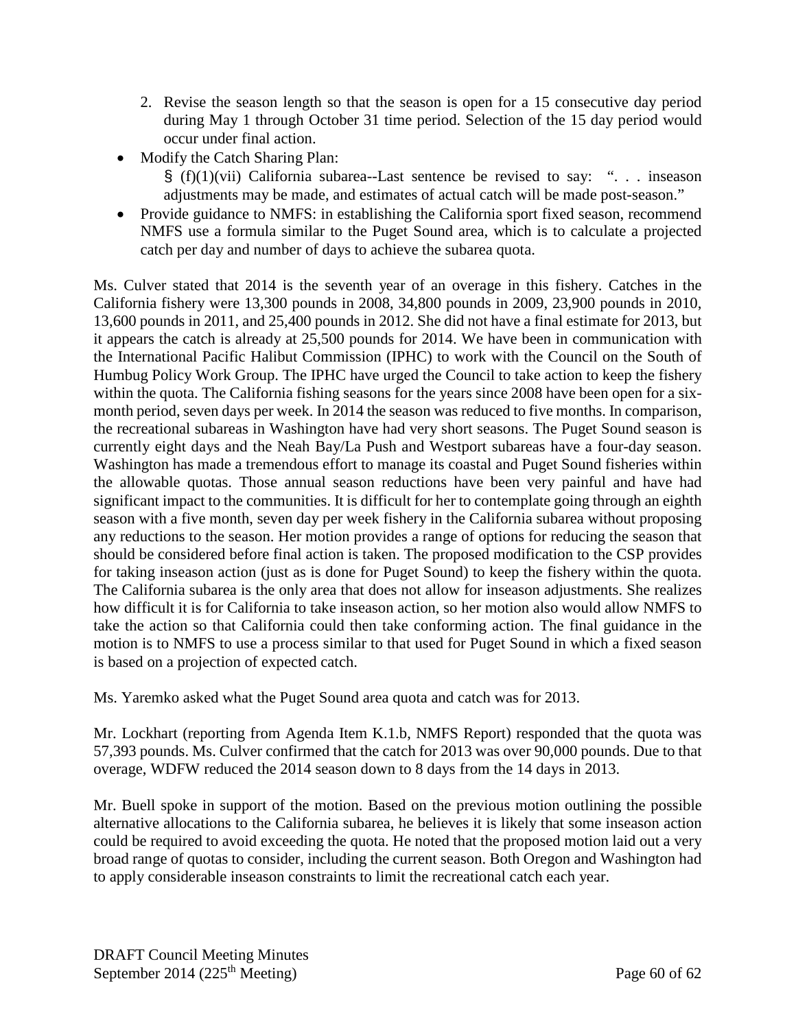- 2. Revise the season length so that the season is open for a 15 consecutive day period during May 1 through October 31 time period. Selection of the 15 day period would occur under final action.
- Modify the Catch Sharing Plan:
	- $\S$  (f)(1)(vii) California subarea--Last sentence be revised to say: "... inseason adjustments may be made, and estimates of actual catch will be made post-season."
- Provide guidance to NMFS: in establishing the California sport fixed season, recommend NMFS use a formula similar to the Puget Sound area, which is to calculate a projected catch per day and number of days to achieve the subarea quota.

Ms. Culver stated that 2014 is the seventh year of an overage in this fishery. Catches in the California fishery were 13,300 pounds in 2008, 34,800 pounds in 2009, 23,900 pounds in 2010, 13,600 pounds in 2011, and 25,400 pounds in 2012. She did not have a final estimate for 2013, but it appears the catch is already at 25,500 pounds for 2014. We have been in communication with the International Pacific Halibut Commission (IPHC) to work with the Council on the South of Humbug Policy Work Group. The IPHC have urged the Council to take action to keep the fishery within the quota. The California fishing seasons for the years since 2008 have been open for a sixmonth period, seven days per week. In 2014 the season was reduced to five months. In comparison, the recreational subareas in Washington have had very short seasons. The Puget Sound season is currently eight days and the Neah Bay/La Push and Westport subareas have a four-day season. Washington has made a tremendous effort to manage its coastal and Puget Sound fisheries within the allowable quotas. Those annual season reductions have been very painful and have had significant impact to the communities. It is difficult for her to contemplate going through an eighth season with a five month, seven day per week fishery in the California subarea without proposing any reductions to the season. Her motion provides a range of options for reducing the season that should be considered before final action is taken. The proposed modification to the CSP provides for taking inseason action (just as is done for Puget Sound) to keep the fishery within the quota. The California subarea is the only area that does not allow for inseason adjustments. She realizes how difficult it is for California to take inseason action, so her motion also would allow NMFS to take the action so that California could then take conforming action. The final guidance in the motion is to NMFS to use a process similar to that used for Puget Sound in which a fixed season is based on a projection of expected catch.

Ms. Yaremko asked what the Puget Sound area quota and catch was for 2013.

Mr. Lockhart (reporting from Agenda Item K.1.b, NMFS Report) responded that the quota was 57,393 pounds. Ms. Culver confirmed that the catch for 2013 was over 90,000 pounds. Due to that overage, WDFW reduced the 2014 season down to 8 days from the 14 days in 2013.

Mr. Buell spoke in support of the motion. Based on the previous motion outlining the possible alternative allocations to the California subarea, he believes it is likely that some inseason action could be required to avoid exceeding the quota. He noted that the proposed motion laid out a very broad range of quotas to consider, including the current season. Both Oregon and Washington had to apply considerable inseason constraints to limit the recreational catch each year.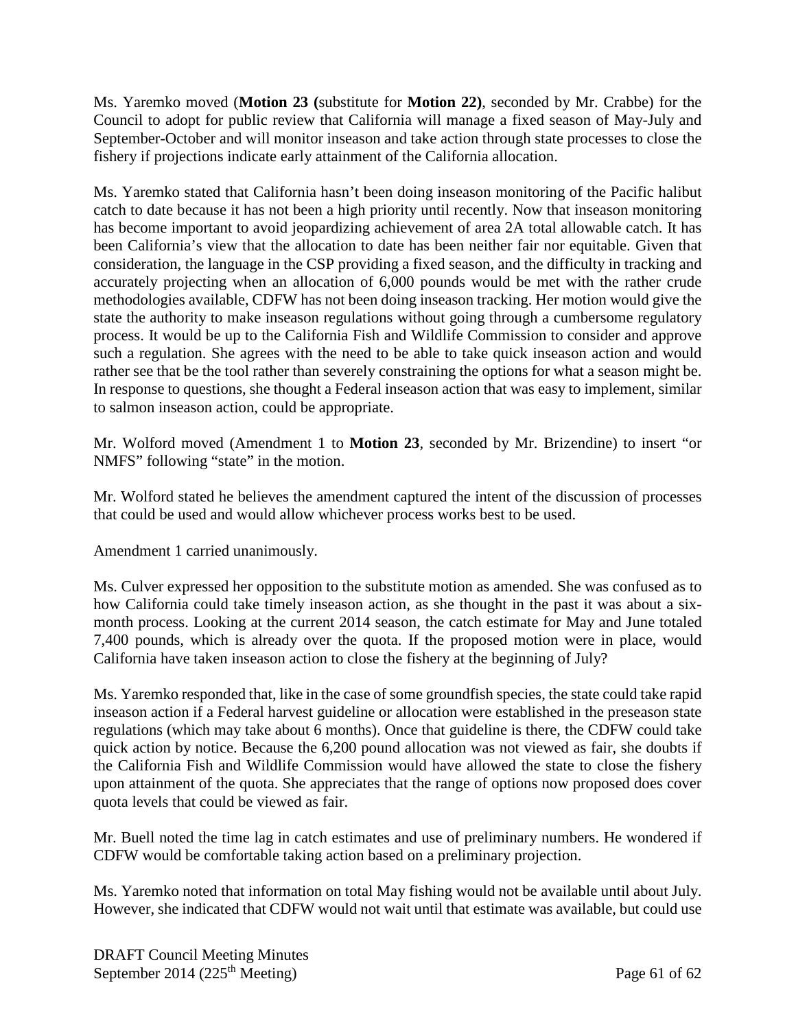Ms. Yaremko moved (**Motion 23 (**substitute for **Motion 22)**, seconded by Mr. Crabbe) for the Council to adopt for public review that California will manage a fixed season of May-July and September-October and will monitor inseason and take action through state processes to close the fishery if projections indicate early attainment of the California allocation.

Ms. Yaremko stated that California hasn't been doing inseason monitoring of the Pacific halibut catch to date because it has not been a high priority until recently. Now that inseason monitoring has become important to avoid jeopardizing achievement of area 2A total allowable catch. It has been California's view that the allocation to date has been neither fair nor equitable. Given that consideration, the language in the CSP providing a fixed season, and the difficulty in tracking and accurately projecting when an allocation of 6,000 pounds would be met with the rather crude methodologies available, CDFW has not been doing inseason tracking. Her motion would give the state the authority to make inseason regulations without going through a cumbersome regulatory process. It would be up to the California Fish and Wildlife Commission to consider and approve such a regulation. She agrees with the need to be able to take quick inseason action and would rather see that be the tool rather than severely constraining the options for what a season might be. In response to questions, she thought a Federal inseason action that was easy to implement, similar to salmon inseason action, could be appropriate.

Mr. Wolford moved (Amendment 1 to **Motion 23**, seconded by Mr. Brizendine) to insert "or NMFS" following "state" in the motion.

Mr. Wolford stated he believes the amendment captured the intent of the discussion of processes that could be used and would allow whichever process works best to be used.

Amendment 1 carried unanimously.

Ms. Culver expressed her opposition to the substitute motion as amended. She was confused as to how California could take timely inseason action, as she thought in the past it was about a sixmonth process. Looking at the current 2014 season, the catch estimate for May and June totaled 7,400 pounds, which is already over the quota. If the proposed motion were in place, would California have taken inseason action to close the fishery at the beginning of July?

Ms. Yaremko responded that, like in the case of some groundfish species, the state could take rapid inseason action if a Federal harvest guideline or allocation were established in the preseason state regulations (which may take about 6 months). Once that guideline is there, the CDFW could take quick action by notice. Because the 6,200 pound allocation was not viewed as fair, she doubts if the California Fish and Wildlife Commission would have allowed the state to close the fishery upon attainment of the quota. She appreciates that the range of options now proposed does cover quota levels that could be viewed as fair.

Mr. Buell noted the time lag in catch estimates and use of preliminary numbers. He wondered if CDFW would be comfortable taking action based on a preliminary projection.

Ms. Yaremko noted that information on total May fishing would not be available until about July. However, she indicated that CDFW would not wait until that estimate was available, but could use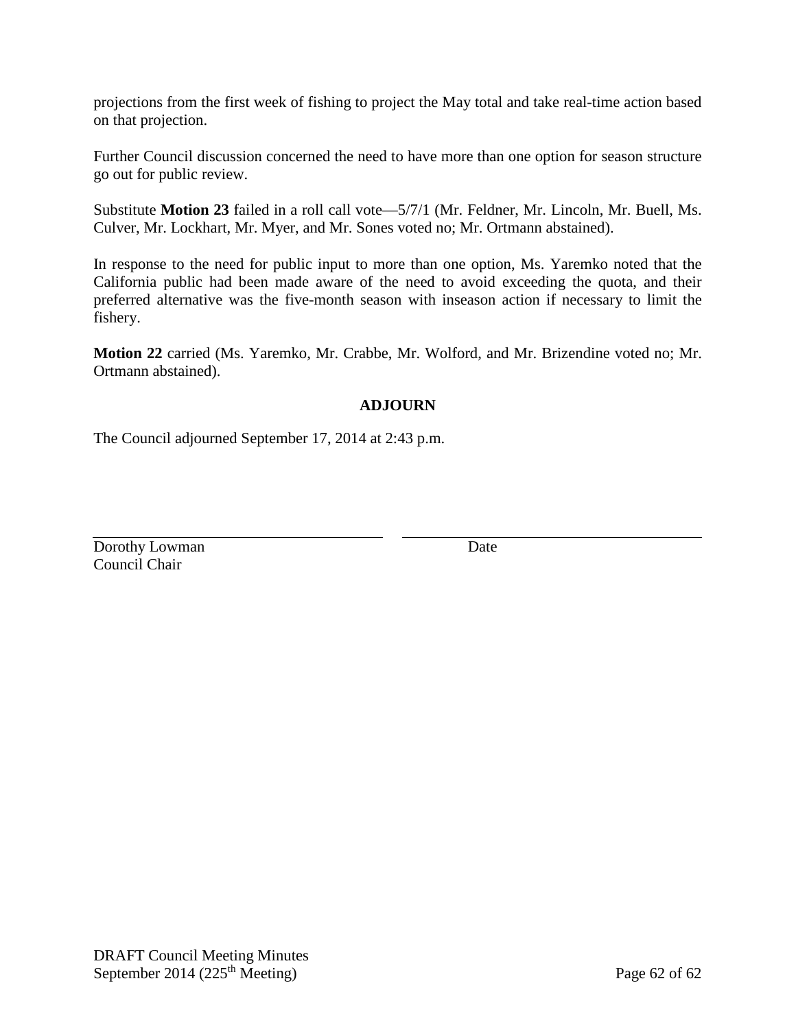projections from the first week of fishing to project the May total and take real-time action based on that projection.

Further Council discussion concerned the need to have more than one option for season structure go out for public review.

Substitute **Motion 23** failed in a roll call vote—5/7/1 (Mr. Feldner, Mr. Lincoln, Mr. Buell, Ms. Culver, Mr. Lockhart, Mr. Myer, and Mr. Sones voted no; Mr. Ortmann abstained).

In response to the need for public input to more than one option, Ms. Yaremko noted that the California public had been made aware of the need to avoid exceeding the quota, and their preferred alternative was the five-month season with inseason action if necessary to limit the fishery.

**Motion 22** carried (Ms. Yaremko, Mr. Crabbe, Mr. Wolford, and Mr. Brizendine voted no; Mr. Ortmann abstained).

## **ADJOURN**

The Council adjourned September 17, 2014 at 2:43 p.m.

Dorothy Lowman Date Council Chair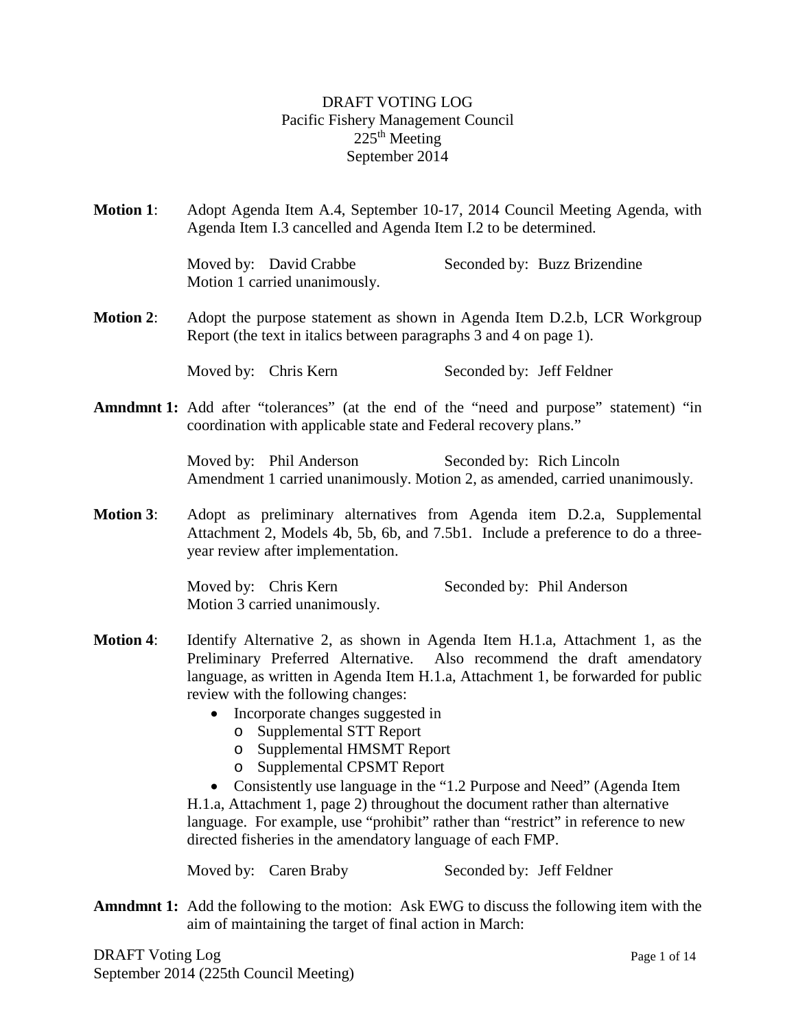## DRAFT VOTING LOG Pacific Fishery Management Council  $225<sup>th</sup>$  Meeting September 2014

**Motion 1**: Adopt Agenda Item A.4, September 10-17, 2014 Council Meeting Agenda, with Agenda Item I.3 cancelled and Agenda Item I.2 to be determined.

> Moved by: David Crabbe Seconded by: Buzz Brizendine Motion 1 carried unanimously.

**Motion 2**: Adopt the purpose statement as shown in Agenda Item D.2.b, LCR Workgroup Report (the text in italics between paragraphs 3 and 4 on page 1).

Moved by: Chris Kern Seconded by: Jeff Feldner

**Amndmnt 1:** Add after "tolerances" (at the end of the "need and purpose" statement) "in coordination with applicable state and Federal recovery plans."

> Moved by: Phil Anderson Seconded by: Rich Lincoln Amendment 1 carried unanimously. Motion 2, as amended, carried unanimously.

**Motion 3**: Adopt as preliminary alternatives from Agenda item D.2.a, Supplemental Attachment 2, Models 4b, 5b, 6b, and 7.5b1. Include a preference to do a threeyear review after implementation.

> Moved by: Chris Kern Seconded by: Phil Anderson Motion 3 carried unanimously.

- **Motion 4**: Identify Alternative 2, as shown in Agenda Item H.1.a, Attachment 1, as the Preliminary Preferred Alternative. Also recommend the draft amendatory language, as written in Agenda Item H.1.a, Attachment 1, be forwarded for public review with the following changes:
	- Incorporate changes suggested in
		- o Supplemental STT Report
		- o Supplemental HMSMT Report
		- o Supplemental CPSMT Report

• Consistently use language in the "1.2 Purpose and Need" (Agenda Item H.1.a, Attachment 1, page 2) throughout the document rather than alternative language. For example, use "prohibit" rather than "restrict" in reference to new directed fisheries in the amendatory language of each FMP.

Moved by: Caren Braby Seconded by: Jeff Feldner

**Amndmnt 1:** Add the following to the motion: Ask EWG to discuss the following item with the aim of maintaining the target of final action in March:

DRAFT Voting Log Page 1 of 14 September 2014 (225th Council Meeting)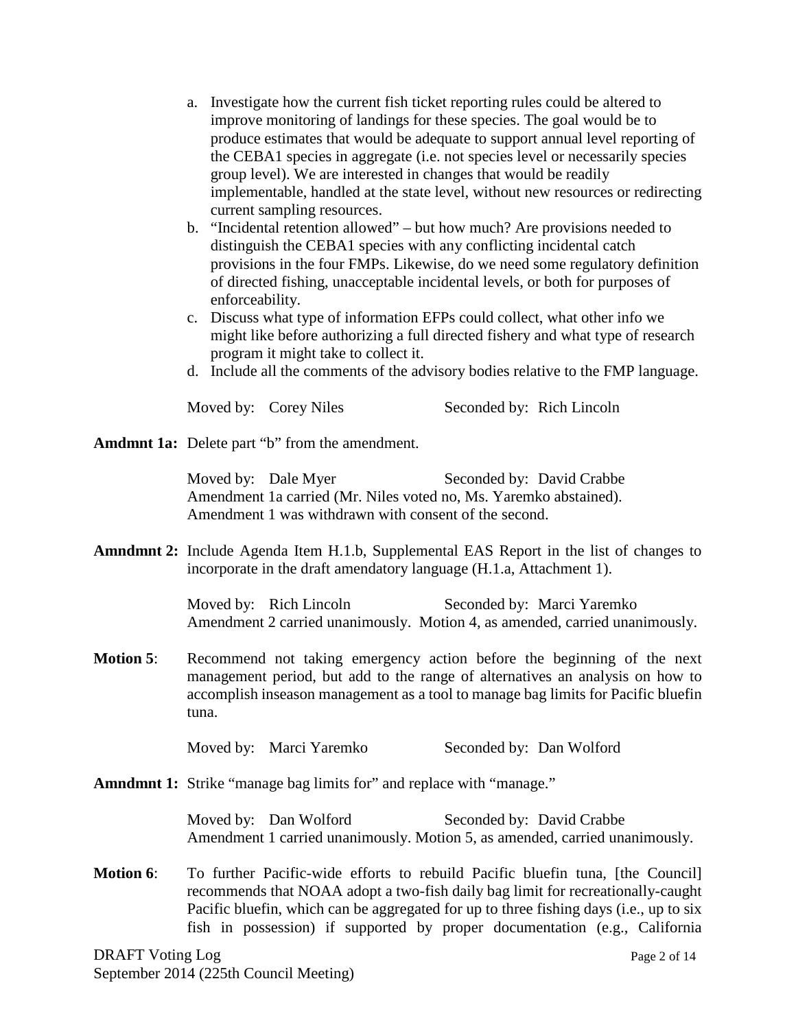- a. Investigate how the current fish ticket reporting rules could be altered to improve monitoring of landings for these species. The goal would be to produce estimates that would be adequate to support annual level reporting of the CEBA1 species in aggregate (i.e. not species level or necessarily species group level). We are interested in changes that would be readily implementable, handled at the state level, without new resources or redirecting current sampling resources.
- b. "Incidental retention allowed" but how much? Are provisions needed to distinguish the CEBA1 species with any conflicting incidental catch provisions in the four FMPs. Likewise, do we need some regulatory definition of directed fishing, unacceptable incidental levels, or both for purposes of enforceability.
- c. Discuss what type of information EFPs could collect, what other info we might like before authorizing a full directed fishery and what type of research program it might take to collect it.
- d. Include all the comments of the advisory bodies relative to the FMP language.

Moved by: Corey Niles Seconded by: Rich Lincoln

**Amdmnt 1a:** Delete part "b" from the amendment.

Moved by: Dale Myer Seconded by: David Crabbe Amendment 1a carried (Mr. Niles voted no, Ms. Yaremko abstained). Amendment 1 was withdrawn with consent of the second.

**Amndmnt 2:** Include Agenda Item H.1.b, Supplemental EAS Report in the list of changes to incorporate in the draft amendatory language (H.1.a, Attachment 1).

> Moved by: Rich Lincoln Seconded by: Marci Yaremko Amendment 2 carried unanimously. Motion 4, as amended, carried unanimously.

**Motion 5**: Recommend not taking emergency action before the beginning of the next management period, but add to the range of alternatives an analysis on how to accomplish inseason management as a tool to manage bag limits for Pacific bluefin tuna.

Moved by: Marci Yaremko Seconded by: Dan Wolford

**Amndmnt 1:** Strike "manage bag limits for" and replace with "manage."

Moved by: Dan Wolford Seconded by: David Crabbe Amendment 1 carried unanimously. Motion 5, as amended, carried unanimously.

**Motion 6**: To further Pacific-wide efforts to rebuild Pacific bluefin tuna, [the Council] recommends that NOAA adopt a two-fish daily bag limit for recreationally-caught Pacific bluefin, which can be aggregated for up to three fishing days (i.e., up to six fish in possession) if supported by proper documentation (e.g., California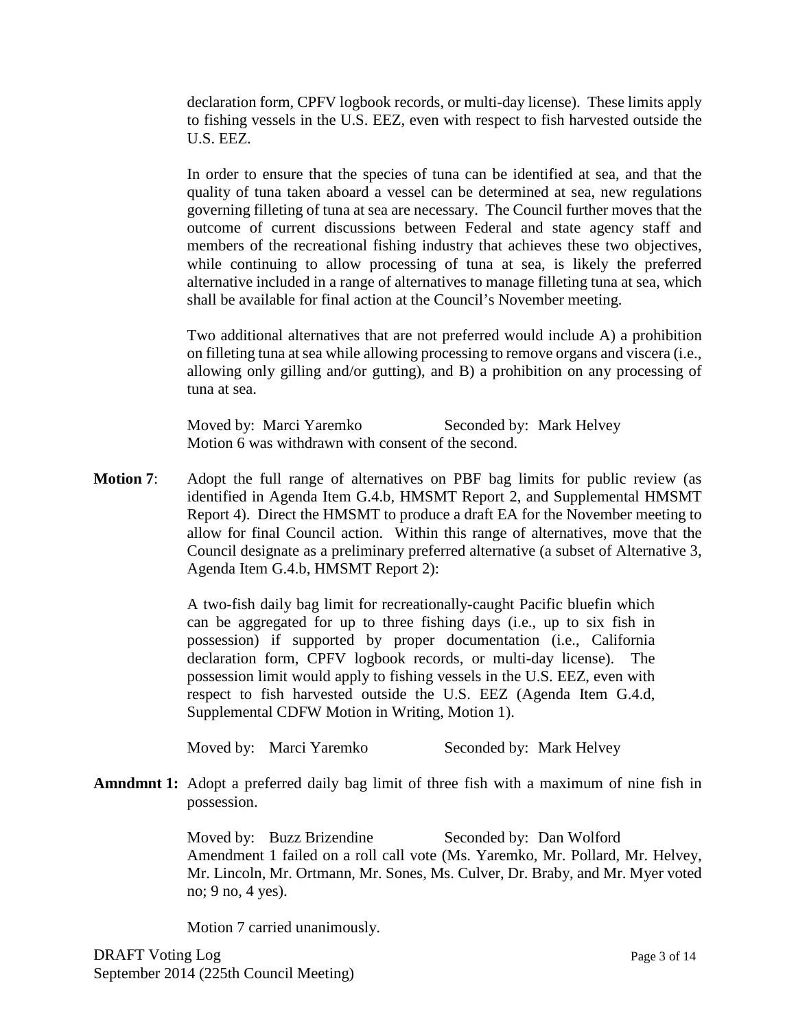declaration form, CPFV logbook records, or multi-day license). These limits apply to fishing vessels in the U.S. EEZ, even with respect to fish harvested outside the U.S. EEZ.

In order to ensure that the species of tuna can be identified at sea, and that the quality of tuna taken aboard a vessel can be determined at sea, new regulations governing filleting of tuna at sea are necessary. The Council further moves that the outcome of current discussions between Federal and state agency staff and members of the recreational fishing industry that achieves these two objectives, while continuing to allow processing of tuna at sea, is likely the preferred alternative included in a range of alternatives to manage filleting tuna at sea, which shall be available for final action at the Council's November meeting.

Two additional alternatives that are not preferred would include A) a prohibition on filleting tuna at sea while allowing processing to remove organs and viscera (i.e., allowing only gilling and/or gutting), and B) a prohibition on any processing of tuna at sea.

Moved by: Marci Yaremko Seconded by: Mark Helvey Motion 6 was withdrawn with consent of the second.

**Motion 7:** Adopt the full range of alternatives on PBF bag limits for public review (as identified in Agenda Item G.4.b, HMSMT Report 2, and Supplemental HMSMT Report 4). Direct the HMSMT to produce a draft EA for the November meeting to allow for final Council action. Within this range of alternatives, move that the Council designate as a preliminary preferred alternative (a subset of Alternative 3, Agenda Item G.4.b, HMSMT Report 2):

> A two-fish daily bag limit for recreationally-caught Pacific bluefin which can be aggregated for up to three fishing days (i.e., up to six fish in possession) if supported by proper documentation (i.e., California declaration form, CPFV logbook records, or multi-day license). The possession limit would apply to fishing vessels in the U.S. EEZ, even with respect to fish harvested outside the U.S. EEZ (Agenda Item G.4.d, Supplemental CDFW Motion in Writing, Motion 1).

Moved by: Marci Yaremko Seconded by: Mark Helvey

**Amndmnt 1:** Adopt a preferred daily bag limit of three fish with a maximum of nine fish in possession.

> Moved by: Buzz Brizendine Seconded by: Dan Wolford Amendment 1 failed on a roll call vote (Ms. Yaremko, Mr. Pollard, Mr. Helvey, Mr. Lincoln, Mr. Ortmann, Mr. Sones, Ms. Culver, Dr. Braby, and Mr. Myer voted no; 9 no, 4 yes).

Motion 7 carried unanimously.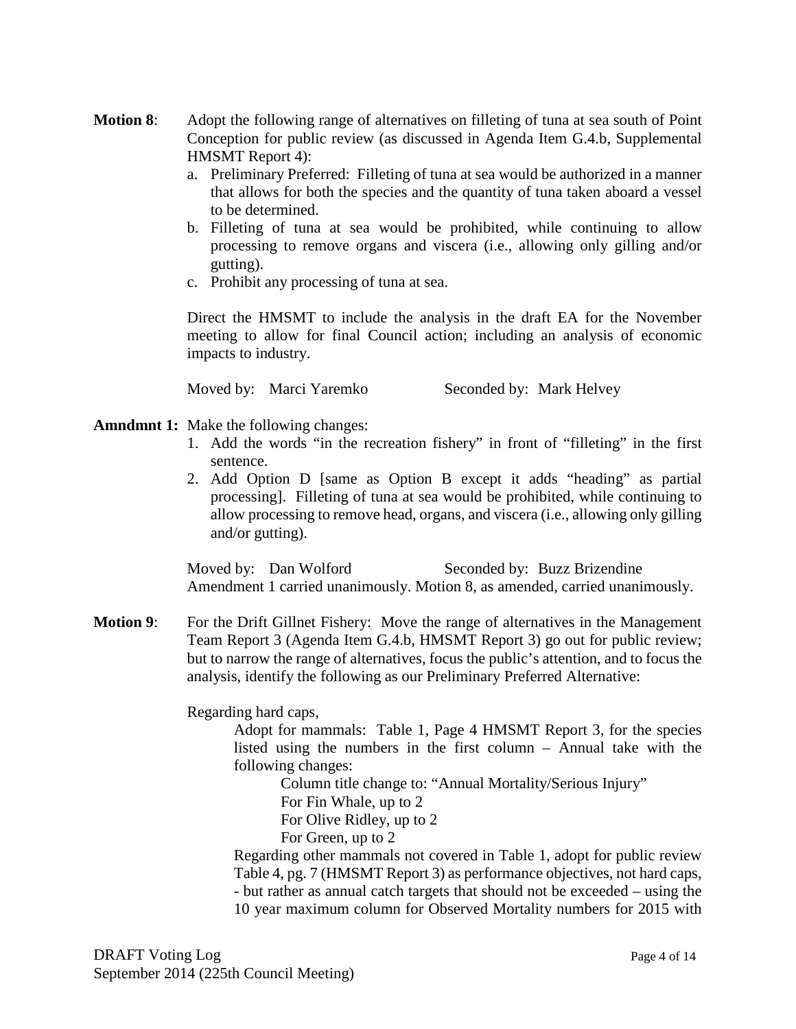- **Motion 8**: Adopt the following range of alternatives on filleting of tuna at sea south of Point Conception for public review (as discussed in Agenda Item G.4.b, Supplemental HMSMT Report 4):
	- a. Preliminary Preferred: Filleting of tuna at sea would be authorized in a manner that allows for both the species and the quantity of tuna taken aboard a vessel to be determined.
	- b. Filleting of tuna at sea would be prohibited, while continuing to allow processing to remove organs and viscera (i.e., allowing only gilling and/or gutting).
	- c. Prohibit any processing of tuna at sea.

Direct the HMSMT to include the analysis in the draft EA for the November meeting to allow for final Council action; including an analysis of economic impacts to industry.

Moved by: Marci Yaremko Seconded by: Mark Helvey

#### **Amndmnt 1:** Make the following changes:

- 1. Add the words "in the recreation fishery" in front of "filleting" in the first sentence.
- 2. Add Option D [same as Option B except it adds "heading" as partial processing]. Filleting of tuna at sea would be prohibited, while continuing to allow processing to remove head, organs, and viscera (i.e., allowing only gilling and/or gutting).

Moved by: Dan Wolford Seconded by: Buzz Brizendine Amendment 1 carried unanimously. Motion 8, as amended, carried unanimously.

**Motion 9:** For the Drift Gillnet Fishery: Move the range of alternatives in the Management Team Report 3 (Agenda Item G.4.b, HMSMT Report 3) go out for public review; but to narrow the range of alternatives, focus the public's attention, and to focus the analysis, identify the following as our Preliminary Preferred Alternative:

Regarding hard caps,

Adopt for mammals: Table 1, Page 4 HMSMT Report 3, for the species listed using the numbers in the first column – Annual take with the following changes:

Column title change to: "Annual Mortality/Serious Injury" For Fin Whale, up to 2 For Olive Ridley, up to 2 For Green, up to 2

Regarding other mammals not covered in Table 1, adopt for public review Table 4, pg. 7 (HMSMT Report 3) as performance objectives, not hard caps, - but rather as annual catch targets that should not be exceeded – using the 10 year maximum column for Observed Mortality numbers for 2015 with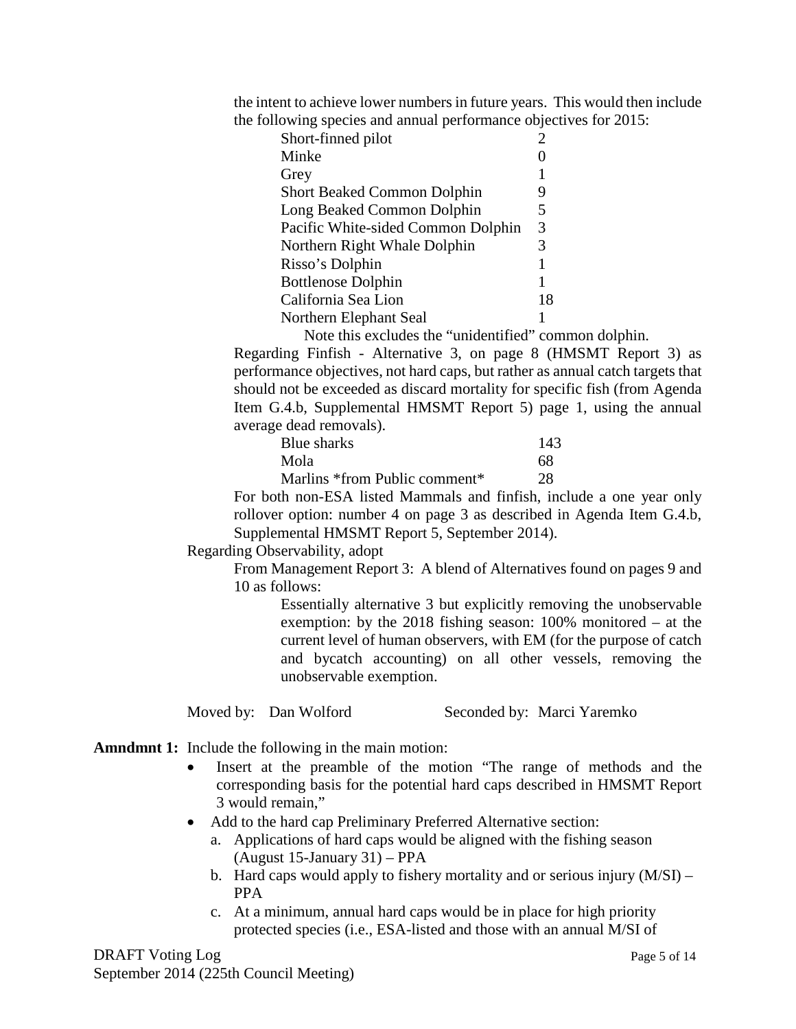the intent to achieve lower numbers in future years. This would then include the following species and annual performance objectives for 2015:

| Short-finned pilot                 | $\overline{c}$ |
|------------------------------------|----------------|
| Minke                              |                |
| Grey                               | 1              |
| <b>Short Beaked Common Dolphin</b> | 9              |
| Long Beaked Common Dolphin         | 5              |
| Pacific White-sided Common Dolphin | 3              |
| Northern Right Whale Dolphin       | 3              |
| Risso's Dolphin                    | 1              |
| <b>Bottlenose Dolphin</b>          | 1              |
| California Sea Lion                | 18             |
| Northern Elephant Seal             |                |
|                                    |                |

Note this excludes the "unidentified" common dolphin.

Regarding Finfish - Alternative 3, on page 8 (HMSMT Report 3) as performance objectives, not hard caps, but rather as annual catch targets that should not be exceeded as discard mortality for specific fish (from Agenda Item G.4.b, Supplemental HMSMT Report 5) page 1, using the annual average dead removals).

| Blue sharks                   | 143 |
|-------------------------------|-----|
| Mola                          | 68  |
| Marlins *from Public comment* | 28  |

For both non-ESA listed Mammals and finfish, include a one year only rollover option: number 4 on page 3 as described in Agenda Item G.4.b, Supplemental HMSMT Report 5, September 2014).

Regarding Observability, adopt

From Management Report 3: A blend of Alternatives found on pages 9 and 10 as follows:

Essentially alternative 3 but explicitly removing the unobservable exemption: by the 2018 fishing season: 100% monitored – at the current level of human observers, with EM (for the purpose of catch and bycatch accounting) on all other vessels, removing the unobservable exemption.

Moved by: Dan Wolford Seconded by: Marci Yaremko

- **Amndmnt 1:** Include the following in the main motion:
	- Insert at the preamble of the motion "The range of methods and the corresponding basis for the potential hard caps described in HMSMT Report 3 would remain,"
	- Add to the hard cap Preliminary Preferred Alternative section:
		- a. Applications of hard caps would be aligned with the fishing season (August 15-January 31) – PPA
		- b. Hard caps would apply to fishery mortality and or serious injury (M/SI) PPA
		- c. At a minimum, annual hard caps would be in place for high priority protected species (i.e., ESA-listed and those with an annual M/SI of

DRAFT Voting Log Page 5 of 14 September 2014 (225th Council Meeting)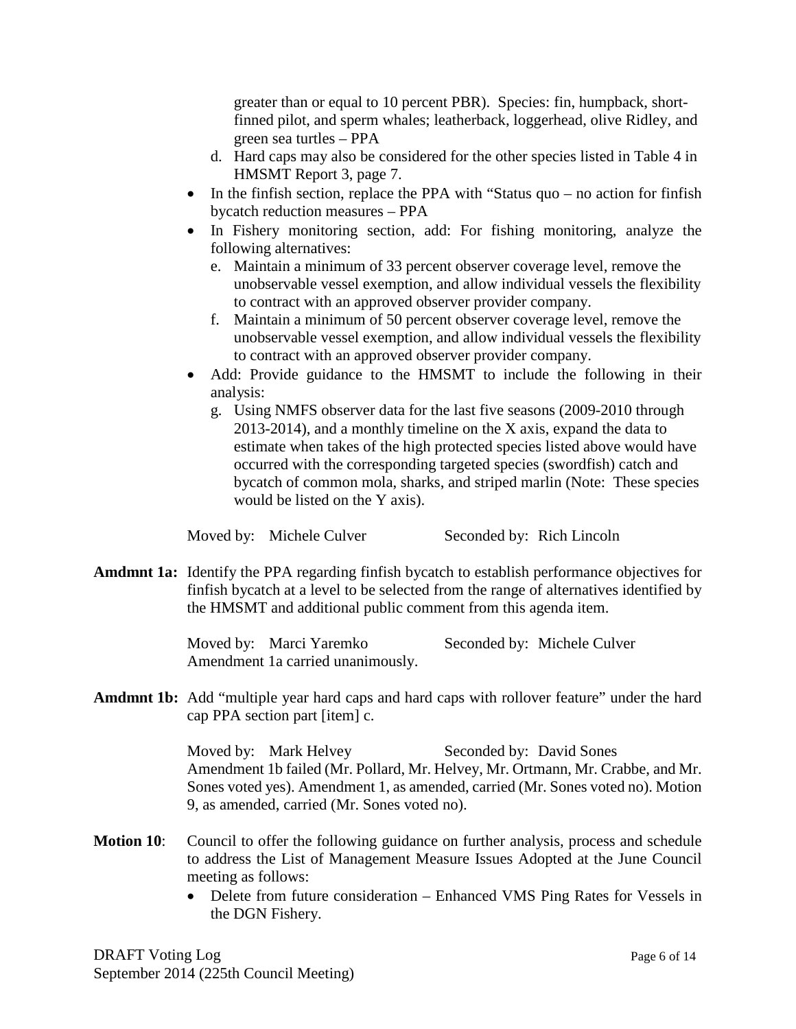greater than or equal to 10 percent PBR). Species: fin, humpback, shortfinned pilot, and sperm whales; leatherback, loggerhead, olive Ridley, and green sea turtles – PPA

- d. Hard caps may also be considered for the other species listed in Table 4 in HMSMT Report 3, page 7.
- In the finfish section, replace the PPA with "Status quo no action for finfish bycatch reduction measures – PPA
- In Fishery monitoring section, add: For fishing monitoring, analyze the following alternatives:
	- e. Maintain a minimum of 33 percent observer coverage level, remove the unobservable vessel exemption, and allow individual vessels the flexibility to contract with an approved observer provider company.
	- f. Maintain a minimum of 50 percent observer coverage level, remove the unobservable vessel exemption, and allow individual vessels the flexibility to contract with an approved observer provider company.
- Add: Provide guidance to the HMSMT to include the following in their analysis:
	- g. Using NMFS observer data for the last five seasons (2009-2010 through 2013-2014), and a monthly timeline on the X axis, expand the data to estimate when takes of the high protected species listed above would have occurred with the corresponding targeted species (swordfish) catch and bycatch of common mola, sharks, and striped marlin (Note: These species would be listed on the Y axis).

Moved by: Michele Culver Seconded by: Rich Lincoln

**Amdmnt 1a:** Identify the PPA regarding finfish bycatch to establish performance objectives for finfish bycatch at a level to be selected from the range of alternatives identified by the HMSMT and additional public comment from this agenda item.

> Moved by: Marci Yaremko Seconded by: Michele Culver Amendment 1a carried unanimously.

**Amdmnt 1b:** Add "multiple year hard caps and hard caps with rollover feature" under the hard cap PPA section part [item] c.

> Moved by: Mark Helvey Seconded by: David Sones Amendment 1b failed (Mr. Pollard, Mr. Helvey, Mr. Ortmann, Mr. Crabbe, and Mr. Sones voted yes). Amendment 1, as amended, carried (Mr. Sones voted no). Motion 9, as amended, carried (Mr. Sones voted no).

- **Motion 10:** Council to offer the following guidance on further analysis, process and schedule to address the List of Management Measure Issues Adopted at the June Council meeting as follows:
	- Delete from future consideration Enhanced VMS Ping Rates for Vessels in the DGN Fishery.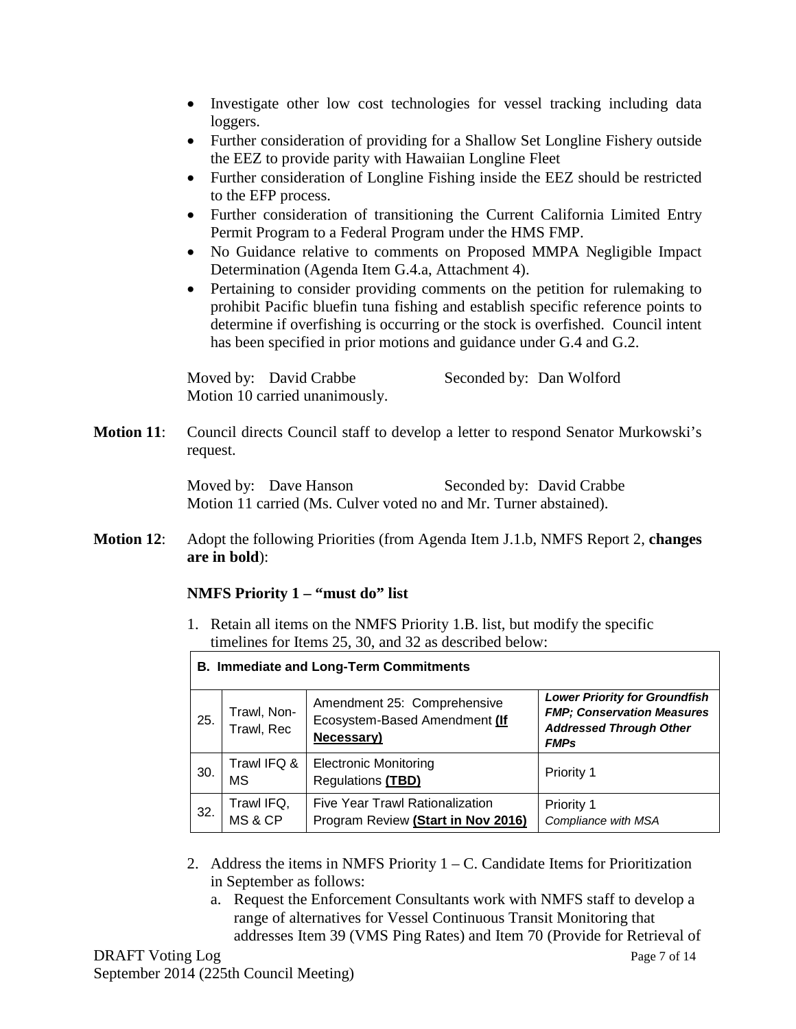- Investigate other low cost technologies for vessel tracking including data loggers.
- Further consideration of providing for a Shallow Set Longline Fishery outside the EEZ to provide parity with Hawaiian Longline Fleet
- Further consideration of Longline Fishing inside the EEZ should be restricted to the EFP process.
- Further consideration of transitioning the Current California Limited Entry Permit Program to a Federal Program under the HMS FMP.
- No Guidance relative to comments on Proposed MMPA Negligible Impact Determination (Agenda Item G.4.a, Attachment 4).
- Pertaining to consider providing comments on the petition for rulemaking to prohibit Pacific bluefin tuna fishing and establish specific reference points to determine if overfishing is occurring or the stock is overfished. Council intent has been specified in prior motions and guidance under G.4 and G.2.

Moved by: David Crabbe Seconded by: Dan Wolford Motion 10 carried unanimously.

**Motion 11:** Council directs Council staff to develop a letter to respond Senator Murkowski's request.

> Moved by: Dave Hanson Seconded by: David Crabbe Motion 11 carried (Ms. Culver voted no and Mr. Turner abstained).

**Motion 12**: Adopt the following Priorities (from Agenda Item J.1.b, NMFS Report 2, **changes are in bold**):

## **NMFS Priority 1 – "must do" list**

1. Retain all items on the NMFS Priority 1.B. list, but modify the specific timelines for Items 25, 30, and 32 as described below:

| <b>B. Immediate and Long-Term Commitments</b> |                           |                                                                            |                                                                                                                            |  |
|-----------------------------------------------|---------------------------|----------------------------------------------------------------------------|----------------------------------------------------------------------------------------------------------------------------|--|
| 25.                                           | Trawl, Non-<br>Trawl, Rec | Amendment 25: Comprehensive<br>Ecosystem-Based Amendment (If<br>Necessary) | <b>Lower Priority for Groundfish</b><br><b>FMP; Conservation Measures</b><br><b>Addressed Through Other</b><br><b>FMPs</b> |  |
| 30.                                           | Trawl IFQ &<br>ΜS         | <b>Electronic Monitoring</b><br>Regulations (TBD)                          | <b>Priority 1</b>                                                                                                          |  |
| 32.                                           | Trawl IFQ,<br>MS & CP     | Five Year Trawl Rationalization<br>Program Review (Start in Nov 2016)      | Priority 1<br>Compliance with MSA                                                                                          |  |

- 2. Address the items in NMFS Priority  $1 C$ . Candidate Items for Prioritization in September as follows:
	- a. Request the Enforcement Consultants work with NMFS staff to develop a range of alternatives for Vessel Continuous Transit Monitoring that addresses Item 39 (VMS Ping Rates) and Item 70 (Provide for Retrieval of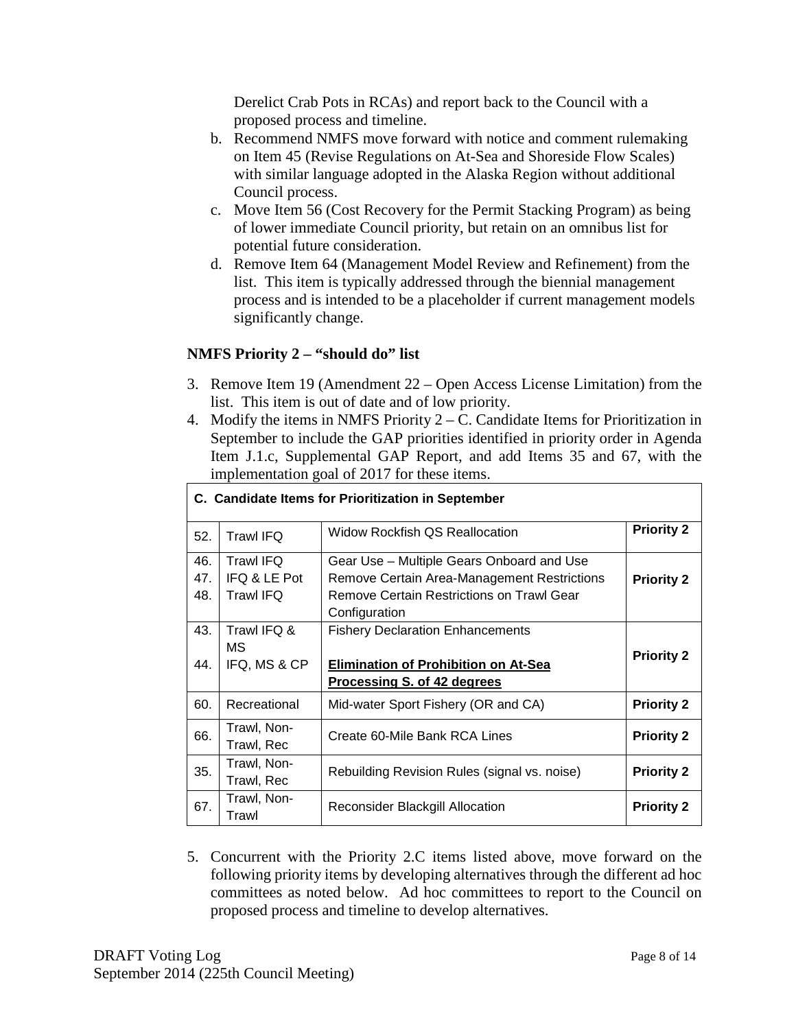Derelict Crab Pots in RCAs) and report back to the Council with a proposed process and timeline.

- b. Recommend NMFS move forward with notice and comment rulemaking on Item 45 (Revise Regulations on At-Sea and Shoreside Flow Scales) with similar language adopted in the Alaska Region without additional Council process.
- c. Move Item 56 (Cost Recovery for the Permit Stacking Program) as being of lower immediate Council priority, but retain on an omnibus list for potential future consideration.
- d. Remove Item 64 (Management Model Review and Refinement) from the list. This item is typically addressed through the biennial management process and is intended to be a placeholder if current management models significantly change.

## **NMFS Priority 2 – "should do" list**

- 3. Remove Item 19 (Amendment 22 Open Access License Limitation) from the list. This item is out of date and of low priority.
- 4. Modify the items in NMFS Priority 2 C. Candidate Items for Prioritization in September to include the GAP priorities identified in priority order in Agenda Item J.1.c, Supplemental GAP Report, and add Items 35 and 67, with the implementation goal of 2017 for these items.

| C. Candidate Items for Prioritization in September |                  |                                              |                   |
|----------------------------------------------------|------------------|----------------------------------------------|-------------------|
| 52.                                                | <b>Trawl IFQ</b> | <b>Widow Rockfish QS Reallocation</b>        | <b>Priority 2</b> |
| 46.                                                | Trawl IFQ        | Gear Use - Multiple Gears Onboard and Use    |                   |
| 47.                                                | IFQ & LE Pot     | Remove Certain Area-Management Restrictions  | <b>Priority 2</b> |
| 48.                                                | <b>Trawl IFQ</b> | Remove Certain Restrictions on Trawl Gear    |                   |
|                                                    |                  | Configuration                                |                   |
| 43.                                                | Trawl IFQ &      | <b>Fishery Declaration Enhancements</b>      |                   |
|                                                    | МS               |                                              | <b>Priority 2</b> |
| 44.                                                | IFQ, MS & CP     | <b>Elimination of Prohibition on At-Sea</b>  |                   |
|                                                    |                  | Processing S. of 42 degrees                  |                   |
| 60.                                                | Recreational     | Mid-water Sport Fishery (OR and CA)          | <b>Priority 2</b> |
| 66.                                                | Trawl, Non-      | Create 60-Mile Bank RCA Lines                | <b>Priority 2</b> |
|                                                    | Trawl, Rec       |                                              |                   |
| 35.                                                | Trawl, Non-      | Rebuilding Revision Rules (signal vs. noise) | <b>Priority 2</b> |
|                                                    | Trawl, Rec       |                                              |                   |
| 67.                                                | Trawl, Non-      | Reconsider Blackgill Allocation              | <b>Priority 2</b> |
|                                                    | Trawl            |                                              |                   |

5. Concurrent with the Priority 2.C items listed above, move forward on the following priority items by developing alternatives through the different ad hoc committees as noted below. Ad hoc committees to report to the Council on proposed process and timeline to develop alternatives.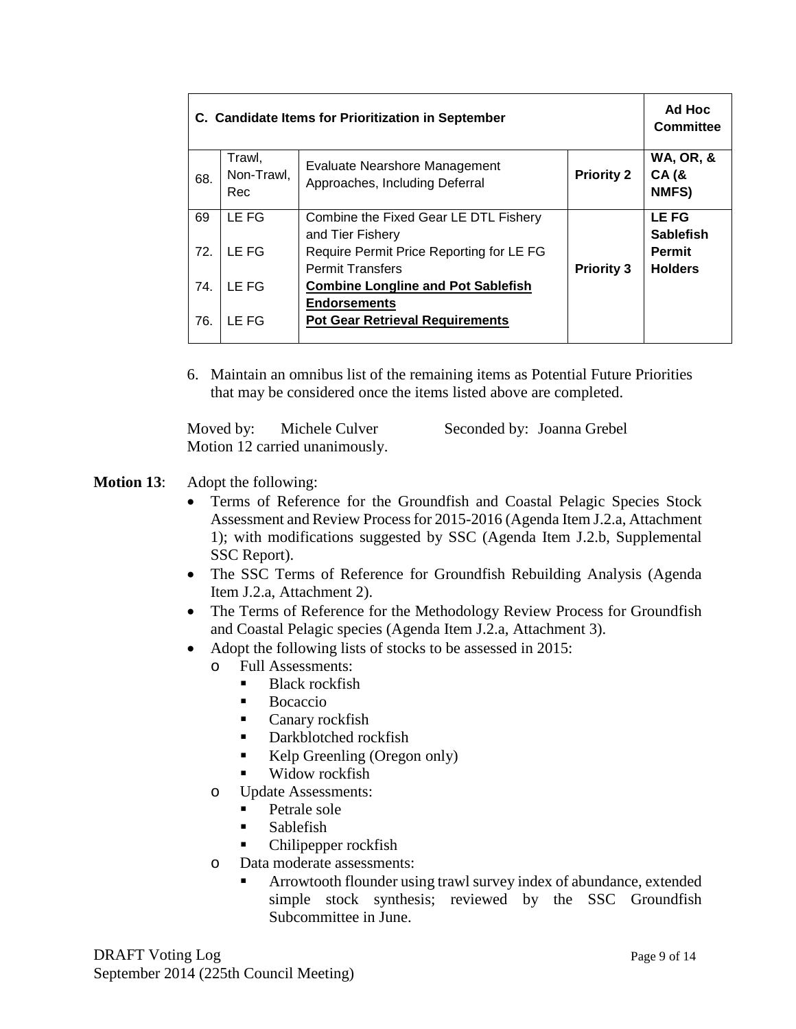| C. Candidate Items for Prioritization in September |                             |                                                                                         |                   | Ad Hoc<br><b>Committee</b>                          |
|----------------------------------------------------|-----------------------------|-----------------------------------------------------------------------------------------|-------------------|-----------------------------------------------------|
| 68.                                                | Trawl,<br>Non-Trawl,<br>Rec | Evaluate Nearshore Management<br>Approaches, Including Deferral                         | <b>Priority 2</b> | <b>WA, OR, &amp;</b><br><b>CA (&amp;</b><br>NMFS)   |
| 69                                                 | LE FG                       | Combine the Fixed Gear LE DTL Fishery                                                   |                   | <b>LEFG</b>                                         |
| 72.                                                | LE FG                       | and Tier Fishery<br>Require Permit Price Reporting for LE FG<br><b>Permit Transfers</b> | <b>Priority 3</b> | <b>Sablefish</b><br><b>Permit</b><br><b>Holders</b> |
| 74.                                                | LE FG                       | <b>Combine Longline and Pot Sablefish</b>                                               |                   |                                                     |
| 76.                                                | LE FG                       | <b>Endorsements</b><br><b>Pot Gear Retrieval Requirements</b>                           |                   |                                                     |

6. Maintain an omnibus list of the remaining items as Potential Future Priorities that may be considered once the items listed above are completed.

Moved by: Michele Culver Seconded by: Joanna Grebel Motion 12 carried unanimously.

# **Motion 13**: Adopt the following:

- Terms of Reference for the Groundfish and Coastal Pelagic Species Stock Assessment and Review Process for 2015-2016 (Agenda Item J.2.a, Attachment 1); with modifications suggested by SSC (Agenda Item J.2.b, Supplemental SSC Report).
- The SSC Terms of Reference for Groundfish Rebuilding Analysis (Agenda Item J.2.a, Attachment 2).
- The Terms of Reference for the Methodology Review Process for Groundfish and Coastal Pelagic species (Agenda Item J.2.a, Attachment 3).
- Adopt the following lists of stocks to be assessed in 2015:
	- o Full Assessments:
		- Black rockfish
		- **Bocaccio**
		- **Canary rockfish**
		- Darkblotched rockfish
		- Kelp Greenling (Oregon only)
		- Widow rockfish
	- o Update Assessments:
		- Petrale sole
		- Sablefish
		- Chilipepper rockfish
	- o Data moderate assessments:
		- Arrowtooth flounder using trawl survey index of abundance, extended simple stock synthesis; reviewed by the SSC Groundfish Subcommittee in June.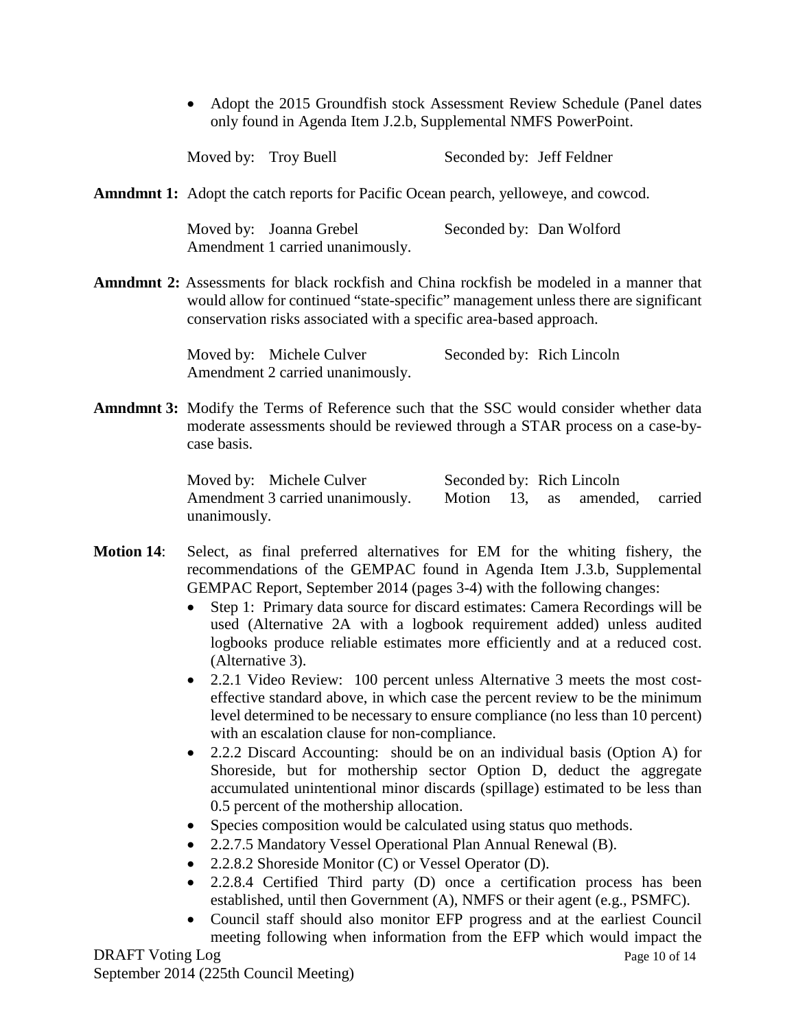• Adopt the 2015 Groundfish stock Assessment Review Schedule (Panel dates only found in Agenda Item J.2.b, Supplemental NMFS PowerPoint.

| Moved by: Troy Buell | Seconded by: Jeff Feldner |
|----------------------|---------------------------|
|                      |                           |

**Amndmnt 1:** Adopt the catch reports for Pacific Ocean pearch, yelloweye, and cowcod.

Moved by: Joanna Grebel Seconded by: Dan Wolford Amendment 1 carried unanimously.

**Amndmnt 2:** Assessments for black rockfish and China rockfish be modeled in a manner that would allow for continued "state-specific" management unless there are significant conservation risks associated with a specific area-based approach.

> Moved by: Michele Culver Seconded by: Rich Lincoln Amendment 2 carried unanimously.

**Amndmnt 3:** Modify the Terms of Reference such that the SSC would consider whether data moderate assessments should be reviewed through a STAR process on a case-bycase basis.

> Moved by: Michele Culver Seconded by: Rich Lincoln Amendment 3 carried unanimously. Motion 13, as amended, carried unanimously.

- **Motion 14**: Select, as final preferred alternatives for EM for the whiting fishery, the recommendations of the GEMPAC found in Agenda Item J.3.b, Supplemental GEMPAC Report, September 2014 (pages 3-4) with the following changes:
	- Step 1: Primary data source for discard estimates: Camera Recordings will be used (Alternative 2A with a logbook requirement added) unless audited logbooks produce reliable estimates more efficiently and at a reduced cost. (Alternative 3).
	- 2.2.1 Video Review: 100 percent unless Alternative 3 meets the most costeffective standard above, in which case the percent review to be the minimum level determined to be necessary to ensure compliance (no less than 10 percent) with an escalation clause for non-compliance.
	- 2.2.2 Discard Accounting: should be on an individual basis (Option A) for Shoreside, but for mothership sector Option D, deduct the aggregate accumulated unintentional minor discards (spillage) estimated to be less than 0.5 percent of the mothership allocation.
	- Species composition would be calculated using status quo methods.
	- 2.2.7.5 Mandatory Vessel Operational Plan Annual Renewal (B).
	- 2.2.8.2 Shoreside Monitor (C) or Vessel Operator (D).
	- 2.2.8.4 Certified Third party (D) once a certification process has been established, until then Government (A), NMFS or their agent (e.g., PSMFC).
	- Council staff should also monitor EFP progress and at the earliest Council meeting following when information from the EFP which would impact the

DRAFT Voting Log Page 10 of 14 September 2014 (225th Council Meeting)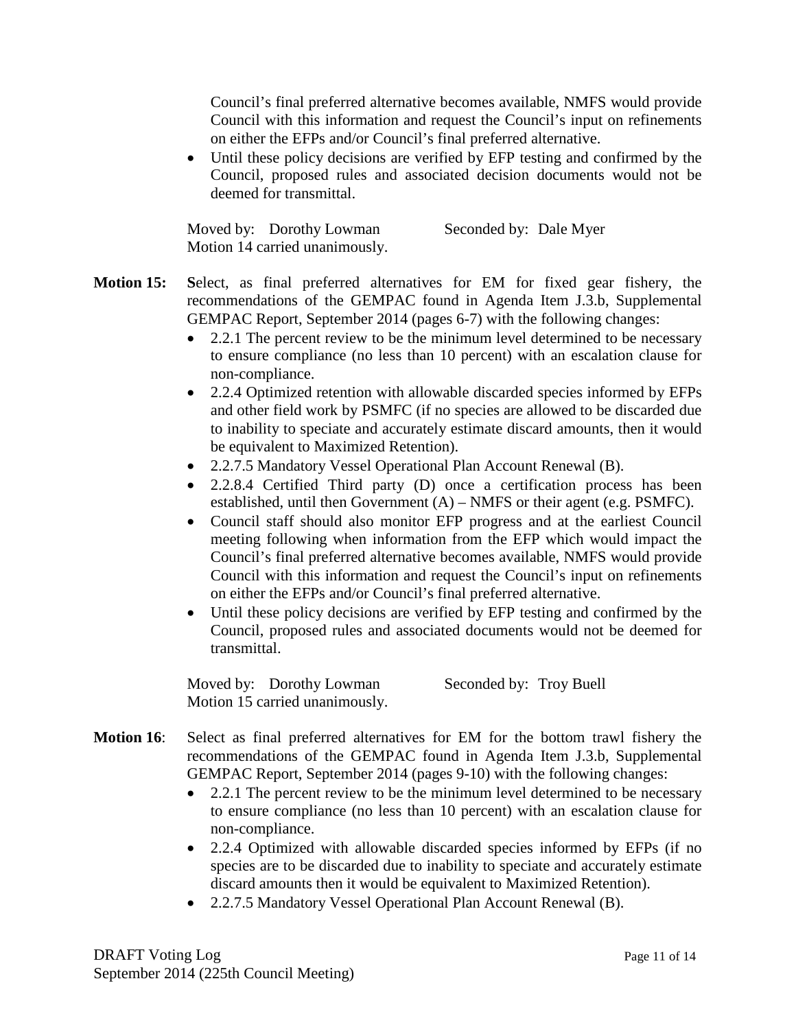Council's final preferred alternative becomes available, NMFS would provide Council with this information and request the Council's input on refinements on either the EFPs and/or Council's final preferred alternative.

• Until these policy decisions are verified by EFP testing and confirmed by the Council, proposed rules and associated decision documents would not be deemed for transmittal.

Moved by: Dorothy Lowman Seconded by: Dale Myer Motion 14 carried unanimously.

- **Motion 15: S**elect, as final preferred alternatives for EM for fixed gear fishery, the recommendations of the GEMPAC found in Agenda Item J.3.b, Supplemental GEMPAC Report, September 2014 (pages 6-7) with the following changes:
	- 2.2.1 The percent review to be the minimum level determined to be necessary to ensure compliance (no less than 10 percent) with an escalation clause for non-compliance.
	- 2.2.4 Optimized retention with allowable discarded species informed by EFPs and other field work by PSMFC (if no species are allowed to be discarded due to inability to speciate and accurately estimate discard amounts, then it would be equivalent to Maximized Retention).
	- 2.2.7.5 Mandatory Vessel Operational Plan Account Renewal (B).
	- 2.2.8.4 Certified Third party (D) once a certification process has been established, until then Government (A) – NMFS or their agent (e.g. PSMFC).
	- Council staff should also monitor EFP progress and at the earliest Council meeting following when information from the EFP which would impact the Council's final preferred alternative becomes available, NMFS would provide Council with this information and request the Council's input on refinements on either the EFPs and/or Council's final preferred alternative.
	- Until these policy decisions are verified by EFP testing and confirmed by the Council, proposed rules and associated documents would not be deemed for transmittal.

Moved by: Dorothy Lowman Seconded by: Troy Buell Motion 15 carried unanimously.

- **Motion 16**: Select as final preferred alternatives for EM for the bottom trawl fishery the recommendations of the GEMPAC found in Agenda Item J.3.b, Supplemental GEMPAC Report, September 2014 (pages 9-10) with the following changes:
	- 2.2.1 The percent review to be the minimum level determined to be necessary to ensure compliance (no less than 10 percent) with an escalation clause for non-compliance.
	- 2.2.4 Optimized with allowable discarded species informed by EFPs (if no species are to be discarded due to inability to speciate and accurately estimate discard amounts then it would be equivalent to Maximized Retention).
	- 2.2.7.5 Mandatory Vessel Operational Plan Account Renewal (B).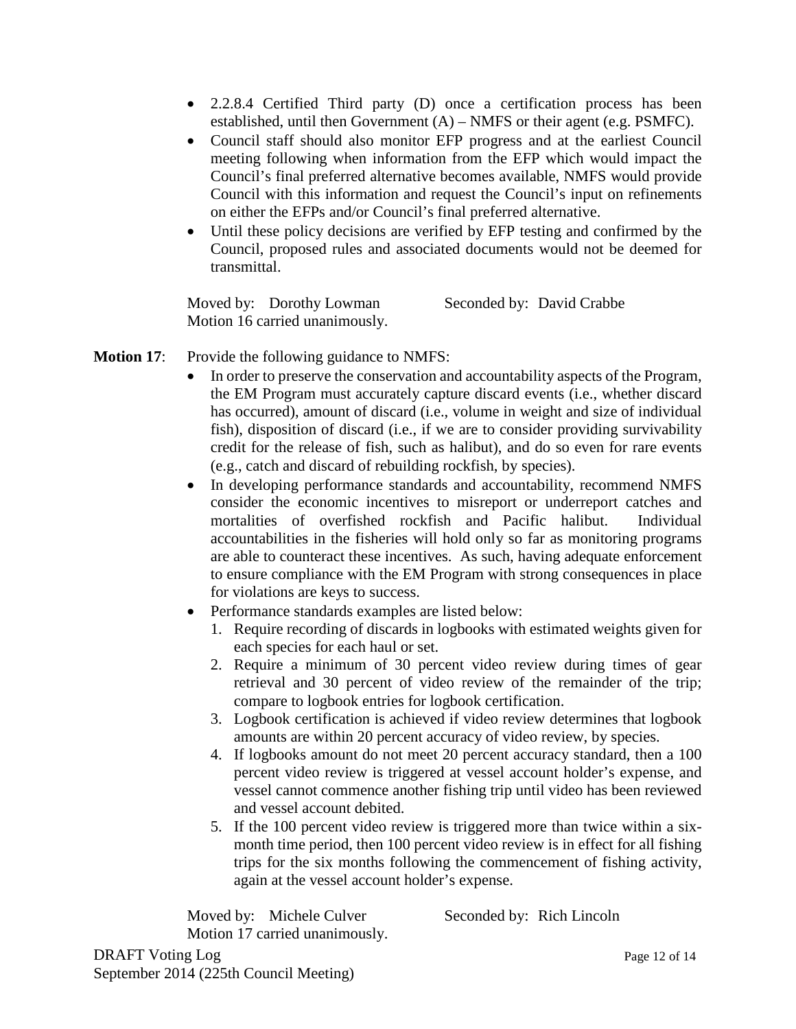- 2.2.8.4 Certified Third party (D) once a certification process has been established, until then Government (A) – NMFS or their agent (e.g. PSMFC).
- Council staff should also monitor EFP progress and at the earliest Council meeting following when information from the EFP which would impact the Council's final preferred alternative becomes available, NMFS would provide Council with this information and request the Council's input on refinements on either the EFPs and/or Council's final preferred alternative.
- Until these policy decisions are verified by EFP testing and confirmed by the Council, proposed rules and associated documents would not be deemed for transmittal.

Moved by: Dorothy Lowman Seconded by: David Crabbe Motion 16 carried unanimously.

## **Motion 17:** Provide the following guidance to NMFS:

- In order to preserve the conservation and accountability aspects of the Program, the EM Program must accurately capture discard events (i.e., whether discard has occurred), amount of discard (i.e., volume in weight and size of individual fish), disposition of discard (i.e., if we are to consider providing survivability credit for the release of fish, such as halibut), and do so even for rare events (e.g., catch and discard of rebuilding rockfish, by species).
- In developing performance standards and accountability, recommend NMFS consider the economic incentives to misreport or underreport catches and mortalities of overfished rockfish and Pacific halibut. Individual accountabilities in the fisheries will hold only so far as monitoring programs are able to counteract these incentives. As such, having adequate enforcement to ensure compliance with the EM Program with strong consequences in place for violations are keys to success.
- Performance standards examples are listed below:
	- 1. Require recording of discards in logbooks with estimated weights given for each species for each haul or set.
	- 2. Require a minimum of 30 percent video review during times of gear retrieval and 30 percent of video review of the remainder of the trip; compare to logbook entries for logbook certification.
	- 3. Logbook certification is achieved if video review determines that logbook amounts are within 20 percent accuracy of video review, by species.
	- 4. If logbooks amount do not meet 20 percent accuracy standard, then a 100 percent video review is triggered at vessel account holder's expense, and vessel cannot commence another fishing trip until video has been reviewed and vessel account debited.
	- 5. If the 100 percent video review is triggered more than twice within a sixmonth time period, then 100 percent video review is in effect for all fishing trips for the six months following the commencement of fishing activity, again at the vessel account holder's expense.

Moved by: Michele Culver Seconded by: Rich Lincoln Motion 17 carried unanimously.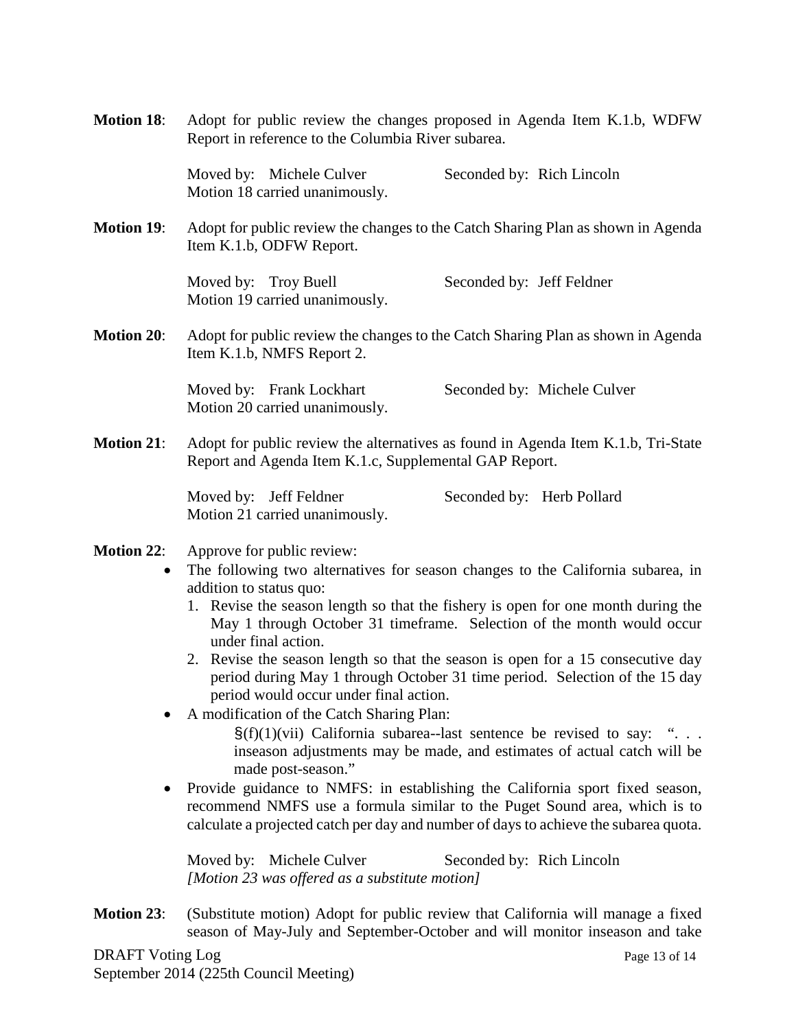|                                | Adopt for public review the changes proposed in Agenda Item K.1.b, WDFW<br>Report in reference to the Columbia River subarea.                                                                                                                                                                                                                                                                                                                                                                                                                                                                                                                                                                                                                                                                                                                                                                                                                                                                                                                                                                                                    |                             |
|--------------------------------|----------------------------------------------------------------------------------------------------------------------------------------------------------------------------------------------------------------------------------------------------------------------------------------------------------------------------------------------------------------------------------------------------------------------------------------------------------------------------------------------------------------------------------------------------------------------------------------------------------------------------------------------------------------------------------------------------------------------------------------------------------------------------------------------------------------------------------------------------------------------------------------------------------------------------------------------------------------------------------------------------------------------------------------------------------------------------------------------------------------------------------|-----------------------------|
| <b>Motion 18:</b>              |                                                                                                                                                                                                                                                                                                                                                                                                                                                                                                                                                                                                                                                                                                                                                                                                                                                                                                                                                                                                                                                                                                                                  |                             |
|                                | Moved by: Michele Culver<br>Motion 18 carried unanimously.                                                                                                                                                                                                                                                                                                                                                                                                                                                                                                                                                                                                                                                                                                                                                                                                                                                                                                                                                                                                                                                                       | Seconded by: Rich Lincoln   |
| <b>Motion 19:</b>              | Adopt for public review the changes to the Catch Sharing Plan as shown in Agenda<br>Item K.1.b, ODFW Report.                                                                                                                                                                                                                                                                                                                                                                                                                                                                                                                                                                                                                                                                                                                                                                                                                                                                                                                                                                                                                     |                             |
|                                | Moved by: Troy Buell<br>Motion 19 carried unanimously.                                                                                                                                                                                                                                                                                                                                                                                                                                                                                                                                                                                                                                                                                                                                                                                                                                                                                                                                                                                                                                                                           | Seconded by: Jeff Feldner   |
| <b>Motion 20:</b>              | Adopt for public review the changes to the Catch Sharing Plan as shown in Agenda<br>Item K.1.b, NMFS Report 2.                                                                                                                                                                                                                                                                                                                                                                                                                                                                                                                                                                                                                                                                                                                                                                                                                                                                                                                                                                                                                   |                             |
|                                | Moved by: Frank Lockhart<br>Motion 20 carried unanimously.                                                                                                                                                                                                                                                                                                                                                                                                                                                                                                                                                                                                                                                                                                                                                                                                                                                                                                                                                                                                                                                                       | Seconded by: Michele Culver |
| <b>Motion 21:</b>              | Adopt for public review the alternatives as found in Agenda Item K.1.b, Tri-State<br>Report and Agenda Item K.1.c, Supplemental GAP Report.                                                                                                                                                                                                                                                                                                                                                                                                                                                                                                                                                                                                                                                                                                                                                                                                                                                                                                                                                                                      |                             |
|                                | Moved by: Jeff Feldner<br>Motion 21 carried unanimously.                                                                                                                                                                                                                                                                                                                                                                                                                                                                                                                                                                                                                                                                                                                                                                                                                                                                                                                                                                                                                                                                         | Seconded by: Herb Pollard   |
| <b>Motion 22:</b><br>$\bullet$ | Approve for public review:<br>The following two alternatives for season changes to the California subarea, in<br>addition to status quo:<br>1. Revise the season length so that the fishery is open for one month during the<br>May 1 through October 31 timeframe. Selection of the month would occur<br>under final action.<br>2. Revise the season length so that the season is open for a 15 consecutive day<br>period during May 1 through October 31 time period. Selection of the 15 day<br>period would occur under final action.<br>A modification of the Catch Sharing Plan:<br>$\S(f)(1)(vii)$ California subarea-last sentence be revised to say: "<br>inseason adjustments may be made, and estimates of actual catch will be<br>made post-season."<br>Provide guidance to NMFS: in establishing the California sport fixed season,<br>recommend NMFS use a formula similar to the Puget Sound area, which is to<br>calculate a projected catch per day and number of days to achieve the subarea quota.<br>Moved by: Michele Culver<br>Seconded by: Rich Lincoln<br>[Motion 23 was offered as a substitute motion] |                             |
| <b>Motion 23:</b>              | (Substitute motion) Adopt for public review that California will manage a fixed                                                                                                                                                                                                                                                                                                                                                                                                                                                                                                                                                                                                                                                                                                                                                                                                                                                                                                                                                                                                                                                  |                             |

season of May-July and September-October and will monitor inseason and take DRAFT Voting Log Page 13 of 14